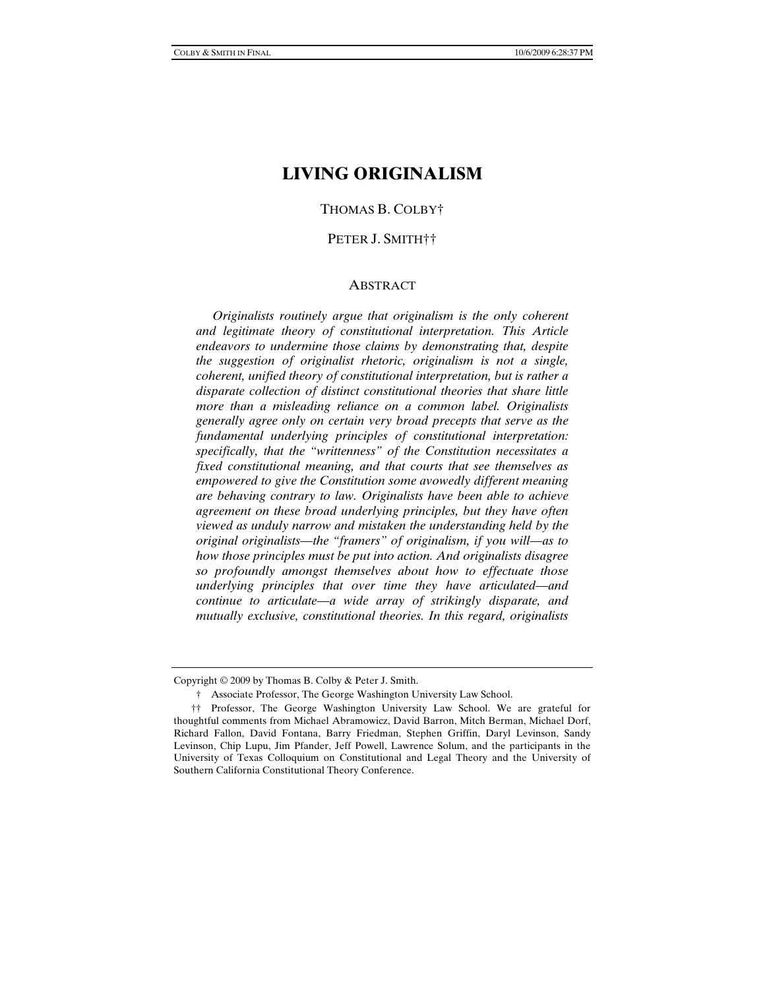# **LIVING ORIGINALISM**

### THOMAS B. COLBY†

#### PETER J. SMITH††

#### ABSTRACT

 *Originalists routinely argue that originalism is the only coherent and legitimate theory of constitutional interpretation. This Article endeavors to undermine those claims by demonstrating that, despite the suggestion of originalist rhetoric, originalism is not a single, coherent, unified theory of constitutional interpretation, but is rather a disparate collection of distinct constitutional theories that share little more than a misleading reliance on a common label. Originalists generally agree only on certain very broad precepts that serve as the fundamental underlying principles of constitutional interpretation: specifically, that the "writtenness" of the Constitution necessitates a fixed constitutional meaning, and that courts that see themselves as empowered to give the Constitution some avowedly different meaning are behaving contrary to law. Originalists have been able to achieve agreement on these broad underlying principles, but they have often viewed as unduly narrow and mistaken the understanding held by the original originalists—the "framers" of originalism, if you will—as to how those principles must be put into action. And originalists disagree so profoundly amongst themselves about how to effectuate those underlying principles that over time they have articulated—and continue to articulate—a wide array of strikingly disparate, and mutually exclusive, constitutional theories. In this regard, originalists* 

Copyright © 2009 by Thomas B. Colby & Peter J. Smith.

 <sup>†</sup> Associate Professor, The George Washington University Law School.

 <sup>††</sup> Professor, The George Washington University Law School. We are grateful for thoughtful comments from Michael Abramowicz, David Barron, Mitch Berman, Michael Dorf, Richard Fallon, David Fontana, Barry Friedman, Stephen Griffin, Daryl Levinson, Sandy Levinson, Chip Lupu, Jim Pfander, Jeff Powell, Lawrence Solum, and the participants in the University of Texas Colloquium on Constitutional and Legal Theory and the University of Southern California Constitutional Theory Conference.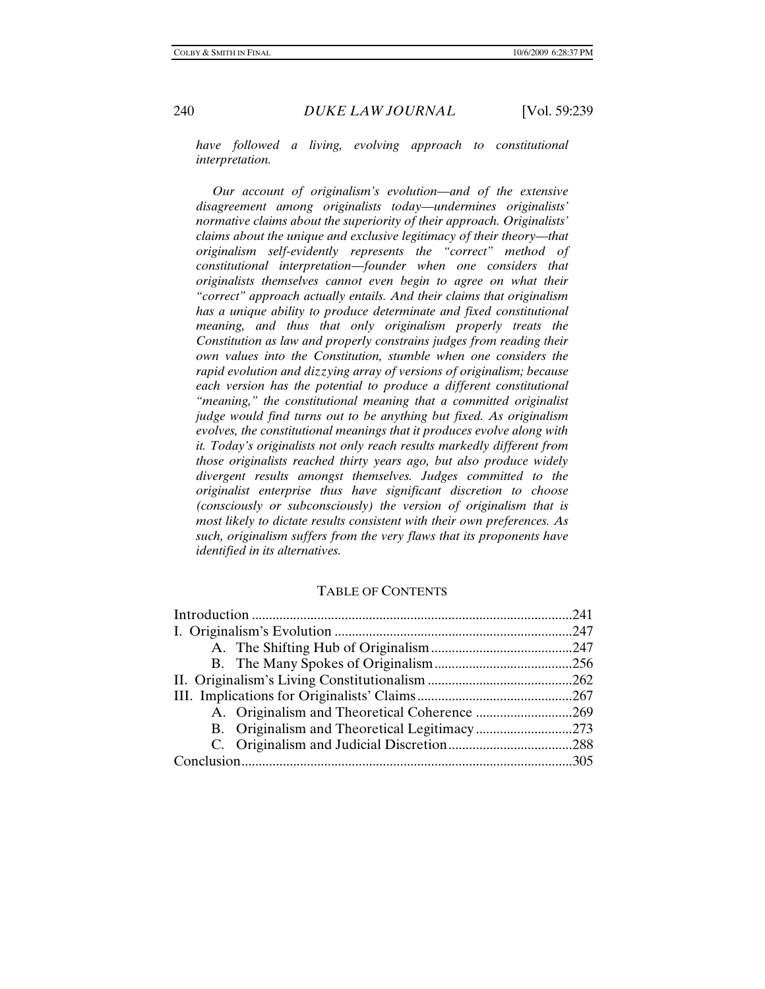*have followed a living, evolving approach to constitutional interpretation.* 

 *Our account of originalism's evolution—and of the extensive disagreement among originalists today—undermines originalists' normative claims about the superiority of their approach. Originalists' claims about the unique and exclusive legitimacy of their theory—that originalism self-evidently represents the "correct" method of constitutional interpretation—founder when one considers that originalists themselves cannot even begin to agree on what their "correct" approach actually entails. And their claims that originalism has a unique ability to produce determinate and fixed constitutional meaning, and thus that only originalism properly treats the Constitution as law and properly constrains judges from reading their own values into the Constitution, stumble when one considers the rapid evolution and dizzying array of versions of originalism; because each version has the potential to produce a different constitutional "meaning," the constitutional meaning that a committed originalist judge would find turns out to be anything but fixed. As originalism evolves, the constitutional meanings that it produces evolve along with it. Today's originalists not only reach results markedly different from those originalists reached thirty years ago, but also produce widely divergent results amongst themselves. Judges committed to the originalist enterprise thus have significant discretion to choose (consciously or subconsciously) the version of originalism that is most likely to dictate results consistent with their own preferences. As such, originalism suffers from the very flaws that its proponents have identified in its alternatives.*

#### TABLE OF CONTENTS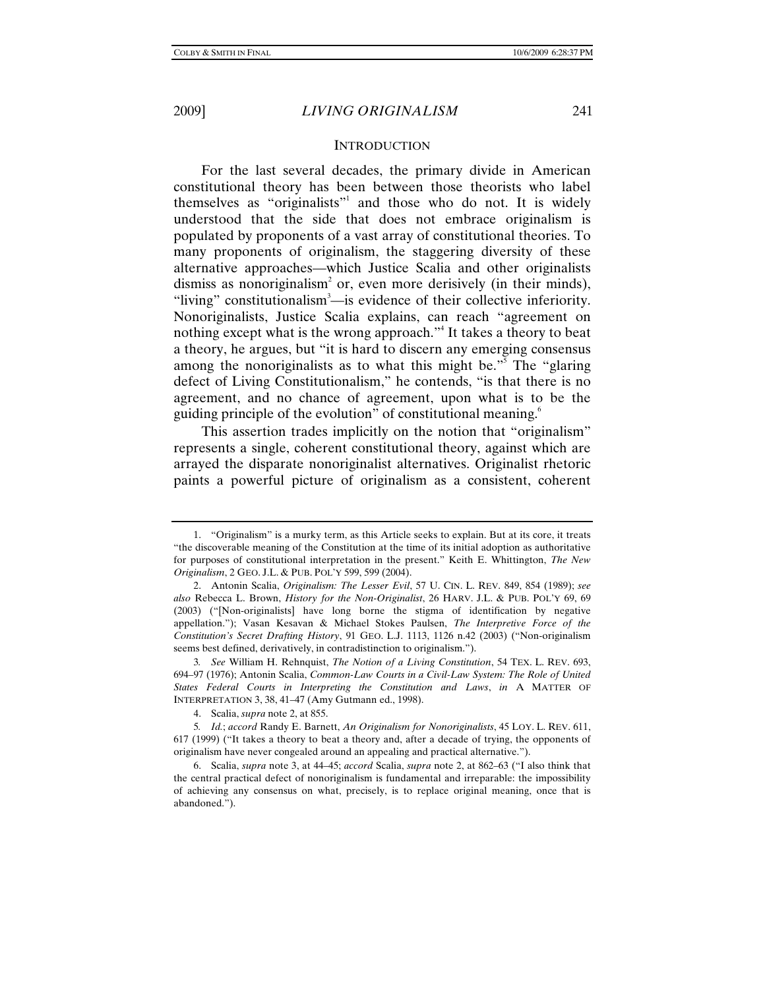#### **INTRODUCTION**

For the last several decades, the primary divide in American constitutional theory has been between those theorists who label themselves as "originalists"<sup>1</sup> and those who do not. It is widely understood that the side that does not embrace originalism is populated by proponents of a vast array of constitutional theories. To many proponents of originalism, the staggering diversity of these alternative approaches—which Justice Scalia and other originalists dismiss as nonoriginalism<sup>2</sup> or, even more derisively (in their minds), "living" constitutionalism<sup>3</sup>—is evidence of their collective inferiority. Nonoriginalists, Justice Scalia explains, can reach "agreement on nothing except what is the wrong approach."<sup>4</sup> It takes a theory to beat a theory, he argues, but "it is hard to discern any emerging consensus among the nonoriginalists as to what this might be."<sup>5</sup> The "glaring defect of Living Constitutionalism," he contends, "is that there is no agreement, and no chance of agreement, upon what is to be the guiding principle of the evolution" of constitutional meaning.<sup>6</sup>

This assertion trades implicitly on the notion that "originalism" represents a single, coherent constitutional theory, against which are arrayed the disparate nonoriginalist alternatives. Originalist rhetoric paints a powerful picture of originalism as a consistent, coherent

 <sup>1. &</sup>quot;Originalism" is a murky term, as this Article seeks to explain. But at its core, it treats "the discoverable meaning of the Constitution at the time of its initial adoption as authoritative for purposes of constitutional interpretation in the present." Keith E. Whittington, *The New Originalism*, 2 GEO. J.L. & PUB. POL'Y 599, 599 (2004).

 <sup>2.</sup> Antonin Scalia, *Originalism: The Lesser Evil*, 57 U. CIN. L. REV. 849, 854 (1989); *see also* Rebecca L. Brown, *History for the Non-Originalist*, 26 HARV. J.L. & PUB. POL'Y 69, 69 (2003) ("[Non-originalists] have long borne the stigma of identification by negative appellation."); Vasan Kesavan & Michael Stokes Paulsen, *The Interpretive Force of the Constitution's Secret Drafting History*, 91 GEO. L.J. 1113, 1126 n.42 (2003) ("Non-originalism seems best defined, derivatively, in contradistinction to originalism.").

<sup>3</sup>*. See* William H. Rehnquist, *The Notion of a Living Constitution*, 54 TEX. L. REV. 693, 694–97 (1976); Antonin Scalia, *Common-Law Courts in a Civil-Law System: The Role of United States Federal Courts in Interpreting the Constitution and Laws*, *in* A MATTER OF INTERPRETATION 3, 38, 41–47 (Amy Gutmann ed., 1998).

 <sup>4.</sup> Scalia, *supra* note 2, at 855.

<sup>5</sup>*. Id.*; *accord* Randy E. Barnett, *An Originalism for Nonoriginalists*, 45 LOY. L. REV. 611, 617 (1999) ("It takes a theory to beat a theory and, after a decade of trying, the opponents of originalism have never congealed around an appealing and practical alternative.").

 <sup>6.</sup> Scalia, *supra* note 3, at 44–45; *accord* Scalia, *supra* note 2, at 862–63 ("I also think that the central practical defect of nonoriginalism is fundamental and irreparable: the impossibility of achieving any consensus on what, precisely, is to replace original meaning, once that is abandoned.").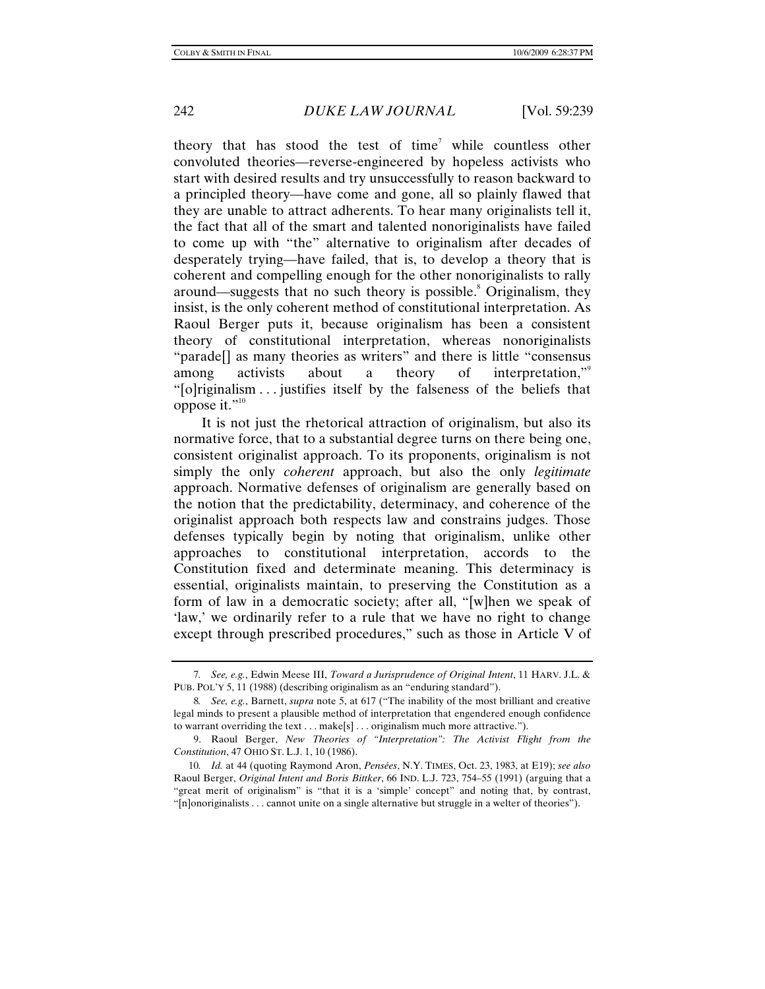theory that has stood the test of time<sup>7</sup> while countless other convoluted theories—reverse-engineered by hopeless activists who start with desired results and try unsuccessfully to reason backward to a principled theory—have come and gone, all so plainly flawed that they are unable to attract adherents. To hear many originalists tell it, the fact that all of the smart and talented nonoriginalists have failed to come up with "the" alternative to originalism after decades of desperately trying—have failed, that is, to develop a theory that is coherent and compelling enough for the other nonoriginalists to rally around—suggests that no such theory is possible.<sup>8</sup> Originalism, they insist, is the only coherent method of constitutional interpretation. As Raoul Berger puts it, because originalism has been a consistent theory of constitutional interpretation, whereas nonoriginalists "parade[] as many theories as writers" and there is little "consensus among activists about a theory of interpretation," "[o]riginalism . . . justifies itself by the falseness of the beliefs that oppose it." $10$ 

It is not just the rhetorical attraction of originalism, but also its normative force, that to a substantial degree turns on there being one, consistent originalist approach. To its proponents, originalism is not simply the only *coherent* approach, but also the only *legitimate*  approach. Normative defenses of originalism are generally based on the notion that the predictability, determinacy, and coherence of the originalist approach both respects law and constrains judges. Those defenses typically begin by noting that originalism, unlike other approaches to constitutional interpretation, accords to the Constitution fixed and determinate meaning. This determinacy is essential, originalists maintain, to preserving the Constitution as a form of law in a democratic society; after all, "[w]hen we speak of 'law,' we ordinarily refer to a rule that we have no right to change except through prescribed procedures," such as those in Article V of

<sup>7</sup>*. See, e.g.*, Edwin Meese III, *Toward a Jurisprudence of Original Intent*, 11 HARV. J.L. & PUB. POL'Y 5, 11 (1988) (describing originalism as an "enduring standard").

<sup>8</sup>*. See, e.g.*, Barnett, *supra* note 5, at 617 ("The inability of the most brilliant and creative legal minds to present a plausible method of interpretation that engendered enough confidence to warrant overriding the text . . . make[s] . . . originalism much more attractive.").

 <sup>9.</sup> Raoul Berger, *New Theories of "Interpretation": The Activist Flight from the Constitution*, 47 OHIO ST. L.J. 1, 10 (1986).

<sup>10</sup>*. Id.* at 44 (quoting Raymond Aron, *Pensées*, N.Y. TIMES, Oct. 23, 1983, at E19); *see also* Raoul Berger, *Original Intent and Boris Bittker*, 66 IND. L.J. 723, 754–55 (1991) (arguing that a "great merit of originalism" is "that it is a 'simple' concept" and noting that, by contrast, "[n]onoriginalists . . . cannot unite on a single alternative but struggle in a welter of theories").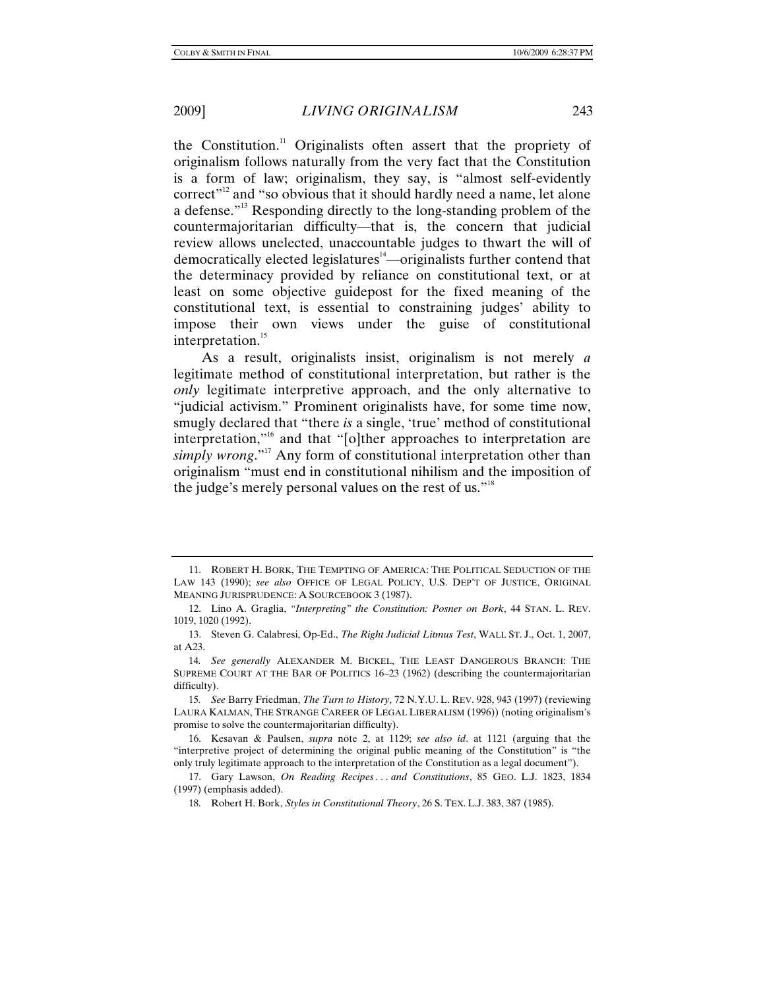the Constitution.<sup>11</sup> Originalists often assert that the propriety of originalism follows naturally from the very fact that the Constitution is a form of law; originalism, they say, is "almost self-evidently correct"<sup>12</sup> and "so obvious that it should hardly need a name, let alone a defense."13 Responding directly to the long-standing problem of the countermajoritarian difficulty—that is, the concern that judicial review allows unelected, unaccountable judges to thwart the will of democratically elected legislatures<sup>14</sup>—originalists further contend that the determinacy provided by reliance on constitutional text, or at least on some objective guidepost for the fixed meaning of the constitutional text, is essential to constraining judges' ability to impose their own views under the guise of constitutional interpretation.<sup>15</sup>

As a result, originalists insist, originalism is not merely *a* legitimate method of constitutional interpretation, but rather is the *only* legitimate interpretive approach, and the only alternative to "judicial activism." Prominent originalists have, for some time now, smugly declared that "there *is* a single, 'true' method of constitutional interpretation,"16 and that "[o]ther approaches to interpretation are *simply wrong.*"<sup>17</sup> Any form of constitutional interpretation other than originalism "must end in constitutional nihilism and the imposition of the judge's merely personal values on the rest of us."<sup>18</sup>

 <sup>11.</sup> ROBERT H. BORK, THE TEMPTING OF AMERICA: THE POLITICAL SEDUCTION OF THE LAW 143 (1990); *see also* OFFICE OF LEGAL POLICY, U.S. DEP'T OF JUSTICE, ORIGINAL MEANING JURISPRUDENCE: A SOURCEBOOK 3 (1987).

 <sup>12.</sup> Lino A. Graglia, *"Interpreting" the Constitution: Posner on Bork*, 44 STAN. L. REV. 1019, 1020 (1992).

 <sup>13.</sup> Steven G. Calabresi, Op-Ed., *The Right Judicial Litmus Test*, WALL ST. J., Oct. 1, 2007, at A23.

<sup>14</sup>*. See generally* ALEXANDER M. BICKEL, THE LEAST DANGEROUS BRANCH: THE SUPREME COURT AT THE BAR OF POLITICS 16–23 (1962) (describing the countermajoritarian difficulty).

<sup>15</sup>*. See* Barry Friedman, *The Turn to History*, 72 N.Y.U. L. REV. 928, 943 (1997) (reviewing LAURA KALMAN, THE STRANGE CAREER OF LEGAL LIBERALISM (1996)) (noting originalism's promise to solve the countermajoritarian difficulty).

 <sup>16.</sup> Kesavan & Paulsen, *supra* note 2, at 1129; *see also id*. at 1121 (arguing that the "interpretive project of determining the original public meaning of the Constitution" is "the only truly legitimate approach to the interpretation of the Constitution as a legal document").

 <sup>17.</sup> Gary Lawson, *On Reading Recipes . . . and Constitutions*, 85 GEO. L.J. 1823, 1834 (1997) (emphasis added).

 <sup>18.</sup> Robert H. Bork, *Styles in Constitutional Theory*, 26 S. TEX. L.J. 383, 387 (1985).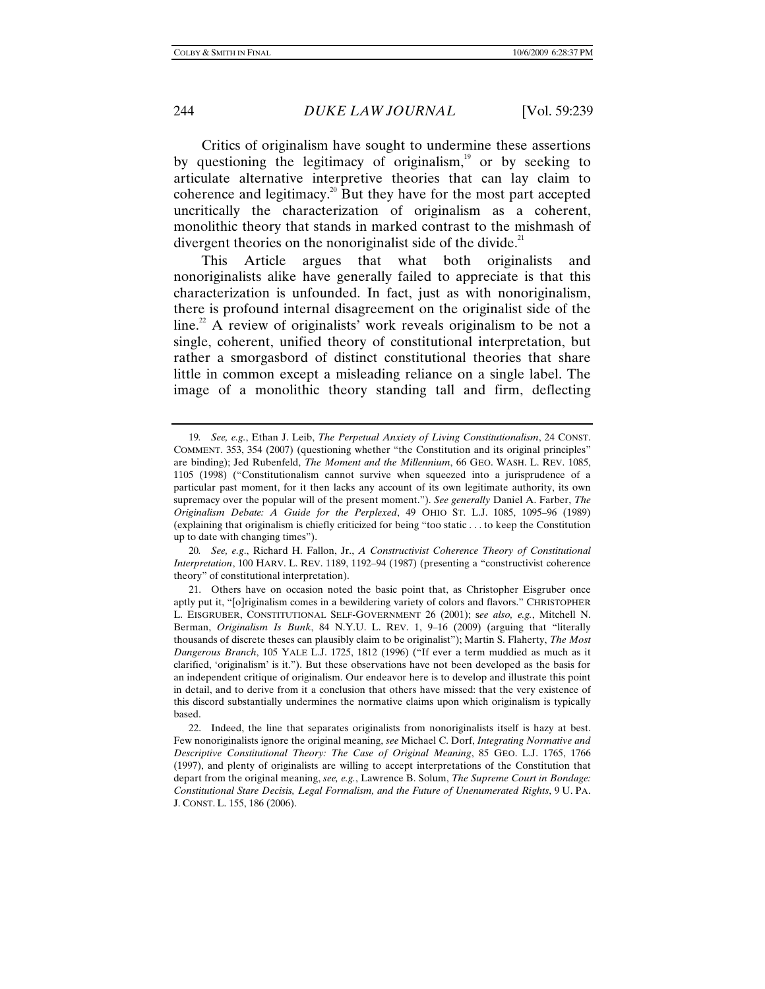Critics of originalism have sought to undermine these assertions by questioning the legitimacy of originalism, $19$  or by seeking to articulate alternative interpretive theories that can lay claim to coherence and legitimacy.<sup>20</sup> But they have for the most part accepted uncritically the characterization of originalism as a coherent, monolithic theory that stands in marked contrast to the mishmash of divergent theories on the nonoriginalist side of the divide. $^{21}$ 

This Article argues that what both originalists and nonoriginalists alike have generally failed to appreciate is that this characterization is unfounded. In fact, just as with nonoriginalism, there is profound internal disagreement on the originalist side of the  $\lim_{x \to a}$  A review of originalists' work reveals originalism to be not a single, coherent, unified theory of constitutional interpretation, but rather a smorgasbord of distinct constitutional theories that share little in common except a misleading reliance on a single label. The image of a monolithic theory standing tall and firm, deflecting

20*. See, e.g*., Richard H. Fallon, Jr., *A Constructivist Coherence Theory of Constitutional Interpretation*, 100 HARV. L. REV. 1189, 1192–94 (1987) (presenting a "constructivist coherence theory" of constitutional interpretation).

<sup>19</sup>*. See, e.g.*, Ethan J. Leib, *The Perpetual Anxiety of Living Constitutionalism*, 24 CONST. COMMENT. 353, 354 (2007) (questioning whether "the Constitution and its original principles" are binding); Jed Rubenfeld, *The Moment and the Millennium*, 66 GEO. WASH. L. REV. 1085, 1105 (1998) ("Constitutionalism cannot survive when squeezed into a jurisprudence of a particular past moment, for it then lacks any account of its own legitimate authority, its own supremacy over the popular will of the present moment."). *See generally* Daniel A. Farber, *The Originalism Debate: A Guide for the Perplexed*, 49 OHIO ST. L.J. 1085, 1095–96 (1989) (explaining that originalism is chiefly criticized for being "too static . . . to keep the Constitution up to date with changing times").

 <sup>21.</sup> Others have on occasion noted the basic point that, as Christopher Eisgruber once aptly put it, "[o]riginalism comes in a bewildering variety of colors and flavors." CHRISTOPHER L. EISGRUBER, CONSTITUTIONAL SELF-GOVERNMENT 26 (2001); s*ee also, e.g.*, Mitchell N. Berman, *Originalism Is Bunk*, 84 N.Y.U. L. REV. 1, 9–16 (2009) (arguing that "literally thousands of discrete theses can plausibly claim to be originalist"); Martin S. Flaherty, *The Most Dangerous Branch*, 105 YALE L.J. 1725, 1812 (1996) ("If ever a term muddied as much as it clarified, 'originalism' is it."). But these observations have not been developed as the basis for an independent critique of originalism. Our endeavor here is to develop and illustrate this point in detail, and to derive from it a conclusion that others have missed: that the very existence of this discord substantially undermines the normative claims upon which originalism is typically based.

 <sup>22.</sup> Indeed, the line that separates originalists from nonoriginalists itself is hazy at best. Few nonoriginalists ignore the original meaning, *see* Michael C. Dorf, *Integrating Normative and Descriptive Constitutional Theory: The Case of Original Meaning*, 85 GEO. L.J. 1765, 1766 (1997), and plenty of originalists are willing to accept interpretations of the Constitution that depart from the original meaning, *see, e.g.*, Lawrence B. Solum, *The Supreme Court in Bondage: Constitutional Stare Decisis, Legal Formalism, and the Future of Unenumerated Rights*, 9 U. PA. J. CONST. L. 155, 186 (2006).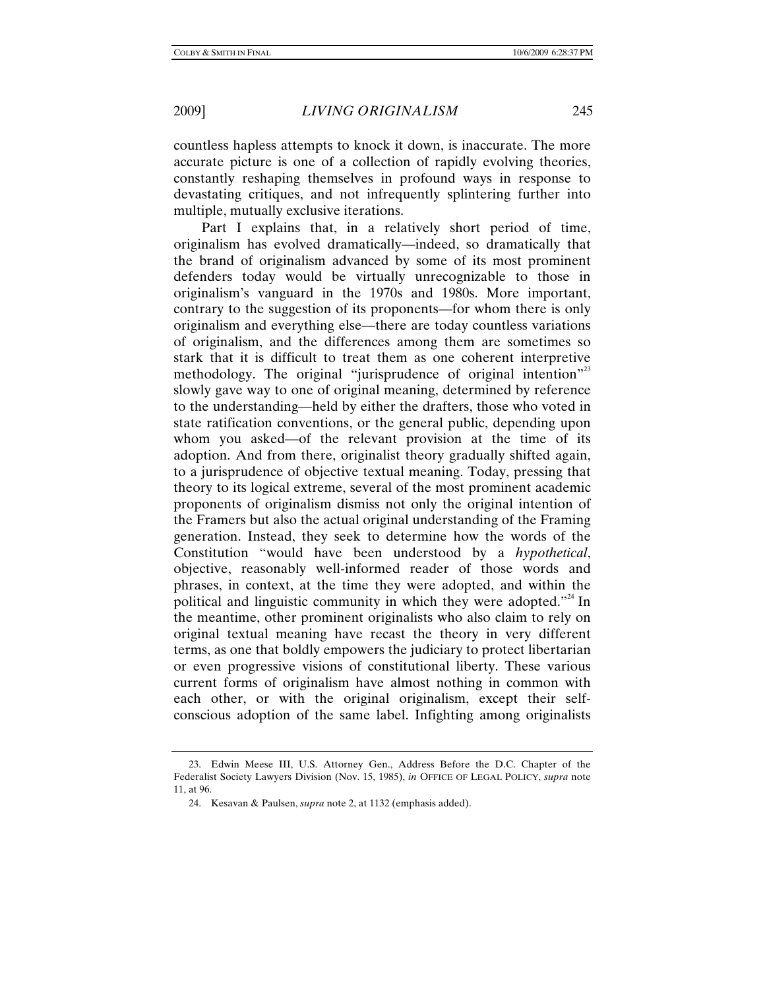countless hapless attempts to knock it down, is inaccurate. The more accurate picture is one of a collection of rapidly evolving theories, constantly reshaping themselves in profound ways in response to devastating critiques, and not infrequently splintering further into multiple, mutually exclusive iterations.

Part I explains that, in a relatively short period of time, originalism has evolved dramatically—indeed, so dramatically that the brand of originalism advanced by some of its most prominent defenders today would be virtually unrecognizable to those in originalism's vanguard in the 1970s and 1980s. More important, contrary to the suggestion of its proponents—for whom there is only originalism and everything else—there are today countless variations of originalism, and the differences among them are sometimes so stark that it is difficult to treat them as one coherent interpretive methodology. The original "jurisprudence of original intention"<sup>23</sup> slowly gave way to one of original meaning, determined by reference to the understanding—held by either the drafters, those who voted in state ratification conventions, or the general public, depending upon whom you asked—of the relevant provision at the time of its adoption. And from there, originalist theory gradually shifted again, to a jurisprudence of objective textual meaning. Today, pressing that theory to its logical extreme, several of the most prominent academic proponents of originalism dismiss not only the original intention of the Framers but also the actual original understanding of the Framing generation. Instead, they seek to determine how the words of the Constitution "would have been understood by a *hypothetical*, objective, reasonably well-informed reader of those words and phrases, in context, at the time they were adopted, and within the political and linguistic community in which they were adopted. $2^{24}$  In the meantime, other prominent originalists who also claim to rely on original textual meaning have recast the theory in very different terms, as one that boldly empowers the judiciary to protect libertarian or even progressive visions of constitutional liberty. These various current forms of originalism have almost nothing in common with each other, or with the original originalism, except their selfconscious adoption of the same label. Infighting among originalists

 <sup>23.</sup> Edwin Meese III, U.S. Attorney Gen., Address Before the D.C. Chapter of the Federalist Society Lawyers Division (Nov. 15, 1985), *in* OFFICE OF LEGAL POLICY, *supra* note 11, at 96.

 <sup>24.</sup> Kesavan & Paulsen, *supra* note 2, at 1132 (emphasis added).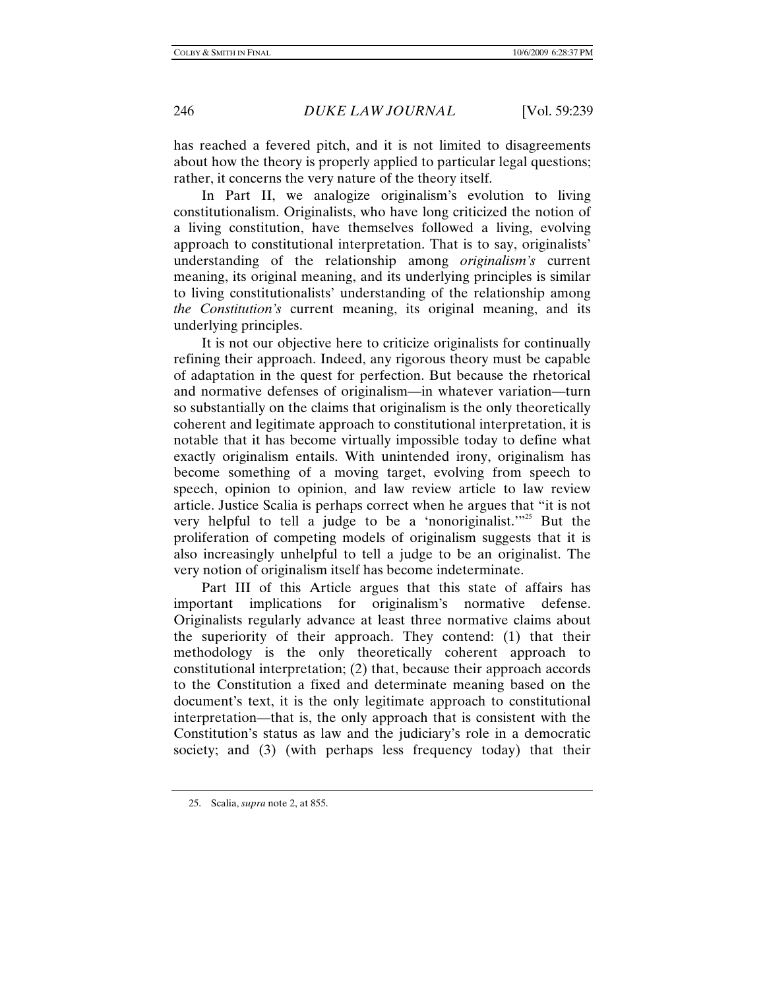has reached a fevered pitch, and it is not limited to disagreements about how the theory is properly applied to particular legal questions; rather, it concerns the very nature of the theory itself.

In Part II, we analogize originalism's evolution to living constitutionalism. Originalists, who have long criticized the notion of a living constitution, have themselves followed a living, evolving approach to constitutional interpretation. That is to say, originalists' understanding of the relationship among *originalism's* current meaning, its original meaning, and its underlying principles is similar to living constitutionalists' understanding of the relationship among *the Constitution's* current meaning, its original meaning, and its underlying principles.

It is not our objective here to criticize originalists for continually refining their approach. Indeed, any rigorous theory must be capable of adaptation in the quest for perfection. But because the rhetorical and normative defenses of originalism—in whatever variation—turn so substantially on the claims that originalism is the only theoretically coherent and legitimate approach to constitutional interpretation, it is notable that it has become virtually impossible today to define what exactly originalism entails. With unintended irony, originalism has become something of a moving target, evolving from speech to speech, opinion to opinion, and law review article to law review article. Justice Scalia is perhaps correct when he argues that "it is not very helpful to tell a judge to be a 'nonoriginalist.'<sup>25</sup> But the proliferation of competing models of originalism suggests that it is also increasingly unhelpful to tell a judge to be an originalist. The very notion of originalism itself has become indeterminate.

Part III of this Article argues that this state of affairs has important implications for originalism's normative defense. Originalists regularly advance at least three normative claims about the superiority of their approach. They contend: (1) that their methodology is the only theoretically coherent approach to constitutional interpretation; (2) that, because their approach accords to the Constitution a fixed and determinate meaning based on the document's text, it is the only legitimate approach to constitutional interpretation—that is, the only approach that is consistent with the Constitution's status as law and the judiciary's role in a democratic society; and (3) (with perhaps less frequency today) that their

 <sup>25.</sup> Scalia, *supra* note 2, at 855.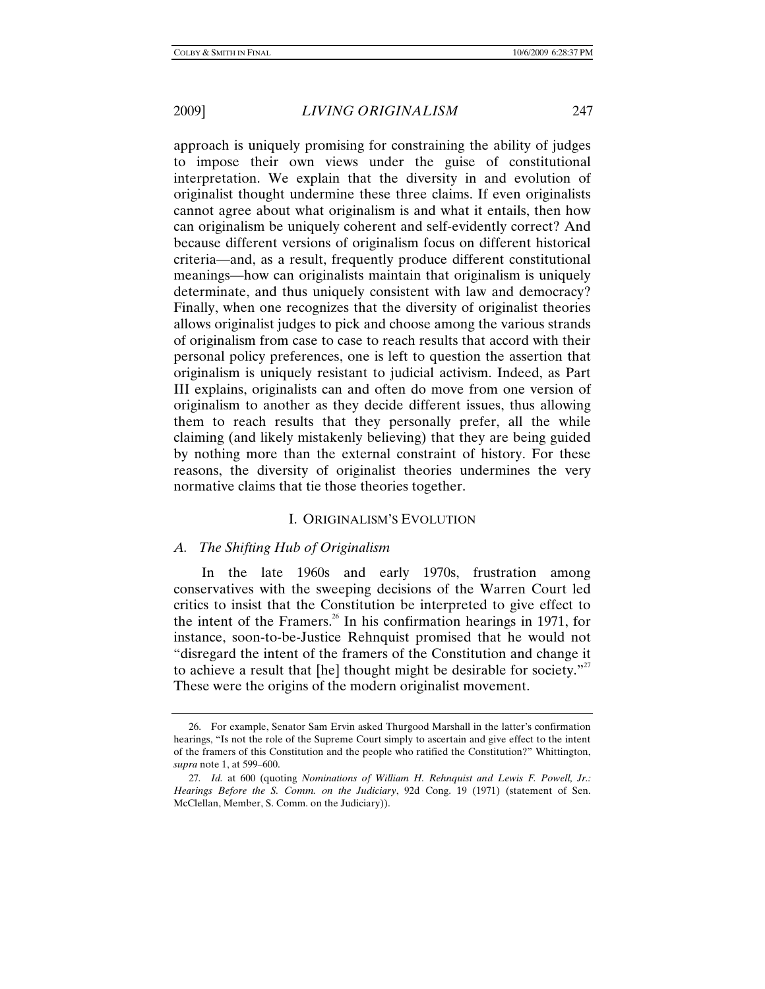approach is uniquely promising for constraining the ability of judges to impose their own views under the guise of constitutional interpretation. We explain that the diversity in and evolution of originalist thought undermine these three claims. If even originalists cannot agree about what originalism is and what it entails, then how can originalism be uniquely coherent and self-evidently correct? And because different versions of originalism focus on different historical criteria—and, as a result, frequently produce different constitutional meanings—how can originalists maintain that originalism is uniquely determinate, and thus uniquely consistent with law and democracy? Finally, when one recognizes that the diversity of originalist theories allows originalist judges to pick and choose among the various strands of originalism from case to case to reach results that accord with their personal policy preferences, one is left to question the assertion that originalism is uniquely resistant to judicial activism. Indeed, as Part III explains, originalists can and often do move from one version of originalism to another as they decide different issues, thus allowing them to reach results that they personally prefer, all the while claiming (and likely mistakenly believing) that they are being guided by nothing more than the external constraint of history. For these reasons, the diversity of originalist theories undermines the very normative claims that tie those theories together.

### I. ORIGINALISM'S EVOLUTION

# *A. The Shifting Hub of Originalism*

In the late 1960s and early 1970s, frustration among conservatives with the sweeping decisions of the Warren Court led critics to insist that the Constitution be interpreted to give effect to the intent of the Framers.<sup>26</sup> In his confirmation hearings in 1971, for instance, soon-to-be-Justice Rehnquist promised that he would not "disregard the intent of the framers of the Constitution and change it to achieve a result that  $[he]$  thought might be desirable for society."<sup>27</sup> These were the origins of the modern originalist movement.

 <sup>26.</sup> For example, Senator Sam Ervin asked Thurgood Marshall in the latter's confirmation hearings, "Is not the role of the Supreme Court simply to ascertain and give effect to the intent of the framers of this Constitution and the people who ratified the Constitution?" Whittington, *supra* note 1, at 599–600.

<sup>27</sup>*. Id.* at 600 (quoting *Nominations of William H. Rehnquist and Lewis F. Powell, Jr.: Hearings Before the S. Comm. on the Judiciary*, 92d Cong. 19 (1971) (statement of Sen. McClellan, Member, S. Comm. on the Judiciary)).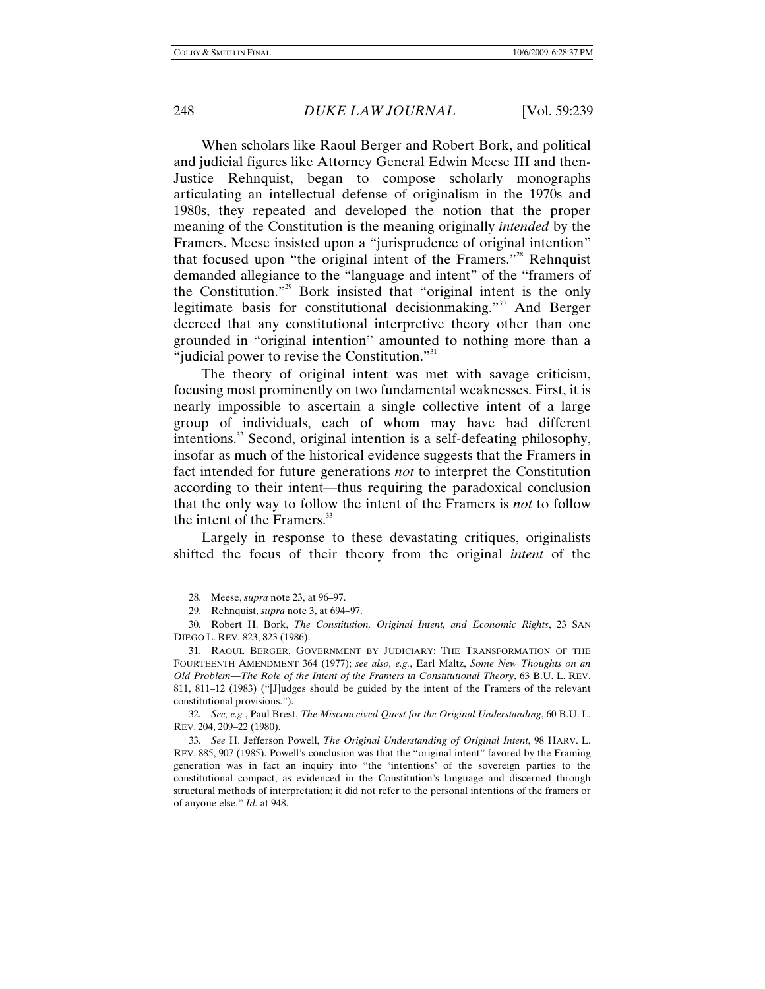When scholars like Raoul Berger and Robert Bork, and political and judicial figures like Attorney General Edwin Meese III and then-Justice Rehnquist, began to compose scholarly monographs articulating an intellectual defense of originalism in the 1970s and 1980s, they repeated and developed the notion that the proper meaning of the Constitution is the meaning originally *intended* by the Framers. Meese insisted upon a "jurisprudence of original intention" that focused upon "the original intent of the Framers."<sup>28</sup> Rehnquist demanded allegiance to the "language and intent" of the "framers of the Constitution."29 Bork insisted that "original intent is the only legitimate basis for constitutional decisionmaking."30 And Berger decreed that any constitutional interpretive theory other than one grounded in "original intention" amounted to nothing more than a "judicial power to revise the Constitution."<sup>31</sup>

The theory of original intent was met with savage criticism, focusing most prominently on two fundamental weaknesses. First, it is nearly impossible to ascertain a single collective intent of a large group of individuals, each of whom may have had different intentions.<sup>32</sup> Second, original intention is a self-defeating philosophy, insofar as much of the historical evidence suggests that the Framers in fact intended for future generations *not* to interpret the Constitution according to their intent—thus requiring the paradoxical conclusion that the only way to follow the intent of the Framers is *not* to follow the intent of the Framers. $33$ 

Largely in response to these devastating critiques, originalists shifted the focus of their theory from the original *intent* of the

32*. See, e.g.*, Paul Brest, *The Misconceived Quest for the Original Understanding*, 60 B.U. L. REV. 204, 209–22 (1980).

 <sup>28.</sup> Meese, *supra* note 23, at 96–97.

 <sup>29.</sup> Rehnquist, *supra* note 3, at 694–97.

 <sup>30.</sup> Robert H. Bork, *The Constitution, Original Intent, and Economic Rights*, 23 SAN DIEGO L. REV. 823, 823 (1986).

 <sup>31.</sup> RAOUL BERGER, GOVERNMENT BY JUDICIARY: THE TRANSFORMATION OF THE FOURTEENTH AMENDMENT 364 (1977); *see also, e.g.*, Earl Maltz, *Some New Thoughts on an Old Problem—The Role of the Intent of the Framers in Constitutional Theory*, 63 B.U. L. REV. 811, 811–12 (1983) ("[J]udges should be guided by the intent of the Framers of the relevant constitutional provisions.").

<sup>33</sup>*. See* H. Jefferson Powell, *The Original Understanding of Original Intent*, 98 HARV. L. REV. 885, 907 (1985). Powell's conclusion was that the "original intent" favored by the Framing generation was in fact an inquiry into "the 'intentions' of the sovereign parties to the constitutional compact, as evidenced in the Constitution's language and discerned through structural methods of interpretation; it did not refer to the personal intentions of the framers or of anyone else." *Id.* at 948.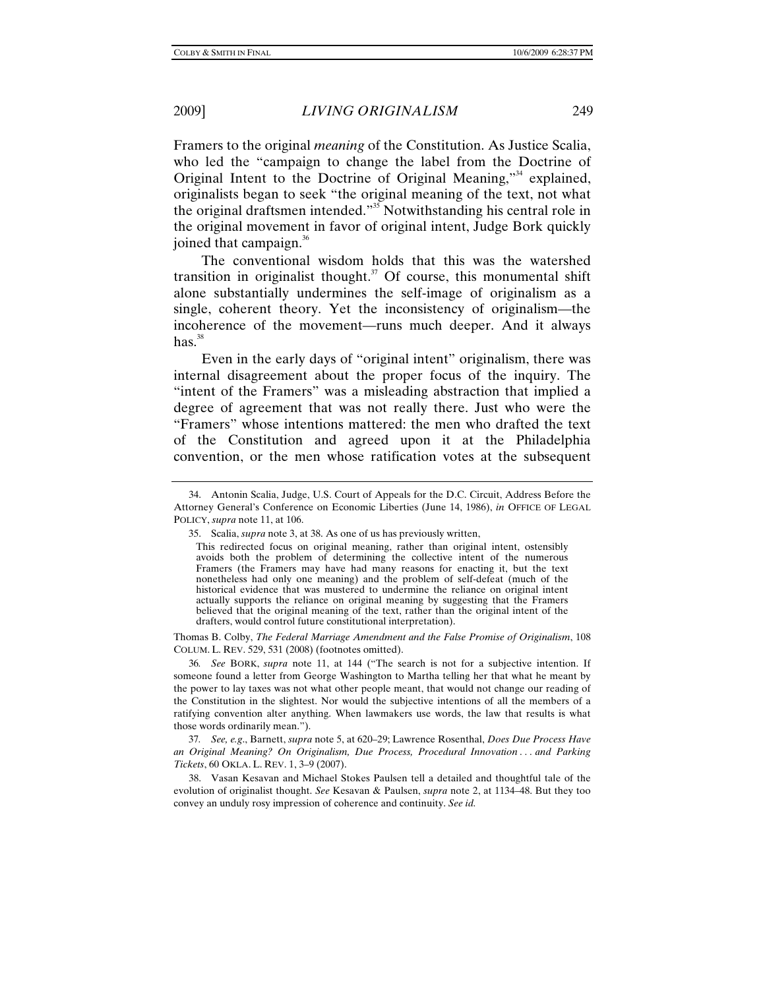Framers to the original *meaning* of the Constitution. As Justice Scalia, who led the "campaign to change the label from the Doctrine of Original Intent to the Doctrine of Original Meaning,"<sup>34</sup> explained, originalists began to seek "the original meaning of the text, not what the original draftsmen intended."35 Notwithstanding his central role in the original movement in favor of original intent, Judge Bork quickly joined that campaign.<sup>36</sup>

The conventional wisdom holds that this was the watershed transition in originalist thought. $37$  Of course, this monumental shift alone substantially undermines the self-image of originalism as a single, coherent theory. Yet the inconsistency of originalism—the incoherence of the movement—runs much deeper. And it always  $has.^{38}$ 

Even in the early days of "original intent" originalism, there was internal disagreement about the proper focus of the inquiry. The "intent of the Framers" was a misleading abstraction that implied a degree of agreement that was not really there. Just who were the "Framers" whose intentions mattered: the men who drafted the text of the Constitution and agreed upon it at the Philadelphia convention, or the men whose ratification votes at the subsequent

Thomas B. Colby, *The Federal Marriage Amendment and the False Promise of Originalism*, 108 COLUM. L. REV. 529, 531 (2008) (footnotes omitted).

36*. See* BORK, *supra* note 11, at 144 ("The search is not for a subjective intention. If someone found a letter from George Washington to Martha telling her that what he meant by the power to lay taxes was not what other people meant, that would not change our reading of the Constitution in the slightest. Nor would the subjective intentions of all the members of a ratifying convention alter anything. When lawmakers use words, the law that results is what those words ordinarily mean.").

37*. See, e.g*., Barnett, *supra* note 5, at 620–29; Lawrence Rosenthal, *Does Due Process Have an Original Meaning? On Originalism, Due Process, Procedural Innovation . . . and Parking Tickets*, 60 OKLA. L. REV. 1, 3–9 (2007).

 38. Vasan Kesavan and Michael Stokes Paulsen tell a detailed and thoughtful tale of the evolution of originalist thought. *See* Kesavan & Paulsen, *supra* note 2, at 1134–48. But they too convey an unduly rosy impression of coherence and continuity. *See id.*

 <sup>34.</sup> Antonin Scalia, Judge, U.S. Court of Appeals for the D.C. Circuit, Address Before the Attorney General's Conference on Economic Liberties (June 14, 1986), *in* OFFICE OF LEGAL POLICY, *supra* note 11, at 106.

 <sup>35.</sup> Scalia, *supra* note 3, at 38. As one of us has previously written,

This redirected focus on original meaning, rather than original intent, ostensibly avoids both the problem of determining the collective intent of the numerous Framers (the Framers may have had many reasons for enacting it, but the text nonetheless had only one meaning) and the problem of self-defeat (much of the historical evidence that was mustered to undermine the reliance on original intent actually supports the reliance on original meaning by suggesting that the Framers believed that the original meaning of the text, rather than the original intent of the drafters, would control future constitutional interpretation).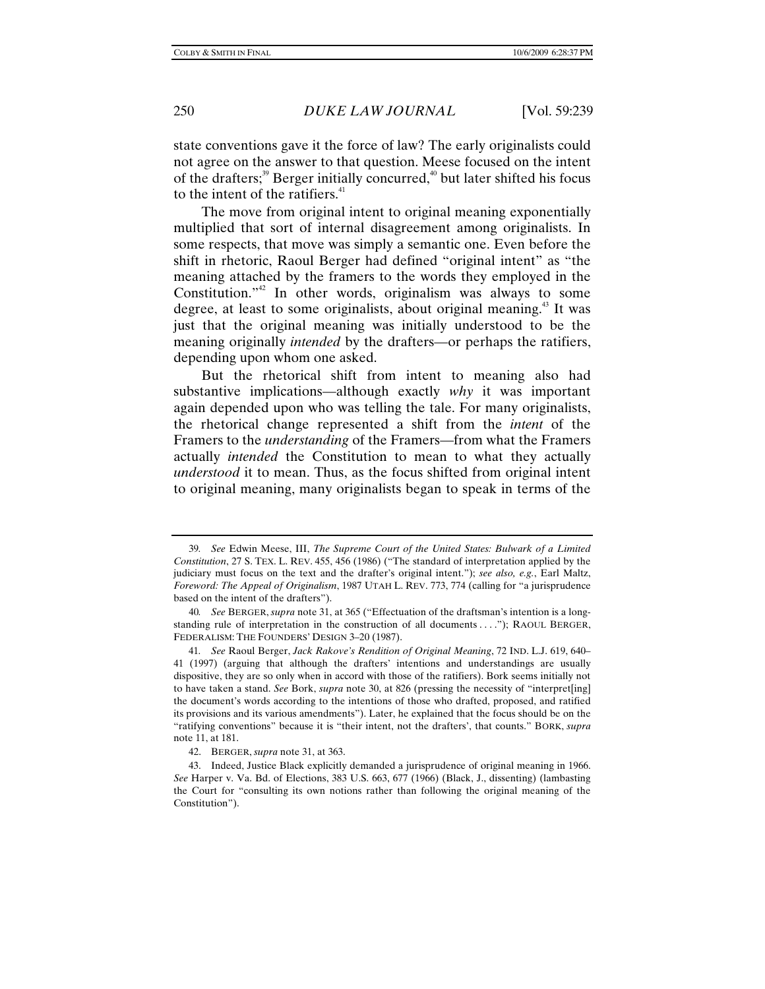state conventions gave it the force of law? The early originalists could not agree on the answer to that question. Meese focused on the intent of the drafters;<sup>39</sup> Berger initially concurred,<sup>40</sup> but later shifted his focus to the intent of the ratifiers.<sup>41</sup>

The move from original intent to original meaning exponentially multiplied that sort of internal disagreement among originalists. In some respects, that move was simply a semantic one. Even before the shift in rhetoric, Raoul Berger had defined "original intent" as "the meaning attached by the framers to the words they employed in the Constitution."<sup>42</sup> In other words, originalism was always to some degree, at least to some originalists, about original meaning.<sup>43</sup> It was just that the original meaning was initially understood to be the meaning originally *intended* by the drafters—or perhaps the ratifiers, depending upon whom one asked.

But the rhetorical shift from intent to meaning also had substantive implications—although exactly *why* it was important again depended upon who was telling the tale. For many originalists, the rhetorical change represented a shift from the *intent* of the Framers to the *understanding* of the Framers—from what the Framers actually *intended* the Constitution to mean to what they actually *understood* it to mean. Thus, as the focus shifted from original intent to original meaning, many originalists began to speak in terms of the

<sup>39</sup>*. See* Edwin Meese, III, *The Supreme Court of the United States: Bulwark of a Limited Constitution*, 27 S. TEX. L. REV. 455, 456 (1986) ("The standard of interpretation applied by the judiciary must focus on the text and the drafter's original intent."); *see also, e.g.*, Earl Maltz, *Foreword: The Appeal of Originalism*, 1987 UTAH L. REV. 773, 774 (calling for "a jurisprudence based on the intent of the drafters").

<sup>40</sup>*. See* BERGER, *supra* note 31, at 365 ("Effectuation of the draftsman's intention is a longstanding rule of interpretation in the construction of all documents . . . ."); RAOUL BERGER, FEDERALISM: THE FOUNDERS' DESIGN 3–20 (1987).

<sup>41</sup>*. See* Raoul Berger, *Jack Rakove's Rendition of Original Meaning*, 72 IND. L.J. 619, 640– 41 (1997) (arguing that although the drafters' intentions and understandings are usually dispositive, they are so only when in accord with those of the ratifiers). Bork seems initially not to have taken a stand. *See* Bork, *supra* note 30, at 826 (pressing the necessity of "interpret[ing] the document's words according to the intentions of those who drafted, proposed, and ratified its provisions and its various amendments"). Later, he explained that the focus should be on the "ratifying conventions" because it is "their intent, not the drafters', that counts." BORK, *supra*  note 11, at 181.

 <sup>42.</sup> BERGER, *supra* note 31, at 363.

 <sup>43.</sup> Indeed, Justice Black explicitly demanded a jurisprudence of original meaning in 1966. *See* Harper v. Va. Bd. of Elections, 383 U.S. 663, 677 (1966) (Black, J., dissenting) (lambasting the Court for "consulting its own notions rather than following the original meaning of the Constitution").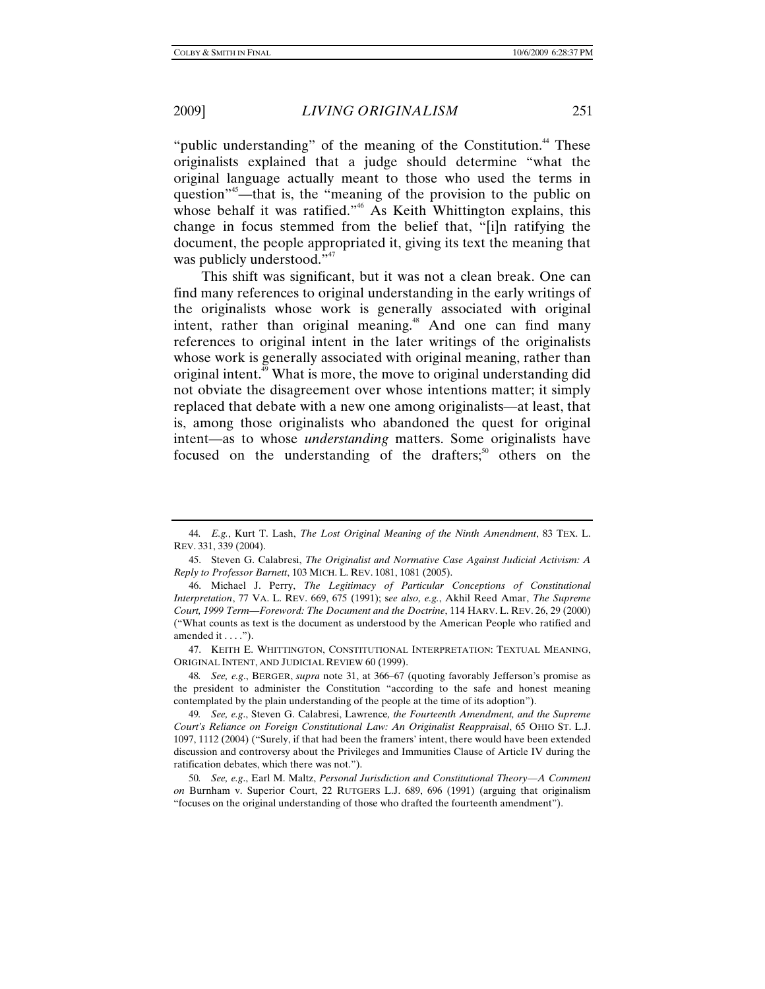"public understanding" of the meaning of the Constitution. $44$  These originalists explained that a judge should determine "what the original language actually meant to those who used the terms in question<sup>"45</sup>—that is, the "meaning of the provision to the public on whose behalf it was ratified."<sup>46</sup> As Keith Whittington explains, this change in focus stemmed from the belief that, "[i]n ratifying the document, the people appropriated it, giving its text the meaning that was publicly understood."<sup>47</sup>

This shift was significant, but it was not a clean break. One can find many references to original understanding in the early writings of the originalists whose work is generally associated with original intent, rather than original meaning.<sup>48</sup> And one can find many references to original intent in the later writings of the originalists whose work is generally associated with original meaning, rather than original intent. $^{49}$  What is more, the move to original understanding did not obviate the disagreement over whose intentions matter; it simply replaced that debate with a new one among originalists—at least, that is, among those originalists who abandoned the quest for original intent—as to whose *understanding* matters. Some originalists have focused on the understanding of the drafters; $50^{\circ}$  others on the

<sup>44</sup>*. E.g.*, Kurt T. Lash, *The Lost Original Meaning of the Ninth Amendment*, 83 TEX. L. REV. 331, 339 (2004).

 <sup>45.</sup> Steven G. Calabresi, *The Originalist and Normative Case Against Judicial Activism: A Reply to Professor Barnett*, 103 MICH. L. REV. 1081, 1081 (2005).

 <sup>46.</sup> Michael J. Perry, *The Legitimacy of Particular Conceptions of Constitutional Interpretation*, 77 VA. L. REV. 669, 675 (1991); s*ee also, e.g.*, Akhil Reed Amar, *The Supreme Court, 1999 Term—Foreword: The Document and the Doctrine*, 114 HARV. L. REV. 26, 29 (2000) ("What counts as text is the document as understood by the American People who ratified and amended it . . . .").

 <sup>47.</sup> KEITH E. WHITTINGTON, CONSTITUTIONAL INTERPRETATION: TEXTUAL MEANING, ORIGINAL INTENT, AND JUDICIAL REVIEW 60 (1999).

<sup>48</sup>*. See, e.g*., BERGER, *supra* note 31, at 366–67 (quoting favorably Jefferson's promise as the president to administer the Constitution "according to the safe and honest meaning contemplated by the plain understanding of the people at the time of its adoption").

<sup>49</sup>*. See, e.g*., Steven G. Calabresi, Lawrence*, the Fourteenth Amendment, and the Supreme Court's Reliance on Foreign Constitutional Law: An Originalist Reappraisal*, 65 OHIO ST. L.J. 1097, 1112 (2004) ("Surely, if that had been the framers' intent, there would have been extended discussion and controversy about the Privileges and Immunities Clause of Article IV during the ratification debates, which there was not.").

<sup>50</sup>*. See, e.g*., Earl M. Maltz, *Personal Jurisdiction and Constitutional Theory—A Comment on* Burnham v. Superior Court, 22 RUTGERS L.J. 689, 696 (1991) (arguing that originalism "focuses on the original understanding of those who drafted the fourteenth amendment").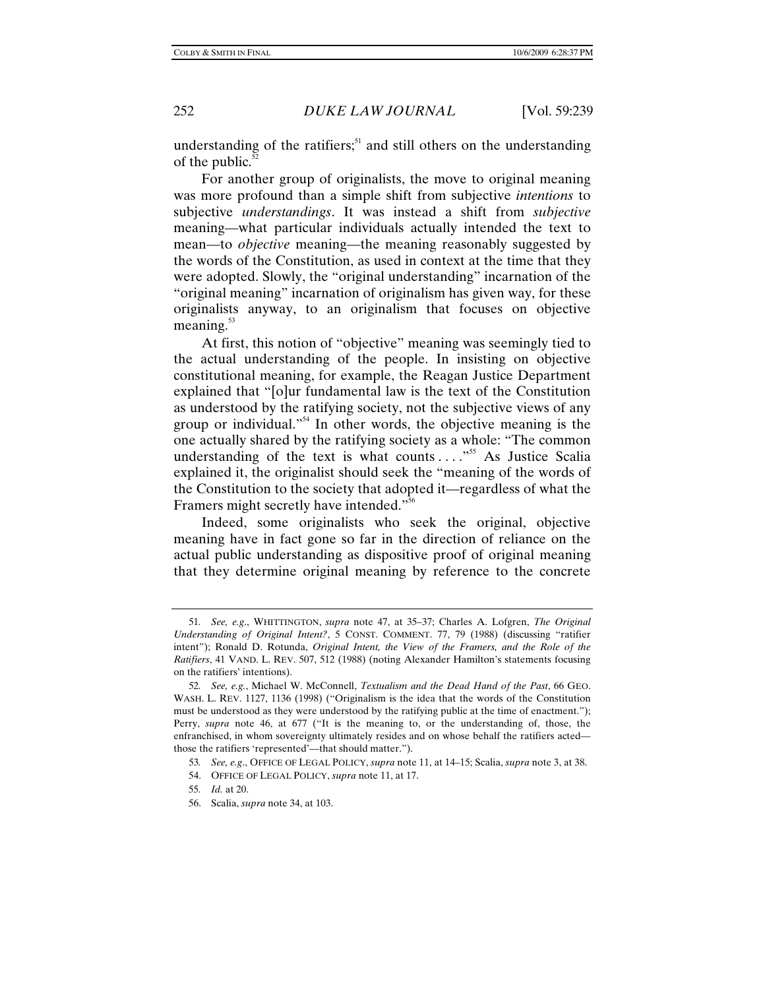understanding of the ratifiers; $51$  and still others on the understanding of the public. $52$ 

For another group of originalists, the move to original meaning was more profound than a simple shift from subjective *intentions* to subjective *understandings*. It was instead a shift from *subjective*  meaning—what particular individuals actually intended the text to mean—to *objective* meaning—the meaning reasonably suggested by the words of the Constitution, as used in context at the time that they were adopted. Slowly, the "original understanding" incarnation of the "original meaning" incarnation of originalism has given way, for these originalists anyway, to an originalism that focuses on objective meaning. $53$ 

At first, this notion of "objective" meaning was seemingly tied to the actual understanding of the people. In insisting on objective constitutional meaning, for example, the Reagan Justice Department explained that "[o]ur fundamental law is the text of the Constitution as understood by the ratifying society, not the subjective views of any group or individual."54 In other words, the objective meaning is the one actually shared by the ratifying society as a whole: "The common understanding of the text is what counts  $\dots$ <sup>555</sup> As Justice Scalia explained it, the originalist should seek the "meaning of the words of the Constitution to the society that adopted it—regardless of what the Framers might secretly have intended."<sup>56</sup>

Indeed, some originalists who seek the original, objective meaning have in fact gone so far in the direction of reliance on the actual public understanding as dispositive proof of original meaning that they determine original meaning by reference to the concrete

<sup>51</sup>*. See, e.g*., WHITTINGTON, *supra* note 47, at 35–37; Charles A. Lofgren, *The Original Understanding of Original Intent?*, 5 CONST. COMMENT. 77, 79 (1988) (discussing "ratifier intent"); Ronald D. Rotunda, *Original Intent, the View of the Framers, and the Role of the Ratifiers*, 41 VAND. L. REV. 507, 512 (1988) (noting Alexander Hamilton's statements focusing on the ratifiers' intentions).

<sup>52</sup>*. See, e.g.*, Michael W. McConnell, *Textualism and the Dead Hand of the Past*, 66 GEO. WASH. L. REV. 1127, 1136 (1998) ("Originalism is the idea that the words of the Constitution must be understood as they were understood by the ratifying public at the time of enactment."); Perry, *supra* note 46, at 677 ("It is the meaning to, or the understanding of, those, the enfranchised, in whom sovereignty ultimately resides and on whose behalf the ratifiers acted those the ratifiers 'represented'—that should matter.").

<sup>53</sup>*. See, e.g*., OFFICE OF LEGAL POLICY, *supra* note 11, at 14–15; Scalia, *supra* note 3, at 38.

 <sup>54.</sup> OFFICE OF LEGAL POLICY, *supra* note 11, at 17.

<sup>55</sup>*. Id.* at 20.

 <sup>56.</sup> Scalia, *supra* note 34, at 103.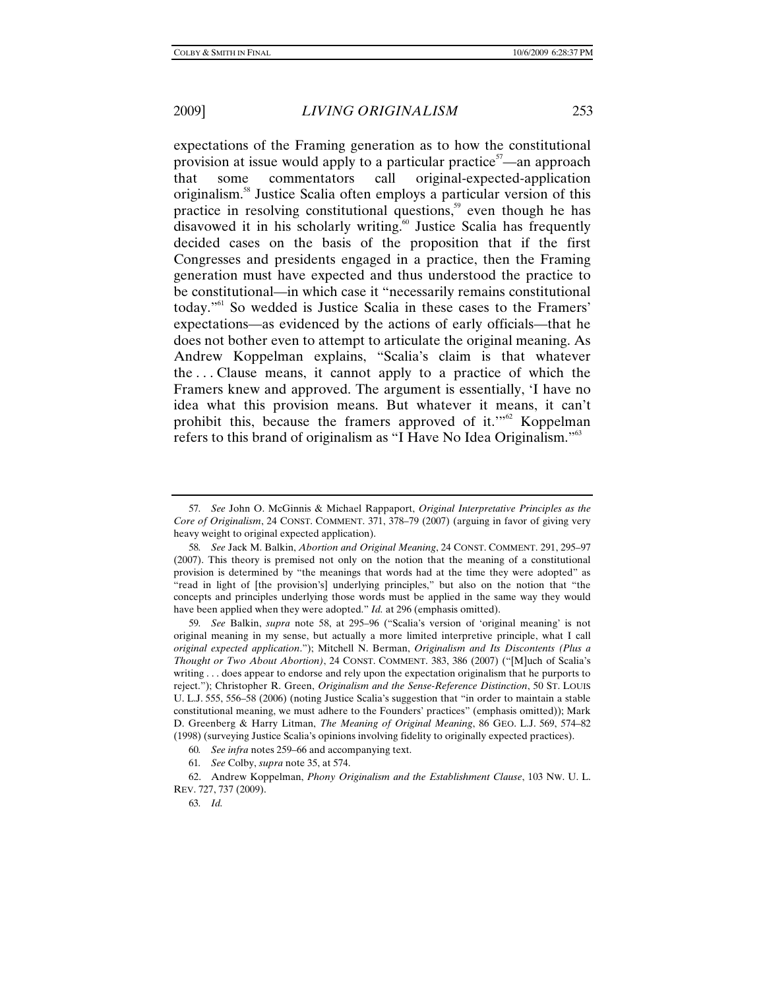expectations of the Framing generation as to how the constitutional provision at issue would apply to a particular practice<sup>57</sup>—an approach that some commentators call original-expected-application originalism.58 Justice Scalia often employs a particular version of this practice in resolving constitutional questions, $59$  even though he has disavowed it in his scholarly writing.<sup>60</sup> Justice Scalia has frequently decided cases on the basis of the proposition that if the first Congresses and presidents engaged in a practice, then the Framing generation must have expected and thus understood the practice to be constitutional—in which case it "necessarily remains constitutional today."61 So wedded is Justice Scalia in these cases to the Framers' expectations—as evidenced by the actions of early officials—that he does not bother even to attempt to articulate the original meaning. As Andrew Koppelman explains, "Scalia's claim is that whatever the . . . Clause means, it cannot apply to a practice of which the Framers knew and approved. The argument is essentially, 'I have no idea what this provision means. But whatever it means, it can't prohibit this, because the framers approved of it."<sup>62</sup> Koppelman refers to this brand of originalism as "I Have No Idea Originalism."<sup>63</sup>

<sup>57</sup>*. See* John O. McGinnis & Michael Rappaport, *Original Interpretative Principles as the Core of Originalism*, 24 CONST. COMMENT. 371, 378–79 (2007) (arguing in favor of giving very heavy weight to original expected application).

<sup>58</sup>*. See* Jack M. Balkin, *Abortion and Original Meaning*, 24 CONST. COMMENT. 291, 295–97 (2007). This theory is premised not only on the notion that the meaning of a constitutional provision is determined by "the meanings that words had at the time they were adopted" as "read in light of [the provision's] underlying principles," but also on the notion that "the concepts and principles underlying those words must be applied in the same way they would have been applied when they were adopted." *Id.* at 296 (emphasis omitted).

<sup>59</sup>*. See* Balkin, *supra* note 58, at 295–96 ("Scalia's version of 'original meaning' is not original meaning in my sense, but actually a more limited interpretive principle, what I call *original expected application*."); Mitchell N. Berman, *Originalism and Its Discontents (Plus a Thought or Two About Abortion)*, 24 CONST. COMMENT. 383, 386 (2007) ("[M]uch of Scalia's writing . . . does appear to endorse and rely upon the expectation originalism that he purports to reject."); Christopher R. Green, *Originalism and the Sense-Reference Distinction*, 50 ST. LOUIS U. L.J. 555, 556–58 (2006) (noting Justice Scalia's suggestion that "in order to maintain a stable constitutional meaning, we must adhere to the Founders' practices" (emphasis omitted)); Mark D. Greenberg & Harry Litman, *The Meaning of Original Meaning*, 86 GEO. L.J. 569, 574–82 (1998) (surveying Justice Scalia's opinions involving fidelity to originally expected practices).

<sup>60</sup>*. See infra* notes 259–66 and accompanying text.

<sup>61</sup>*. See* Colby, *supra* note 35, at 574.

 <sup>62.</sup> Andrew Koppelman, *Phony Originalism and the Establishment Clause*, 103 NW. U. L. REV. 727, 737 (2009).

<sup>63</sup>*. Id.*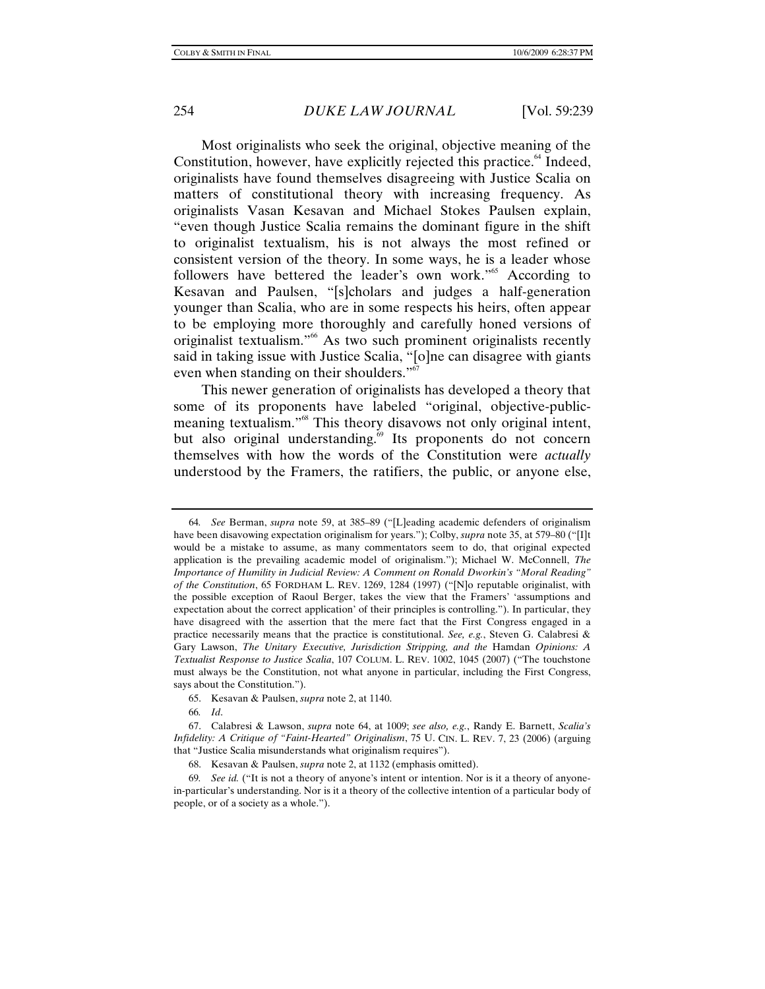Most originalists who seek the original, objective meaning of the Constitution, however, have explicitly rejected this practice.<sup> $64$ </sup> Indeed, originalists have found themselves disagreeing with Justice Scalia on matters of constitutional theory with increasing frequency. As originalists Vasan Kesavan and Michael Stokes Paulsen explain, "even though Justice Scalia remains the dominant figure in the shift to originalist textualism, his is not always the most refined or consistent version of the theory. In some ways, he is a leader whose followers have bettered the leader's own work."<sup>65</sup> According to Kesavan and Paulsen, "[s]cholars and judges a half-generation younger than Scalia, who are in some respects his heirs, often appear to be employing more thoroughly and carefully honed versions of originalist textualism."66 As two such prominent originalists recently said in taking issue with Justice Scalia, "[o]ne can disagree with giants even when standing on their shoulders."<sup>6</sup>

This newer generation of originalists has developed a theory that some of its proponents have labeled "original, objective-publicmeaning textualism."<sup>68</sup> This theory disavows not only original intent, but also original understanding.<sup>69</sup> Its proponents do not concern themselves with how the words of the Constitution were *actually* understood by the Framers, the ratifiers, the public, or anyone else,

66*. Id*.

<sup>64</sup>*. See* Berman, *supra* note 59, at 385–89 ("[L]eading academic defenders of originalism have been disavowing expectation originalism for years."); Colby, *supra* note 35, at 579–80 ("[I]t would be a mistake to assume, as many commentators seem to do, that original expected application is the prevailing academic model of originalism."); Michael W. McConnell, *The Importance of Humility in Judicial Review: A Comment on Ronald Dworkin's "Moral Reading" of the Constitution*, 65 FORDHAM L. REV. 1269, 1284 (1997) ("[N]o reputable originalist, with the possible exception of Raoul Berger, takes the view that the Framers' 'assumptions and expectation about the correct application' of their principles is controlling."). In particular, they have disagreed with the assertion that the mere fact that the First Congress engaged in a practice necessarily means that the practice is constitutional. *See, e.g.*, Steven G. Calabresi & Gary Lawson, *The Unitary Executive, Jurisdiction Stripping, and the* Hamdan *Opinions: A Textualist Response to Justice Scalia*, 107 COLUM. L. REV. 1002, 1045 (2007) ("The touchstone must always be the Constitution, not what anyone in particular, including the First Congress, says about the Constitution.").

 <sup>65.</sup> Kesavan & Paulsen, *supra* note 2, at 1140.

 <sup>67.</sup> Calabresi & Lawson, *supra* note 64, at 1009; *see also, e.g.*, Randy E. Barnett, *Scalia's Infidelity: A Critique of "Faint-Hearted" Originalism*, 75 U. CIN. L. REV. 7, 23 (2006) (arguing that "Justice Scalia misunderstands what originalism requires").

 <sup>68.</sup> Kesavan & Paulsen, *supra* note 2, at 1132 (emphasis omitted).

<sup>69</sup>*. See id.* ("It is not a theory of anyone's intent or intention. Nor is it a theory of anyonein-particular's understanding. Nor is it a theory of the collective intention of a particular body of people, or of a society as a whole.").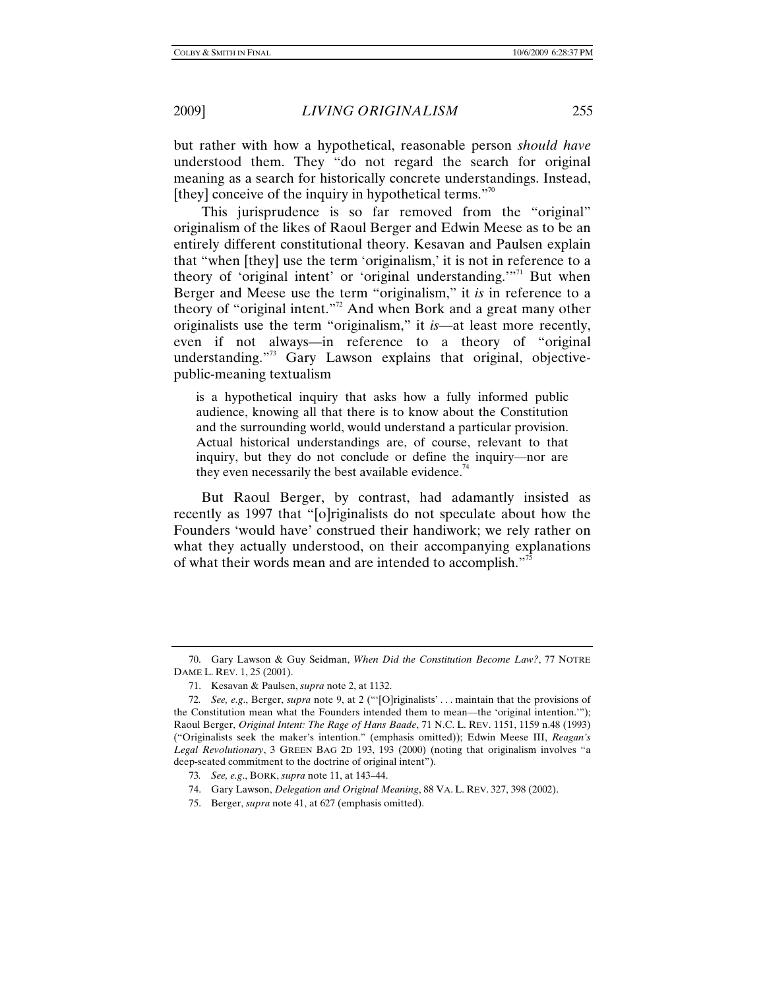but rather with how a hypothetical, reasonable person *should have* understood them. They "do not regard the search for original meaning as a search for historically concrete understandings. Instead, [they] conceive of the inquiry in hypothetical terms. $"$ <sup>70</sup>

This jurisprudence is so far removed from the "original" originalism of the likes of Raoul Berger and Edwin Meese as to be an entirely different constitutional theory. Kesavan and Paulsen explain that "when [they] use the term 'originalism,' it is not in reference to a theory of 'original intent' or 'original understanding.'<sup>"71</sup> But when Berger and Meese use the term "originalism," it *is* in reference to a theory of "original intent."<sup>72</sup> And when Bork and a great many other originalists use the term "originalism," it *is*—at least more recently, even if not always—in reference to a theory of "original understanding. $173}$  Gary Lawson explains that original, objectivepublic-meaning textualism

is a hypothetical inquiry that asks how a fully informed public audience, knowing all that there is to know about the Constitution and the surrounding world, would understand a particular provision. Actual historical understandings are, of course, relevant to that inquiry, but they do not conclude or define the inquiry—nor are they even necessarily the best available evidence.<sup>74</sup>

But Raoul Berger, by contrast, had adamantly insisted as recently as 1997 that "[o]riginalists do not speculate about how the Founders 'would have' construed their handiwork; we rely rather on what they actually understood, on their accompanying explanations of what their words mean and are intended to accomplish."<sup>75</sup>

 <sup>70.</sup> Gary Lawson & Guy Seidman, *When Did the Constitution Become Law?*, 77 NOTRE DAME L. REV. 1, 25 (2001).

 <sup>71.</sup> Kesavan & Paulsen, *supra* note 2, at 1132.

<sup>72</sup>*. See, e.g*., Berger, *supra* note 9, at 2 ("'[O]riginalists' . . . maintain that the provisions of the Constitution mean what the Founders intended them to mean—the 'original intention.'"); Raoul Berger, *Original Intent: The Rage of Hans Baade*, 71 N.C. L. REV. 1151, 1159 n.48 (1993) ("Originalists seek the maker's intention." (emphasis omitted)); Edwin Meese III, *Reagan's Legal Revolutionary*, 3 GREEN BAG 2D 193, 193 (2000) (noting that originalism involves "a deep-seated commitment to the doctrine of original intent").

<sup>73</sup>*. See, e.g*., BORK, *supra* note 11, at 143–44.

 <sup>74.</sup> Gary Lawson, *Delegation and Original Meaning*, 88 VA. L. REV. 327, 398 (2002).

 <sup>75.</sup> Berger, *supra* note 41, at 627 (emphasis omitted).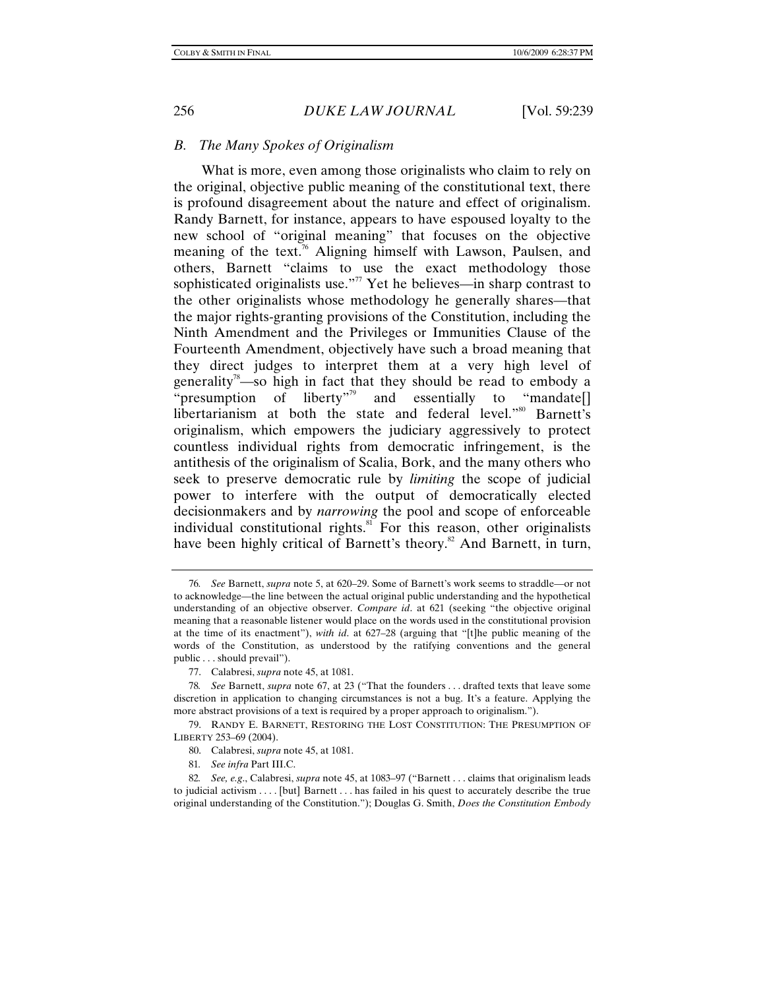### *B. The Many Spokes of Originalism*

What is more, even among those originalists who claim to rely on the original, objective public meaning of the constitutional text, there is profound disagreement about the nature and effect of originalism. Randy Barnett, for instance, appears to have espoused loyalty to the new school of "original meaning" that focuses on the objective meaning of the text.<sup>76</sup> Aligning himself with Lawson, Paulsen, and others, Barnett "claims to use the exact methodology those sophisticated originalists use."<sup>77</sup> Yet he believes—in sharp contrast to the other originalists whose methodology he generally shares—that the major rights-granting provisions of the Constitution, including the Ninth Amendment and the Privileges or Immunities Clause of the Fourteenth Amendment, objectively have such a broad meaning that they direct judges to interpret them at a very high level of generality<sup>78</sup>—so high in fact that they should be read to embody a "presumption of liberty"<sup>79</sup> and essentially to "mandate<sup>[]</sup> libertarianism at both the state and federal level."<sup>80</sup> Barnett's originalism, which empowers the judiciary aggressively to protect countless individual rights from democratic infringement, is the antithesis of the originalism of Scalia, Bork, and the many others who seek to preserve democratic rule by *limiting* the scope of judicial power to interfere with the output of democratically elected decisionmakers and by *narrowing* the pool and scope of enforceable individual constitutional rights.<sup>81</sup> For this reason, other originalists have been highly critical of Barnett's theory.<sup>82</sup> And Barnett, in turn,

<sup>76</sup>*. See* Barnett, *supra* note 5, at 620–29. Some of Barnett's work seems to straddle—or not to acknowledge—the line between the actual original public understanding and the hypothetical understanding of an objective observer. *Compare id*. at 621 (seeking "the objective original meaning that a reasonable listener would place on the words used in the constitutional provision at the time of its enactment"), *with id*. at 627–28 (arguing that "[t]he public meaning of the words of the Constitution, as understood by the ratifying conventions and the general public . . . should prevail").

 <sup>77.</sup> Calabresi, *supra* note 45, at 1081.

<sup>78</sup>*. See* Barnett, *supra* note 67, at 23 ("That the founders . . . drafted texts that leave some discretion in application to changing circumstances is not a bug. It's a feature. Applying the more abstract provisions of a text is required by a proper approach to originalism.").

 <sup>79.</sup> RANDY E. BARNETT, RESTORING THE LOST CONSTITUTION: THE PRESUMPTION OF LIBERTY 253–69 (2004).

 <sup>80.</sup> Calabresi, *supra* note 45, at 1081.

<sup>81</sup>*. See infra* Part III.C.

<sup>82</sup>*. See, e.g*., Calabresi, *supra* note 45, at 1083–97 ("Barnett . . . claims that originalism leads to judicial activism . . . . [but] Barnett . . . has failed in his quest to accurately describe the true original understanding of the Constitution."); Douglas G. Smith, *Does the Constitution Embody*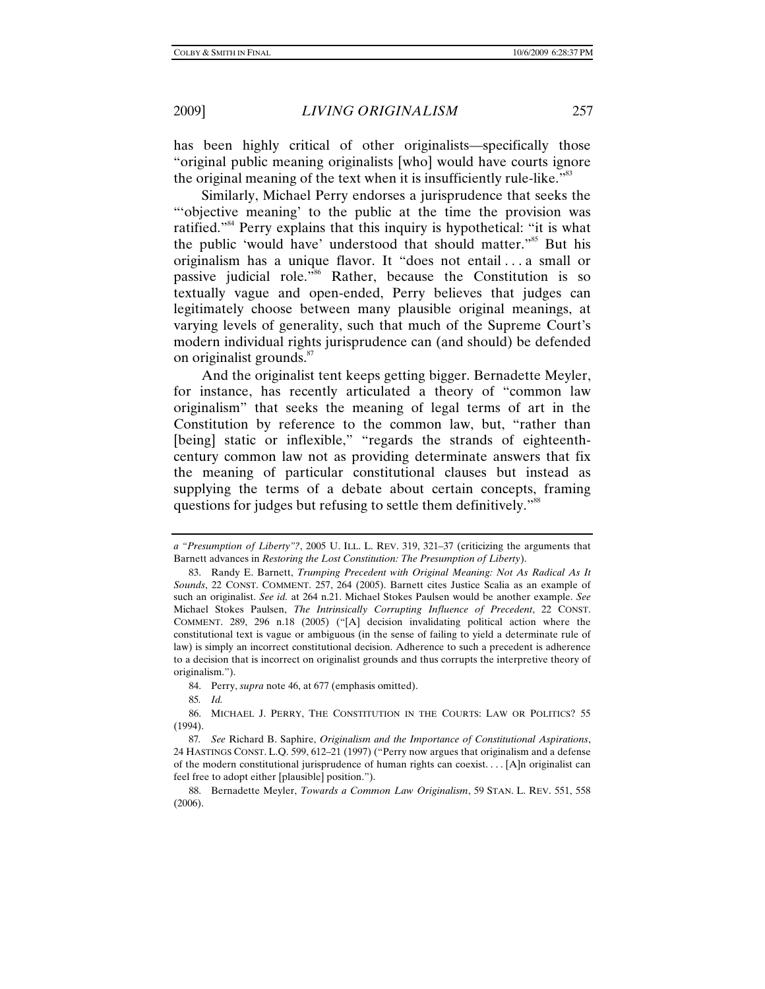has been highly critical of other originalists—specifically those "original public meaning originalists [who] would have courts ignore the original meaning of the text when it is insufficiently rule-like.<sup>583</sup>

Similarly, Michael Perry endorses a jurisprudence that seeks the "'objective meaning' to the public at the time the provision was ratified."<sup>84</sup> Perry explains that this inquiry is hypothetical: "it is what the public 'would have' understood that should matter."<sup>85</sup> But his originalism has a unique flavor. It "does not entail . . . a small or passive judicial role."86 Rather, because the Constitution is so textually vague and open-ended, Perry believes that judges can legitimately choose between many plausible original meanings, at varying levels of generality, such that much of the Supreme Court's modern individual rights jurisprudence can (and should) be defended on originalist grounds.<sup>87</sup>

And the originalist tent keeps getting bigger. Bernadette Meyler, for instance, has recently articulated a theory of "common law originalism" that seeks the meaning of legal terms of art in the Constitution by reference to the common law, but, "rather than [being] static or inflexible," "regards the strands of eighteenthcentury common law not as providing determinate answers that fix the meaning of particular constitutional clauses but instead as supplying the terms of a debate about certain concepts, framing questions for judges but refusing to settle them definitively."<sup>88</sup>

85*. Id.*

*a "Presumption of Liberty"?*, 2005 U. ILL. L. REV. 319, 321–37 (criticizing the arguments that Barnett advances in *Restoring the Lost Constitution: The Presumption of Liberty*).

 <sup>83.</sup> Randy E. Barnett, *Trumping Precedent with Original Meaning: Not As Radical As It Sounds*, 22 CONST. COMMENT. 257, 264 (2005). Barnett cites Justice Scalia as an example of such an originalist. *See id.* at 264 n.21. Michael Stokes Paulsen would be another example. *See* Michael Stokes Paulsen, *The Intrinsically Corrupting Influence of Precedent*, 22 CONST. COMMENT. 289, 296 n.18 (2005) ("[A] decision invalidating political action where the constitutional text is vague or ambiguous (in the sense of failing to yield a determinate rule of law) is simply an incorrect constitutional decision. Adherence to such a precedent is adherence to a decision that is incorrect on originalist grounds and thus corrupts the interpretive theory of originalism.").

 <sup>84.</sup> Perry, *supra* note 46, at 677 (emphasis omitted).

 <sup>86.</sup> MICHAEL J. PERRY, THE CONSTITUTION IN THE COURTS: LAW OR POLITICS? 55 (1994).

<sup>87</sup>*. See* Richard B. Saphire, *Originalism and the Importance of Constitutional Aspirations*, 24 HASTINGS CONST. L.Q. 599, 612–21 (1997) ("Perry now argues that originalism and a defense of the modern constitutional jurisprudence of human rights can coexist. . . . [A]n originalist can feel free to adopt either [plausible] position.").

 <sup>88.</sup> Bernadette Meyler, *Towards a Common Law Originalism*, 59 STAN. L. REV. 551, 558 (2006).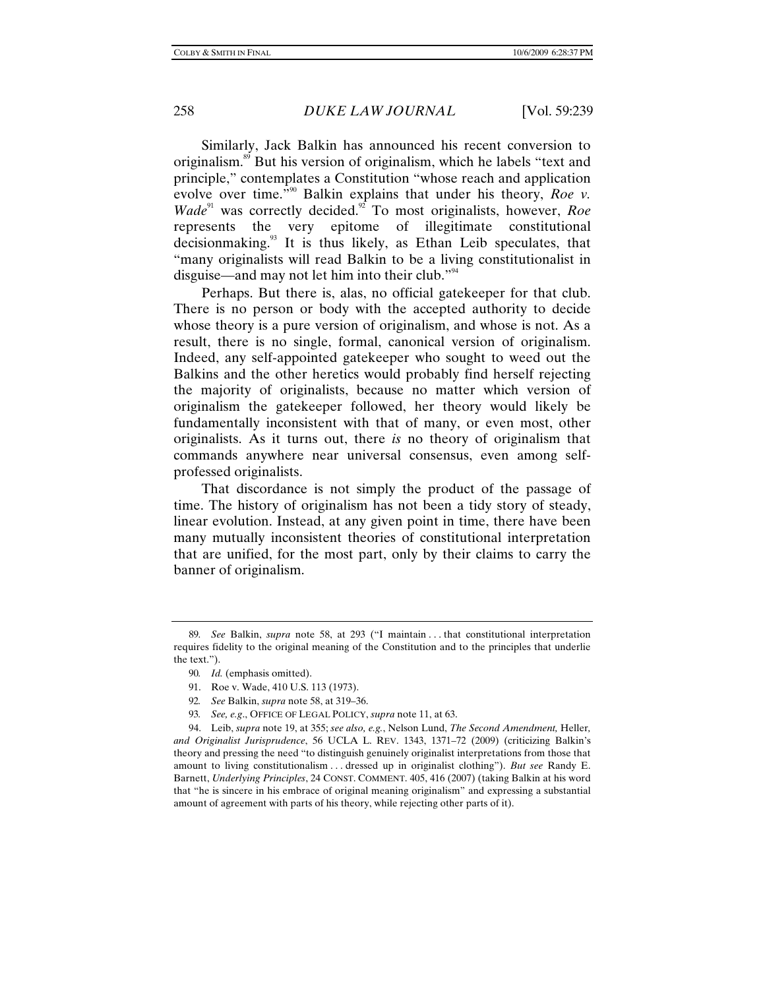Similarly, Jack Balkin has announced his recent conversion to originalism.89 But his version of originalism, which he labels "text and principle," contemplates a Constitution "whose reach and application evolve over time.<sup>"90</sup> Balkin explains that under his theory, *Roe v. Wade*<sup>91</sup> was correctly decided.<sup>92</sup> To most originalists, however, *Roe* represents the very epitome of illegitimate constitutional decisionmaking.<sup>93</sup> It is thus likely, as Ethan Leib speculates, that "many originalists will read Balkin to be a living constitutionalist in disguise—and may not let him into their club."<sup>94</sup>

Perhaps. But there is, alas, no official gatekeeper for that club. There is no person or body with the accepted authority to decide whose theory is a pure version of originalism, and whose is not. As a result, there is no single, formal, canonical version of originalism. Indeed, any self-appointed gatekeeper who sought to weed out the Balkins and the other heretics would probably find herself rejecting the majority of originalists, because no matter which version of originalism the gatekeeper followed, her theory would likely be fundamentally inconsistent with that of many, or even most, other originalists. As it turns out, there *is* no theory of originalism that commands anywhere near universal consensus, even among selfprofessed originalists.

That discordance is not simply the product of the passage of time. The history of originalism has not been a tidy story of steady, linear evolution. Instead, at any given point in time, there have been many mutually inconsistent theories of constitutional interpretation that are unified, for the most part, only by their claims to carry the banner of originalism.

<sup>89</sup>*. See* Balkin, *supra* note 58, at 293 ("I maintain . . . that constitutional interpretation requires fidelity to the original meaning of the Constitution and to the principles that underlie the text.").

<sup>90</sup>*. Id.* (emphasis omitted).

 <sup>91.</sup> Roe v. Wade, 410 U.S. 113 (1973).

<sup>92</sup>*. See* Balkin, *supra* note 58, at 319–36.

<sup>93</sup>*. See, e.g*., OFFICE OF LEGAL POLICY, *supra* note 11, at 63.

 <sup>94.</sup> Leib, *supra* note 19, at 355; *see also, e.g.*, Nelson Lund, *The Second Amendment,* Heller*, and Originalist Jurisprudence*, 56 UCLA L. REV. 1343, 1371–72 (2009) (criticizing Balkin's theory and pressing the need "to distinguish genuinely originalist interpretations from those that amount to living constitutionalism . . . dressed up in originalist clothing"). *But see* Randy E. Barnett, *Underlying Principles*, 24 CONST. COMMENT. 405, 416 (2007) (taking Balkin at his word that "he is sincere in his embrace of original meaning originalism" and expressing a substantial amount of agreement with parts of his theory, while rejecting other parts of it).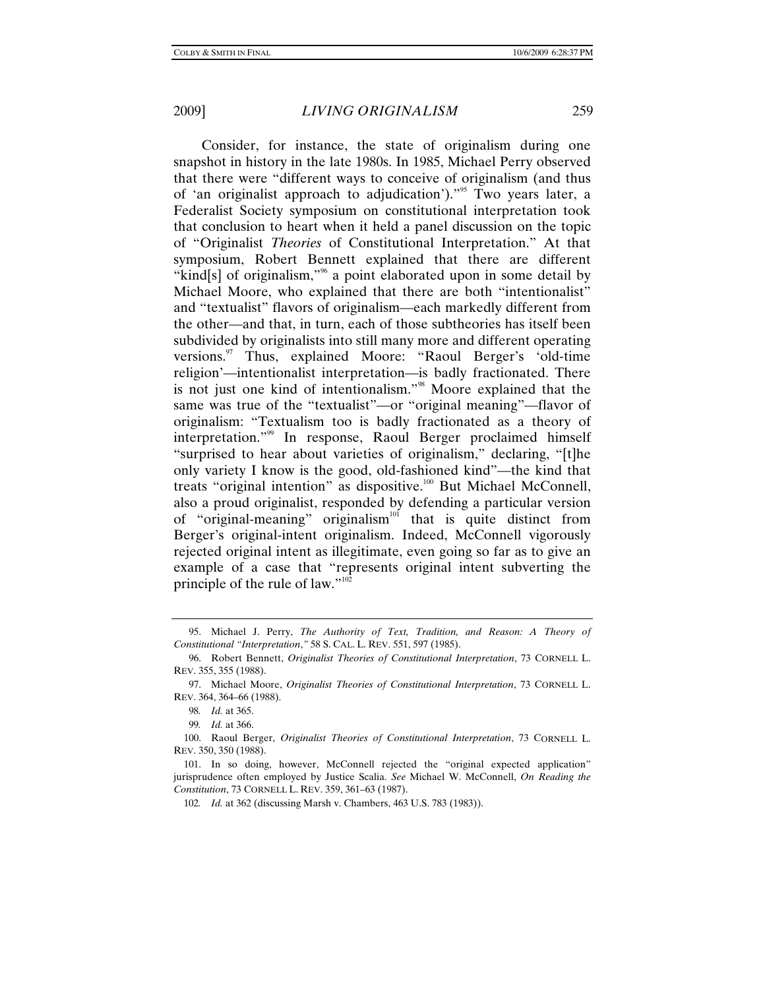Consider, for instance, the state of originalism during one snapshot in history in the late 1980s. In 1985, Michael Perry observed that there were "different ways to conceive of originalism (and thus of 'an originalist approach to adjudication')."<sup>95</sup> Two years later, a Federalist Society symposium on constitutional interpretation took that conclusion to heart when it held a panel discussion on the topic of "Originalist *Theories* of Constitutional Interpretation." At that symposium, Robert Bennett explained that there are different "kind[s] of originalism,"<sup>%</sup> a point elaborated upon in some detail by Michael Moore, who explained that there are both "intentionalist" and "textualist" flavors of originalism—each markedly different from the other—and that, in turn, each of those subtheories has itself been subdivided by originalists into still many more and different operating versions.<sup>97</sup> Thus, explained Moore: "Raoul Berger's 'old-time religion'—intentionalist interpretation—is badly fractionated. There is not just one kind of intentionalism."98 Moore explained that the same was true of the "textualist"—or "original meaning"—flavor of originalism: "Textualism too is badly fractionated as a theory of interpretation."99 In response, Raoul Berger proclaimed himself "surprised to hear about varieties of originalism," declaring, "[t]he only variety I know is the good, old-fashioned kind"—the kind that treats "original intention" as dispositive.<sup>100</sup> But Michael McConnell, also a proud originalist, responded by defending a particular version of "original-meaning" originalism<sup>101</sup> that is quite distinct from Berger's original-intent originalism. Indeed, McConnell vigorously rejected original intent as illegitimate, even going so far as to give an example of a case that "represents original intent subverting the principle of the rule of law." $102$ 

 <sup>95.</sup> Michael J. Perry, *The Authority of Text, Tradition, and Reason: A Theory of Constitutional "Interpretation*,*"* 58 S. CAL. L. REV. 551, 597 (1985).

 <sup>96.</sup> Robert Bennett, *Originalist Theories of Constitutional Interpretation*, 73 CORNELL L. REV. 355, 355 (1988).

 <sup>97.</sup> Michael Moore, *Originalist Theories of Constitutional Interpretation*, 73 CORNELL L. REV. 364, 364–66 (1988).

<sup>98</sup>*. Id.* at 365.

<sup>99</sup>*. Id.* at 366.

 <sup>100.</sup> Raoul Berger, *Originalist Theories of Constitutional Interpretation*, 73 CORNELL L. REV. 350, 350 (1988).

 <sup>101.</sup> In so doing, however, McConnell rejected the "original expected application" jurisprudence often employed by Justice Scalia. *See* Michael W. McConnell, *On Reading the Constitution*, 73 CORNELL L. REV. 359, 361–63 (1987).

<sup>102</sup>*. Id.* at 362 (discussing Marsh v. Chambers, 463 U.S. 783 (1983)).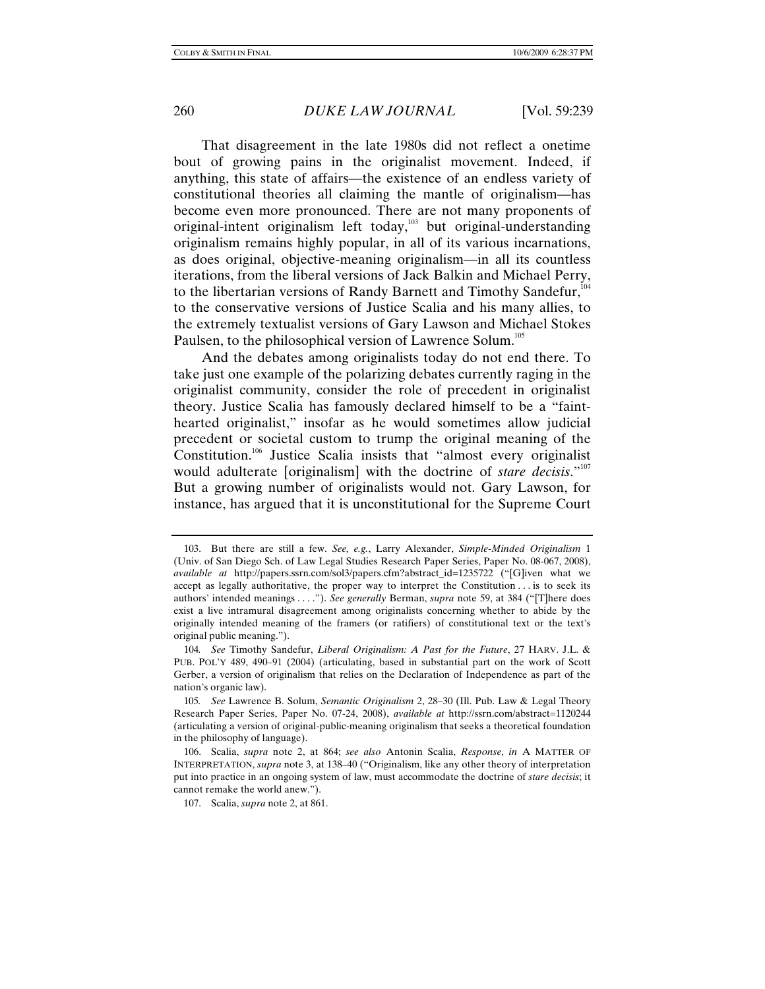That disagreement in the late 1980s did not reflect a onetime bout of growing pains in the originalist movement. Indeed, if anything, this state of affairs—the existence of an endless variety of constitutional theories all claiming the mantle of originalism—has become even more pronounced. There are not many proponents of original-intent originalism left today, $103$  but original-understanding originalism remains highly popular, in all of its various incarnations, as does original, objective-meaning originalism—in all its countless iterations, from the liberal versions of Jack Balkin and Michael Perry, to the libertarian versions of Randy Barnett and Timothy Sandefur,<sup>104</sup> to the conservative versions of Justice Scalia and his many allies, to the extremely textualist versions of Gary Lawson and Michael Stokes Paulsen, to the philosophical version of Lawrence Solum.<sup>105</sup>

And the debates among originalists today do not end there. To take just one example of the polarizing debates currently raging in the originalist community, consider the role of precedent in originalist theory. Justice Scalia has famously declared himself to be a "fainthearted originalist," insofar as he would sometimes allow judicial precedent or societal custom to trump the original meaning of the Constitution.<sup>106</sup> Justice Scalia insists that "almost every originalist would adulterate [originalism] with the doctrine of *stare decisis*."<sup>107</sup> But a growing number of originalists would not. Gary Lawson, for instance, has argued that it is unconstitutional for the Supreme Court

 <sup>103.</sup> But there are still a few. *See, e.g.*, Larry Alexander, *Simple-Minded Originalism* 1 (Univ. of San Diego Sch. of Law Legal Studies Research Paper Series, Paper No. 08-067, 2008), *available at* http://papers.ssrn.com/sol3/papers.cfm?abstract\_id=1235722 ("[G]iven what we accept as legally authoritative, the proper way to interpret the Constitution . . . is to seek its authors' intended meanings . . . ."). *See generally* Berman, *supra* note 59, at 384 ("[T]here does exist a live intramural disagreement among originalists concerning whether to abide by the originally intended meaning of the framers (or ratifiers) of constitutional text or the text's original public meaning.").

<sup>104</sup>*. See* Timothy Sandefur, *Liberal Originalism: A Past for the Future*, 27 HARV. J.L. & PUB. POL'Y 489, 490–91 (2004) (articulating, based in substantial part on the work of Scott Gerber, a version of originalism that relies on the Declaration of Independence as part of the nation's organic law).

<sup>105</sup>*. See* Lawrence B. Solum, *Semantic Originalism* 2, 28–30 (Ill. Pub. Law & Legal Theory Research Paper Series, Paper No. 07-24, 2008), *available at* http://ssrn.com/abstract=1120244 (articulating a version of original-public-meaning originalism that seeks a theoretical foundation in the philosophy of language).

 <sup>106.</sup> Scalia, *supra* note 2, at 864; *see also* Antonin Scalia, *Response*, *in* A MATTER OF INTERPRETATION, *supra* note 3, at 138–40 ("Originalism, like any other theory of interpretation put into practice in an ongoing system of law, must accommodate the doctrine of *stare decisis*; it cannot remake the world anew.").

 <sup>107.</sup> Scalia, *supra* note 2, at 861.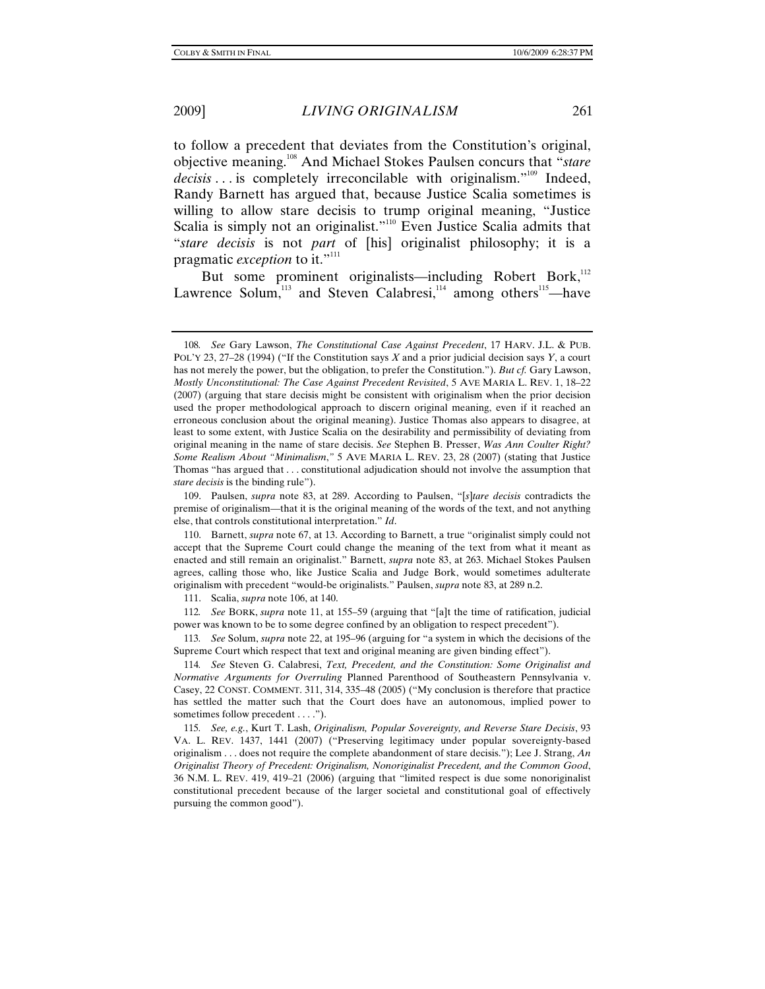to follow a precedent that deviates from the Constitution's original, objective meaning.108 And Michael Stokes Paulsen concurs that "*stare*  decisis . . . is completely irreconcilable with originalism."<sup>109</sup> Indeed, Randy Barnett has argued that, because Justice Scalia sometimes is willing to allow stare decisis to trump original meaning, "Justice Scalia is simply not an originalist."<sup>110</sup> Even Justice Scalia admits that "*stare decisis* is not *part* of [his] originalist philosophy; it is a pragmatic *exception* to it."<sup>111</sup>

But some prominent originalists—including Robert Bork,<sup>112</sup> Lawrence Solum, $113$  and Steven Calabresi, $114$  among others<sup>115</sup>—have

111. Scalia, *supra* note 106, at 140.

112*. See* BORK, *supra* note 11, at 155–59 (arguing that "[a]t the time of ratification, judicial power was known to be to some degree confined by an obligation to respect precedent").

113*. See* Solum, *supra* note 22, at 195–96 (arguing for "a system in which the decisions of the Supreme Court which respect that text and original meaning are given binding effect").

114*. See* Steven G. Calabresi, *Text, Precedent, and the Constitution: Some Originalist and Normative Arguments for Overruling* Planned Parenthood of Southeastern Pennsylvania v. Casey, 22 CONST. COMMENT. 311, 314, 335–48 (2005) ("My conclusion is therefore that practice has settled the matter such that the Court does have an autonomous, implied power to sometimes follow precedent . . . .").

115*. See, e.g.*, Kurt T. Lash, *Originalism, Popular Sovereignty, and Reverse Stare Decisis*, 93 VA. L. REV. 1437, 1441 (2007) ("Preserving legitimacy under popular sovereignty-based originalism . . . does not require the complete abandonment of stare decisis."); Lee J. Strang, *An Originalist Theory of Precedent: Originalism, Nonoriginalist Precedent, and the Common Good*, 36 N.M. L. REV. 419, 419–21 (2006) (arguing that "limited respect is due some nonoriginalist constitutional precedent because of the larger societal and constitutional goal of effectively pursuing the common good").

<sup>108</sup>*. See* Gary Lawson, *The Constitutional Case Against Precedent*, 17 HARV. J.L. & PUB. POL'Y 23, 27–28 (1994) ("If the Constitution says *X* and a prior judicial decision says *Y*, a court has not merely the power, but the obligation, to prefer the Constitution."). *But cf.* Gary Lawson, *Mostly Unconstitutional: The Case Against Precedent Revisited*, 5 AVE MARIA L. REV. 1, 18–22 (2007) (arguing that stare decisis might be consistent with originalism when the prior decision used the proper methodological approach to discern original meaning, even if it reached an erroneous conclusion about the original meaning). Justice Thomas also appears to disagree, at least to some extent, with Justice Scalia on the desirability and permissibility of deviating from original meaning in the name of stare decisis. *See* Stephen B. Presser, *Was Ann Coulter Right? Some Realism About "Minimalism*,*"* 5 AVE MARIA L. REV. 23, 28 (2007) (stating that Justice Thomas "has argued that . . . constitutional adjudication should not involve the assumption that *stare decisis* is the binding rule").

 <sup>109.</sup> Paulsen, *supra* note 83, at 289. According to Paulsen, "[*s*]*tare decisis* contradicts the premise of originalism—that it is the original meaning of the words of the text, and not anything else, that controls constitutional interpretation." *Id*.

 <sup>110.</sup> Barnett, *supra* note 67, at 13. According to Barnett, a true "originalist simply could not accept that the Supreme Court could change the meaning of the text from what it meant as enacted and still remain an originalist." Barnett, *supra* note 83, at 263. Michael Stokes Paulsen agrees, calling those who, like Justice Scalia and Judge Bork, would sometimes adulterate originalism with precedent "would-be originalists." Paulsen, *supra* note 83, at 289 n.2.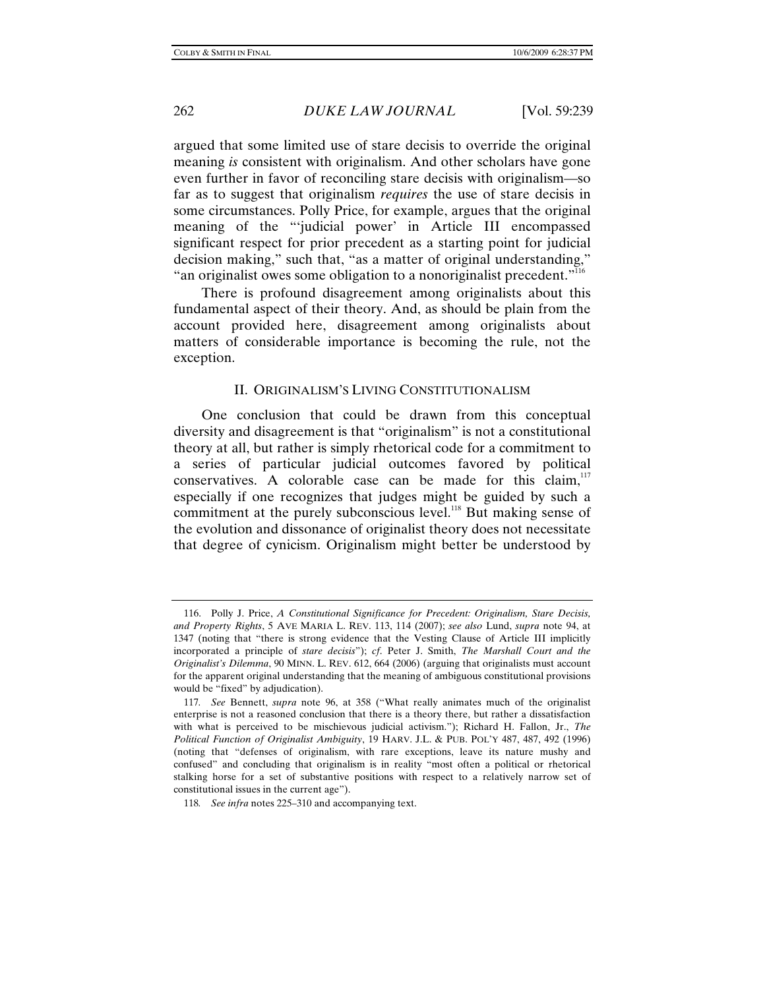argued that some limited use of stare decisis to override the original meaning *is* consistent with originalism. And other scholars have gone even further in favor of reconciling stare decisis with originalism—so far as to suggest that originalism *requires* the use of stare decisis in some circumstances. Polly Price, for example, argues that the original meaning of the "'judicial power' in Article III encompassed significant respect for prior precedent as a starting point for judicial decision making," such that, "as a matter of original understanding," "an originalist owes some obligation to a nonoriginalist precedent."<sup>116</sup>

There is profound disagreement among originalists about this fundamental aspect of their theory. And, as should be plain from the account provided here, disagreement among originalists about matters of considerable importance is becoming the rule, not the exception.

#### II. ORIGINALISM'S LIVING CONSTITUTIONALISM

One conclusion that could be drawn from this conceptual diversity and disagreement is that "originalism" is not a constitutional theory at all, but rather is simply rhetorical code for a commitment to a series of particular judicial outcomes favored by political conservatives. A colorable case can be made for this claim, $117$ especially if one recognizes that judges might be guided by such a commitment at the purely subconscious level.<sup>118</sup> But making sense of the evolution and dissonance of originalist theory does not necessitate that degree of cynicism. Originalism might better be understood by

 <sup>116.</sup> Polly J. Price, *A Constitutional Significance for Precedent: Originalism, Stare Decisis, and Property Rights*, 5 AVE MARIA L. REV. 113, 114 (2007); *see also* Lund, *supra* note 94, at 1347 (noting that "there is strong evidence that the Vesting Clause of Article III implicitly incorporated a principle of *stare decisis*"); *cf*. Peter J. Smith, *The Marshall Court and the Originalist's Dilemma*, 90 MINN. L. REV. 612, 664 (2006) (arguing that originalists must account for the apparent original understanding that the meaning of ambiguous constitutional provisions would be "fixed" by adjudication).

<sup>117</sup>*. See* Bennett, *supra* note 96, at 358 ("What really animates much of the originalist enterprise is not a reasoned conclusion that there is a theory there, but rather a dissatisfaction with what is perceived to be mischievous judicial activism."); Richard H. Fallon, Jr., *The Political Function of Originalist Ambiguity*, 19 HARV. J.L. & PUB. POL'Y 487, 487, 492 (1996) (noting that "defenses of originalism, with rare exceptions, leave its nature mushy and confused" and concluding that originalism is in reality "most often a political or rhetorical stalking horse for a set of substantive positions with respect to a relatively narrow set of constitutional issues in the current age").

<sup>118</sup>*. See infra* notes 225–310 and accompanying text.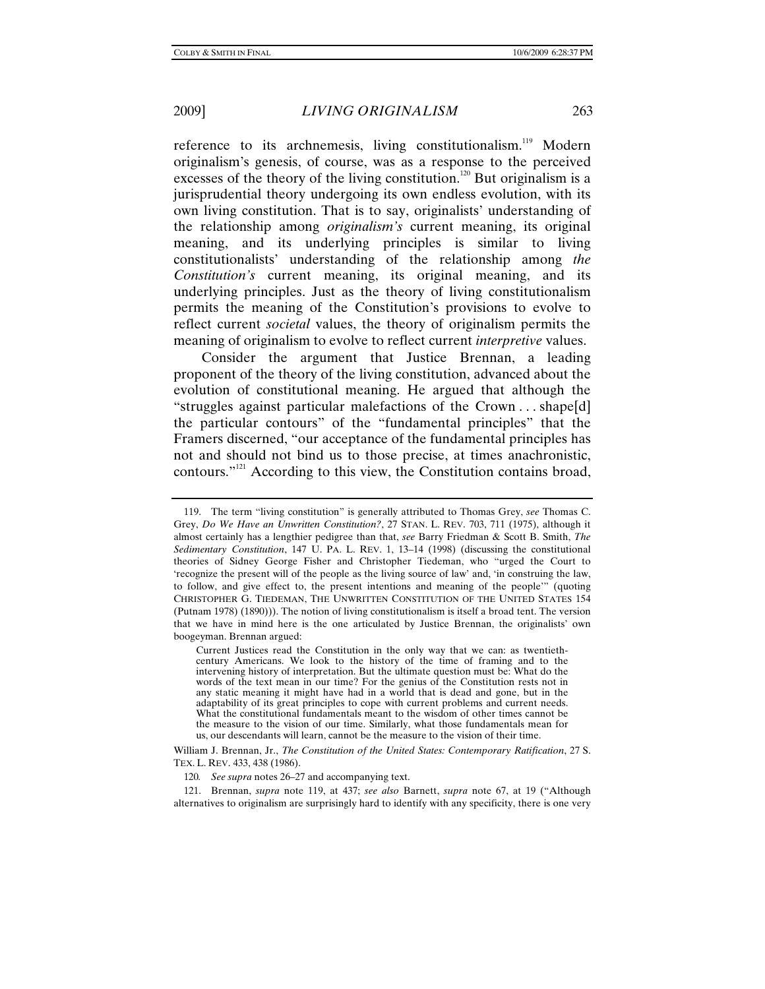reference to its archnemesis, living constitutionalism.<sup>119</sup> Modern originalism's genesis, of course, was as a response to the perceived excesses of the theory of the living constitution.<sup>120</sup> But originalism is a jurisprudential theory undergoing its own endless evolution, with its own living constitution. That is to say, originalists' understanding of the relationship among *originalism's* current meaning, its original meaning, and its underlying principles is similar to living constitutionalists' understanding of the relationship among *the Constitution's* current meaning, its original meaning, and its underlying principles. Just as the theory of living constitutionalism permits the meaning of the Constitution's provisions to evolve to reflect current *societal* values, the theory of originalism permits the meaning of originalism to evolve to reflect current *interpretive* values.

Consider the argument that Justice Brennan, a leading proponent of the theory of the living constitution, advanced about the evolution of constitutional meaning. He argued that although the "struggles against particular malefactions of the Crown . . . shape[d] the particular contours" of the "fundamental principles" that the Framers discerned, "our acceptance of the fundamental principles has not and should not bind us to those precise, at times anachronistic, contours."121 According to this view, the Constitution contains broad,

William J. Brennan, Jr., *The Constitution of the United States: Contemporary Ratification*, 27 S. TEX. L. REV. 433, 438 (1986).

120*. See supra* notes 26–27 and accompanying text.

 121. Brennan, *supra* note 119, at 437; *see also* Barnett, *supra* note 67, at 19 ("Although alternatives to originalism are surprisingly hard to identify with any specificity, there is one very

 <sup>119.</sup> The term "living constitution" is generally attributed to Thomas Grey, *see* Thomas C. Grey, *Do We Have an Unwritten Constitution?*, 27 STAN. L. REV. 703, 711 (1975), although it almost certainly has a lengthier pedigree than that, *see* Barry Friedman & Scott B. Smith, *The Sedimentary Constitution*, 147 U. PA. L. REV. 1, 13–14 (1998) (discussing the constitutional theories of Sidney George Fisher and Christopher Tiedeman, who "urged the Court to 'recognize the present will of the people as the living source of law' and, 'in construing the law, to follow, and give effect to, the present intentions and meaning of the people'" (quoting CHRISTOPHER G. TIEDEMAN, THE UNWRITTEN CONSTITUTION OF THE UNITED STATES 154 (Putnam 1978) (1890))). The notion of living constitutionalism is itself a broad tent. The version that we have in mind here is the one articulated by Justice Brennan, the originalists' own boogeyman. Brennan argued:

Current Justices read the Constitution in the only way that we can: as twentiethcentury Americans. We look to the history of the time of framing and to the intervening history of interpretation. But the ultimate question must be: What do the words of the text mean in our time? For the genius of the Constitution rests not in any static meaning it might have had in a world that is dead and gone, but in the adaptability of its great principles to cope with current problems and current needs. What the constitutional fundamentals meant to the wisdom of other times cannot be the measure to the vision of our time. Similarly, what those fundamentals mean for us, our descendants will learn, cannot be the measure to the vision of their time.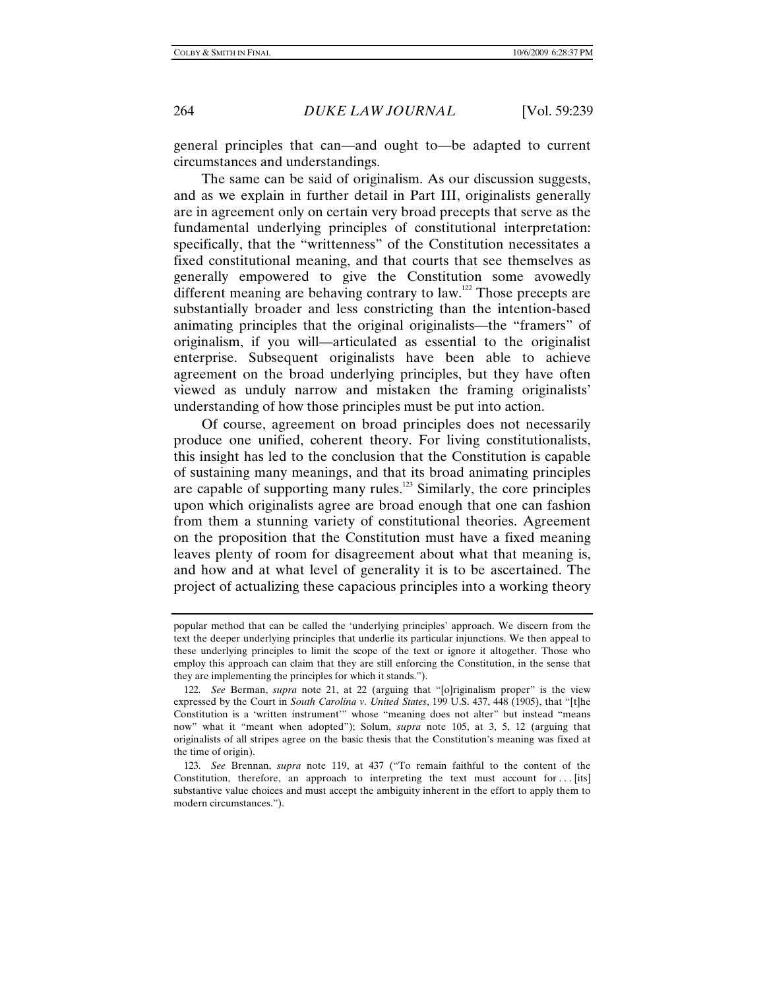general principles that can—and ought to—be adapted to current circumstances and understandings.

The same can be said of originalism. As our discussion suggests, and as we explain in further detail in Part III, originalists generally are in agreement only on certain very broad precepts that serve as the fundamental underlying principles of constitutional interpretation: specifically, that the "writtenness" of the Constitution necessitates a fixed constitutional meaning, and that courts that see themselves as generally empowered to give the Constitution some avowedly different meaning are behaving contrary to law.<sup>122</sup> Those precepts are substantially broader and less constricting than the intention-based animating principles that the original originalists—the "framers" of originalism, if you will—articulated as essential to the originalist enterprise. Subsequent originalists have been able to achieve agreement on the broad underlying principles, but they have often viewed as unduly narrow and mistaken the framing originalists' understanding of how those principles must be put into action.

Of course, agreement on broad principles does not necessarily produce one unified, coherent theory. For living constitutionalists, this insight has led to the conclusion that the Constitution is capable of sustaining many meanings, and that its broad animating principles are capable of supporting many rules. $123$  Similarly, the core principles upon which originalists agree are broad enough that one can fashion from them a stunning variety of constitutional theories. Agreement on the proposition that the Constitution must have a fixed meaning leaves plenty of room for disagreement about what that meaning is, and how and at what level of generality it is to be ascertained. The project of actualizing these capacious principles into a working theory

popular method that can be called the 'underlying principles' approach. We discern from the text the deeper underlying principles that underlie its particular injunctions. We then appeal to these underlying principles to limit the scope of the text or ignore it altogether. Those who employ this approach can claim that they are still enforcing the Constitution, in the sense that they are implementing the principles for which it stands.").

<sup>122</sup>*. See* Berman, *supra* note 21, at 22 (arguing that "[o]riginalism proper" is the view expressed by the Court in *South Carolina v. United States*, 199 U.S. 437, 448 (1905), that "[t]he Constitution is a 'written instrument'" whose "meaning does not alter" but instead "means now" what it "meant when adopted"); Solum, *supra* note 105, at 3, 5, 12 (arguing that originalists of all stripes agree on the basic thesis that the Constitution's meaning was fixed at the time of origin).

<sup>123</sup>*. See* Brennan, *supra* note 119, at 437 ("To remain faithful to the content of the Constitution, therefore, an approach to interpreting the text must account for . . . [its] substantive value choices and must accept the ambiguity inherent in the effort to apply them to modern circumstances.").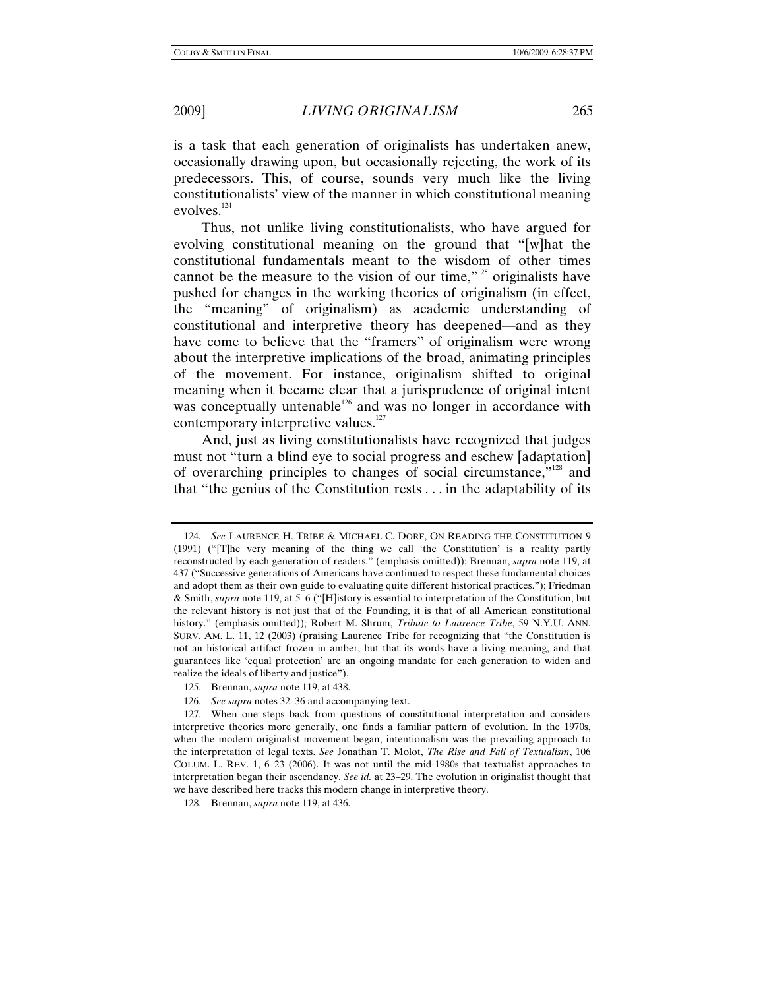is a task that each generation of originalists has undertaken anew, occasionally drawing upon, but occasionally rejecting, the work of its predecessors. This, of course, sounds very much like the living constitutionalists' view of the manner in which constitutional meaning evolves.<sup>124</sup>

Thus, not unlike living constitutionalists, who have argued for evolving constitutional meaning on the ground that "[w]hat the constitutional fundamentals meant to the wisdom of other times cannot be the measure to the vision of our time,"<sup>125</sup> originalists have pushed for changes in the working theories of originalism (in effect, the "meaning" of originalism) as academic understanding of constitutional and interpretive theory has deepened—and as they have come to believe that the "framers" of originalism were wrong about the interpretive implications of the broad, animating principles of the movement. For instance, originalism shifted to original meaning when it became clear that a jurisprudence of original intent was conceptually untenable<sup>126</sup> and was no longer in accordance with contemporary interpretive values.<sup>127</sup>

And, just as living constitutionalists have recognized that judges must not "turn a blind eye to social progress and eschew [adaptation] of overarching principles to changes of social circumstance,"128 and that "the genius of the Constitution rests . . . in the adaptability of its

<sup>124</sup>*. See* LAURENCE H. TRIBE & MICHAEL C. DORF, ON READING THE CONSTITUTION 9 (1991) ("[T]he very meaning of the thing we call 'the Constitution' is a reality partly reconstructed by each generation of readers." (emphasis omitted)); Brennan, *supra* note 119, at 437 ("Successive generations of Americans have continued to respect these fundamental choices and adopt them as their own guide to evaluating quite different historical practices."); Friedman & Smith, *supra* note 119, at 5–6 ("[H]istory is essential to interpretation of the Constitution, but the relevant history is not just that of the Founding, it is that of all American constitutional history." (emphasis omitted)); Robert M. Shrum, *Tribute to Laurence Tribe*, 59 N.Y.U. ANN. SURV. AM. L. 11, 12 (2003) (praising Laurence Tribe for recognizing that "the Constitution is not an historical artifact frozen in amber, but that its words have a living meaning, and that guarantees like 'equal protection' are an ongoing mandate for each generation to widen and realize the ideals of liberty and justice").

 <sup>125.</sup> Brennan, *supra* note 119, at 438.

<sup>126</sup>*. See supra* notes 32–36 and accompanying text.

 <sup>127.</sup> When one steps back from questions of constitutional interpretation and considers interpretive theories more generally, one finds a familiar pattern of evolution. In the 1970s, when the modern originalist movement began, intentionalism was the prevailing approach to the interpretation of legal texts. *See* Jonathan T. Molot, *The Rise and Fall of Textualism*, 106 COLUM. L. REV. 1, 6–23 (2006). It was not until the mid-1980s that textualist approaches to interpretation began their ascendancy. *See id.* at 23–29. The evolution in originalist thought that we have described here tracks this modern change in interpretive theory.

 <sup>128.</sup> Brennan, *supra* note 119, at 436.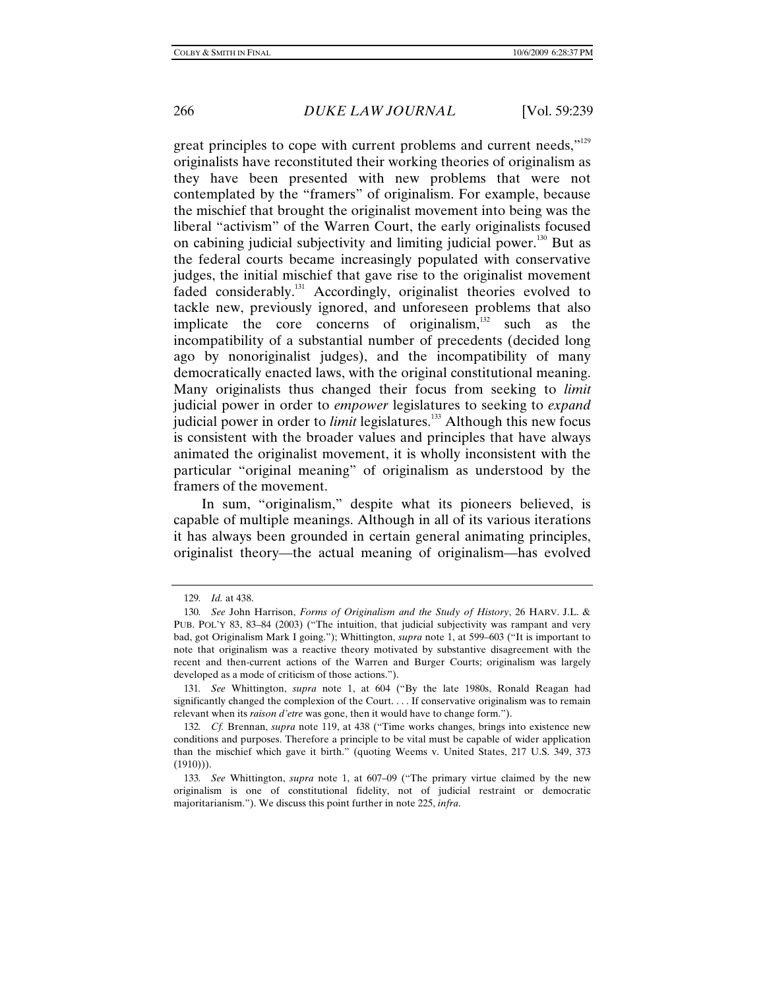great principles to cope with current problems and current needs,"<sup>129</sup> originalists have reconstituted their working theories of originalism as they have been presented with new problems that were not contemplated by the "framers" of originalism. For example, because the mischief that brought the originalist movement into being was the liberal "activism" of the Warren Court, the early originalists focused on cabining judicial subjectivity and limiting judicial power.130 But as the federal courts became increasingly populated with conservative judges, the initial mischief that gave rise to the originalist movement faded considerably.<sup>131</sup> Accordingly, originalist theories evolved to tackle new, previously ignored, and unforeseen problems that also implicate the core concerns of originalism, $132$  such as the incompatibility of a substantial number of precedents (decided long ago by nonoriginalist judges), and the incompatibility of many democratically enacted laws, with the original constitutional meaning. Many originalists thus changed their focus from seeking to *limit* judicial power in order to *empower* legislatures to seeking to *expand* judicial power in order to *limit* legislatures.<sup>133</sup> Although this new focus is consistent with the broader values and principles that have always animated the originalist movement, it is wholly inconsistent with the particular "original meaning" of originalism as understood by the framers of the movement.

In sum, "originalism," despite what its pioneers believed, is capable of multiple meanings. Although in all of its various iterations it has always been grounded in certain general animating principles, originalist theory—the actual meaning of originalism—has evolved

<sup>129</sup>*. Id.* at 438.

<sup>130</sup>*. See* John Harrison, *Forms of Originalism and the Study of History*, 26 HARV. J.L. & PUB. POL'Y 83, 83–84 (2003) ("The intuition, that judicial subjectivity was rampant and very bad, got Originalism Mark I going."); Whittington, *supra* note 1, at 599–603 ("It is important to note that originalism was a reactive theory motivated by substantive disagreement with the recent and then-current actions of the Warren and Burger Courts; originalism was largely developed as a mode of criticism of those actions.").

<sup>131</sup>*. See* Whittington, *supra* note 1, at 604 ("By the late 1980s, Ronald Reagan had significantly changed the complexion of the Court. . . . If conservative originalism was to remain relevant when its *raison d'etre* was gone, then it would have to change form.").

<sup>132</sup>*. Cf.* Brennan, *supra* note 119, at 438 ("Time works changes, brings into existence new conditions and purposes. Therefore a principle to be vital must be capable of wider application than the mischief which gave it birth." (quoting Weems v. United States, 217 U.S. 349, 373  $(1910))$ .

<sup>133</sup>*. See* Whittington, *supra* note 1, at 607–09 ("The primary virtue claimed by the new originalism is one of constitutional fidelity, not of judicial restraint or democratic majoritarianism."). We discuss this point further in note 225, *infra*.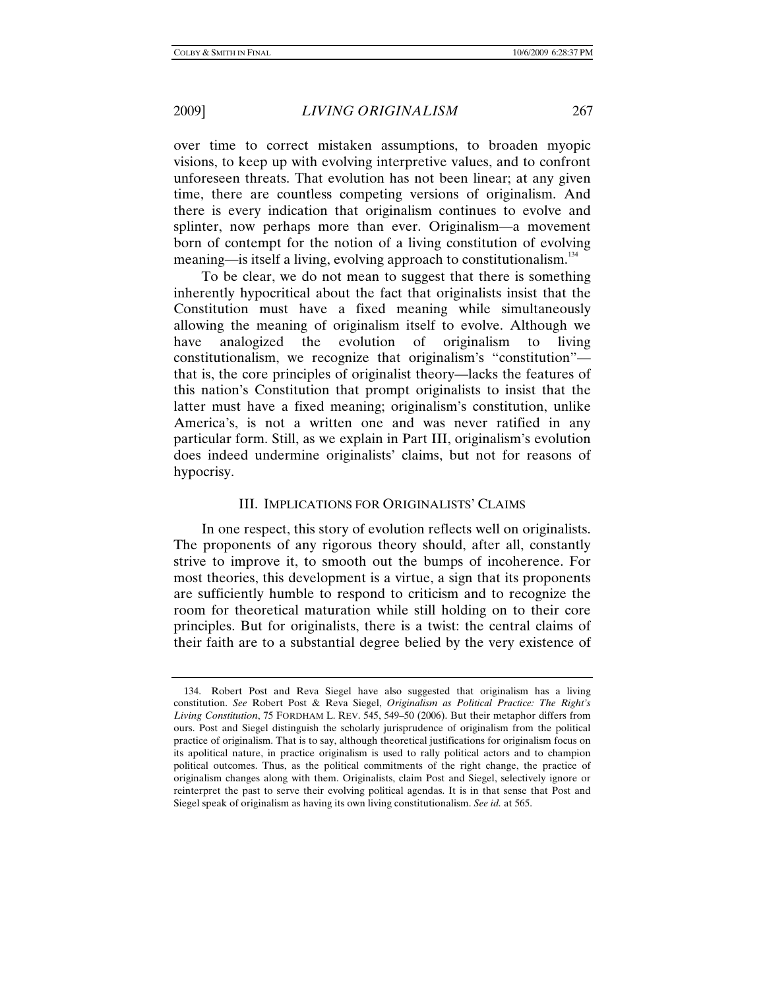over time to correct mistaken assumptions, to broaden myopic visions, to keep up with evolving interpretive values, and to confront unforeseen threats. That evolution has not been linear; at any given time, there are countless competing versions of originalism. And there is every indication that originalism continues to evolve and splinter, now perhaps more than ever. Originalism—a movement born of contempt for the notion of a living constitution of evolving meaning—is itself a living, evolving approach to constitutionalism.<sup>134</sup>

To be clear, we do not mean to suggest that there is something inherently hypocritical about the fact that originalists insist that the Constitution must have a fixed meaning while simultaneously allowing the meaning of originalism itself to evolve. Although we have analogized the evolution of originalism to living constitutionalism, we recognize that originalism's "constitution" that is, the core principles of originalist theory—lacks the features of this nation's Constitution that prompt originalists to insist that the latter must have a fixed meaning; originalism's constitution, unlike America's, is not a written one and was never ratified in any particular form. Still, as we explain in Part III, originalism's evolution does indeed undermine originalists' claims, but not for reasons of hypocrisy.

### III. IMPLICATIONS FOR ORIGINALISTS' CLAIMS

In one respect, this story of evolution reflects well on originalists. The proponents of any rigorous theory should, after all, constantly strive to improve it, to smooth out the bumps of incoherence. For most theories, this development is a virtue, a sign that its proponents are sufficiently humble to respond to criticism and to recognize the room for theoretical maturation while still holding on to their core principles. But for originalists, there is a twist: the central claims of their faith are to a substantial degree belied by the very existence of

 <sup>134.</sup> Robert Post and Reva Siegel have also suggested that originalism has a living constitution. *See* Robert Post & Reva Siegel, *Originalism as Political Practice: The Right's Living Constitution*, 75 FORDHAM L. REV. 545, 549–50 (2006). But their metaphor differs from ours. Post and Siegel distinguish the scholarly jurisprudence of originalism from the political practice of originalism. That is to say, although theoretical justifications for originalism focus on its apolitical nature, in practice originalism is used to rally political actors and to champion political outcomes. Thus, as the political commitments of the right change, the practice of originalism changes along with them. Originalists, claim Post and Siegel, selectively ignore or reinterpret the past to serve their evolving political agendas. It is in that sense that Post and Siegel speak of originalism as having its own living constitutionalism. *See id.* at 565.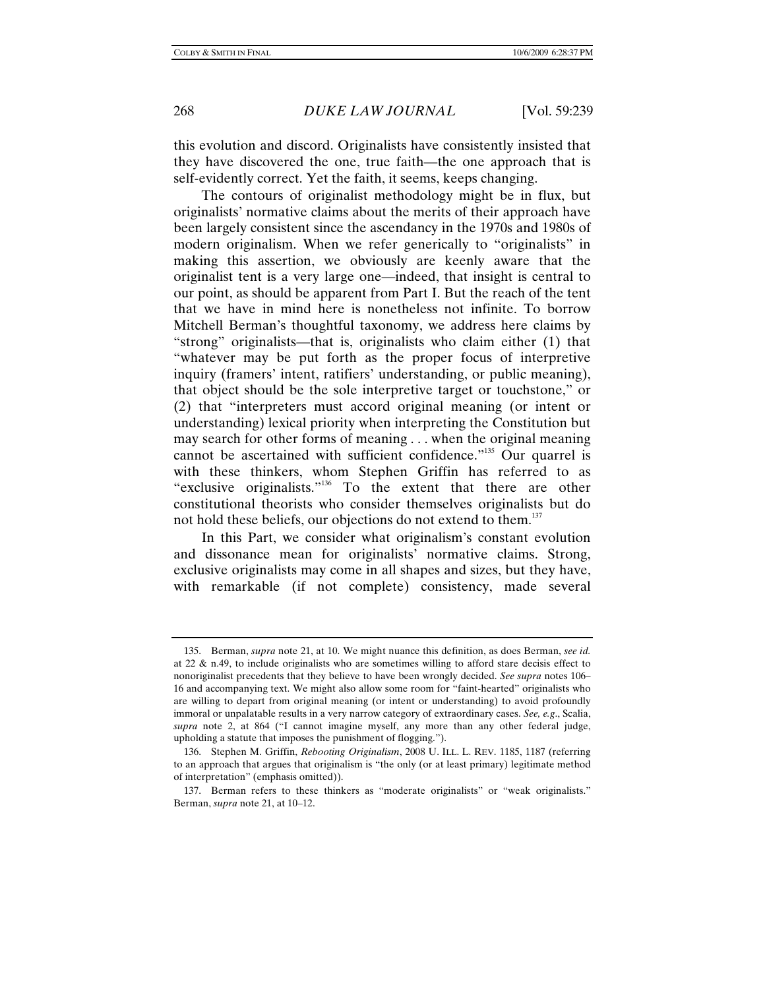this evolution and discord. Originalists have consistently insisted that they have discovered the one, true faith—the one approach that is self-evidently correct. Yet the faith, it seems, keeps changing.

The contours of originalist methodology might be in flux, but originalists' normative claims about the merits of their approach have been largely consistent since the ascendancy in the 1970s and 1980s of modern originalism. When we refer generically to "originalists" in making this assertion, we obviously are keenly aware that the originalist tent is a very large one—indeed, that insight is central to our point, as should be apparent from Part I. But the reach of the tent that we have in mind here is nonetheless not infinite. To borrow Mitchell Berman's thoughtful taxonomy, we address here claims by "strong" originalists—that is, originalists who claim either (1) that "whatever may be put forth as the proper focus of interpretive inquiry (framers' intent, ratifiers' understanding, or public meaning), that object should be the sole interpretive target or touchstone," or (2) that "interpreters must accord original meaning (or intent or understanding) lexical priority when interpreting the Constitution but may search for other forms of meaning . . . when the original meaning cannot be ascertained with sufficient confidence."<sup>135</sup> Our quarrel is with these thinkers, whom Stephen Griffin has referred to as "exclusive originalists."<sup>136</sup> To the extent that there are other constitutional theorists who consider themselves originalists but do not hold these beliefs, our objections do not extend to them.<sup>137</sup>

In this Part, we consider what originalism's constant evolution and dissonance mean for originalists' normative claims. Strong, exclusive originalists may come in all shapes and sizes, but they have, with remarkable (if not complete) consistency, made several

 <sup>135.</sup> Berman, *supra* note 21, at 10. We might nuance this definition, as does Berman, *see id.*  at 22 & n.49, to include originalists who are sometimes willing to afford stare decisis effect to nonoriginalist precedents that they believe to have been wrongly decided. *See supra* notes 106– 16 and accompanying text. We might also allow some room for "faint-hearted" originalists who are willing to depart from original meaning (or intent or understanding) to avoid profoundly immoral or unpalatable results in a very narrow category of extraordinary cases. *See, e.g*., Scalia, *supra* note 2, at 864 ("I cannot imagine myself, any more than any other federal judge, upholding a statute that imposes the punishment of flogging.").

 <sup>136.</sup> Stephen M. Griffin, *Rebooting Originalism*, 2008 U. ILL. L. REV. 1185, 1187 (referring to an approach that argues that originalism is "the only (or at least primary) legitimate method of interpretation" (emphasis omitted)).

 <sup>137.</sup> Berman refers to these thinkers as "moderate originalists" or "weak originalists." Berman, *supra* note 21, at 10–12.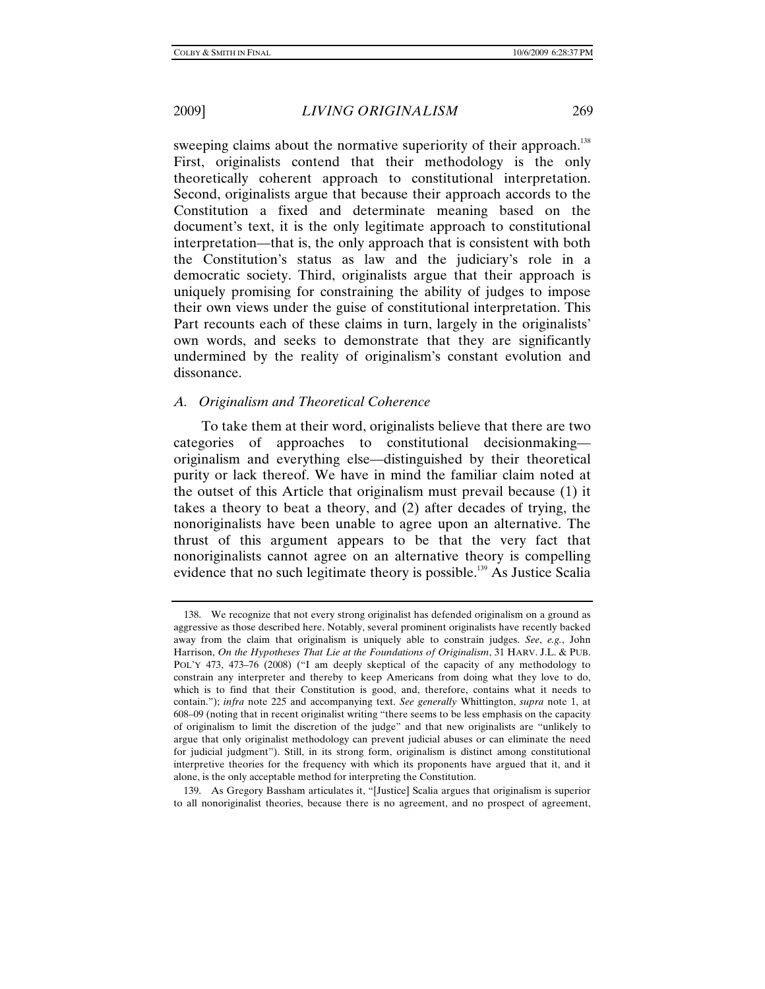sweeping claims about the normative superiority of their approach.<sup>138</sup> First, originalists contend that their methodology is the only theoretically coherent approach to constitutional interpretation. Second, originalists argue that because their approach accords to the Constitution a fixed and determinate meaning based on the document's text, it is the only legitimate approach to constitutional interpretation—that is, the only approach that is consistent with both the Constitution's status as law and the judiciary's role in a democratic society. Third, originalists argue that their approach is uniquely promising for constraining the ability of judges to impose their own views under the guise of constitutional interpretation. This Part recounts each of these claims in turn, largely in the originalists' own words, and seeks to demonstrate that they are significantly undermined by the reality of originalism's constant evolution and dissonance.

## *A. Originalism and Theoretical Coherence*

To take them at their word, originalists believe that there are two categories of approaches to constitutional decisionmaking originalism and everything else—distinguished by their theoretical purity or lack thereof. We have in mind the familiar claim noted at the outset of this Article that originalism must prevail because (1) it takes a theory to beat a theory, and (2) after decades of trying, the nonoriginalists have been unable to agree upon an alternative. The thrust of this argument appears to be that the very fact that nonoriginalists cannot agree on an alternative theory is compelling evidence that no such legitimate theory is possible.<sup>139</sup> As Justice Scalia

 <sup>138.</sup> We recognize that not every strong originalist has defended originalism on a ground as aggressive as those described here. Notably, several prominent originalists have recently backed away from the claim that originalism is uniquely able to constrain judges. *See*, *e.g.*, John Harrison, *On the Hypotheses That Lie at the Foundations of Originalism*, 31 HARV. J.L. & PUB. POL'Y 473, 473–76 (2008) ("I am deeply skeptical of the capacity of any methodology to constrain any interpreter and thereby to keep Americans from doing what they love to do, which is to find that their Constitution is good, and, therefore, contains what it needs to contain."); *infra* note 225 and accompanying text. *See generally* Whittington, *supra* note 1, at 608–09 (noting that in recent originalist writing "there seems to be less emphasis on the capacity of originalism to limit the discretion of the judge" and that new originalists are "unlikely to argue that only originalist methodology can prevent judicial abuses or can eliminate the need for judicial judgment"). Still, in its strong form, originalism is distinct among constitutional interpretive theories for the frequency with which its proponents have argued that it, and it alone, is the only acceptable method for interpreting the Constitution.

 <sup>139.</sup> As Gregory Bassham articulates it, "[Justice] Scalia argues that originalism is superior to all nonoriginalist theories, because there is no agreement, and no prospect of agreement,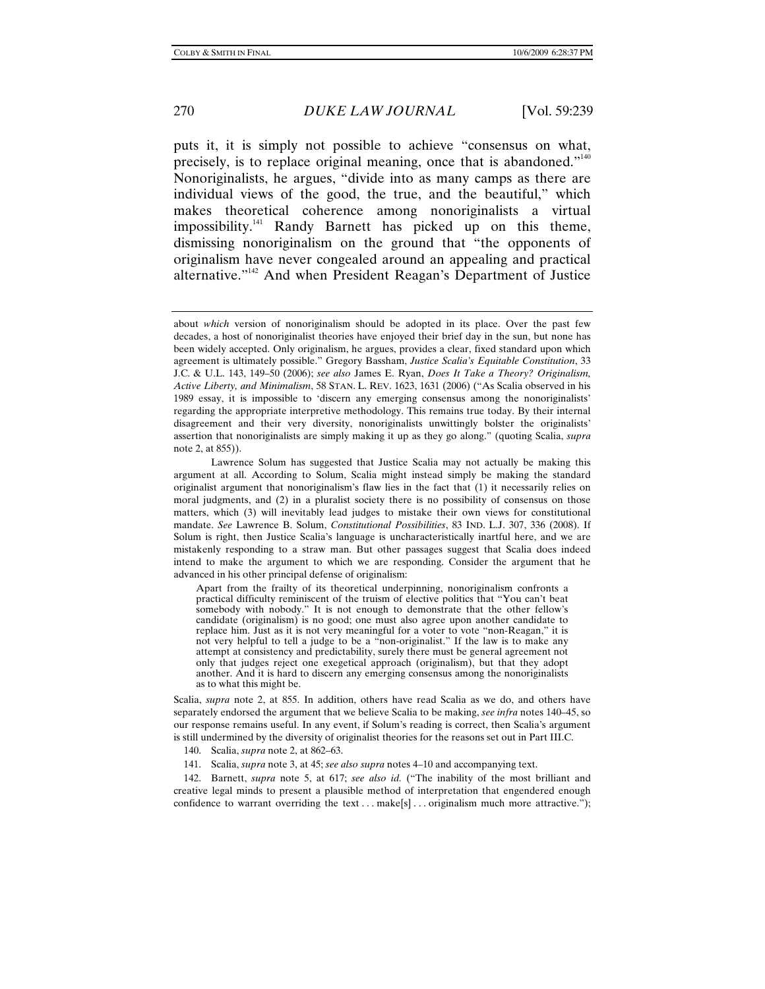puts it, it is simply not possible to achieve "consensus on what, precisely, is to replace original meaning, once that is abandoned."140 Nonoriginalists, he argues, "divide into as many camps as there are individual views of the good, the true, and the beautiful," which makes theoretical coherence among nonoriginalists a virtual impossibility.<sup>141</sup> Randy Barnett has picked up on this theme, dismissing nonoriginalism on the ground that "the opponents of originalism have never congealed around an appealing and practical alternative."142 And when President Reagan's Department of Justice

Scalia, *supra* note 2, at 855. In addition, others have read Scalia as we do, and others have separately endorsed the argument that we believe Scalia to be making, *see infra* notes 140–45, so our response remains useful. In any event, if Solum's reading is correct, then Scalia's argument is still undermined by the diversity of originalist theories for the reasons set out in Part III.C.

140. Scalia, *supra* note 2, at 862–63.

141. Scalia, *supra* note 3, at 45; *see also supra* notes 4–10 and accompanying text.

 142. Barnett, *supra* note 5, at 617; *see also id.* ("The inability of the most brilliant and creative legal minds to present a plausible method of interpretation that engendered enough confidence to warrant overriding the text  $\dots$  make[s]  $\dots$  originalism much more attractive.");

about *which* version of nonoriginalism should be adopted in its place. Over the past few decades, a host of nonoriginalist theories have enjoyed their brief day in the sun, but none has been widely accepted. Only originalism, he argues, provides a clear, fixed standard upon which agreement is ultimately possible." Gregory Bassham, *Justice Scalia's Equitable Constitution*, 33 J.C. & U.L. 143, 149–50 (2006); *see also* James E. Ryan, *Does It Take a Theory? Originalism, Active Liberty, and Minimalism*, 58 STAN. L. REV. 1623, 1631 (2006) ("As Scalia observed in his 1989 essay, it is impossible to 'discern any emerging consensus among the nonoriginalists' regarding the appropriate interpretive methodology. This remains true today. By their internal disagreement and their very diversity, nonoriginalists unwittingly bolster the originalists' assertion that nonoriginalists are simply making it up as they go along." (quoting Scalia, *supra* note 2, at 855)).

Lawrence Solum has suggested that Justice Scalia may not actually be making this argument at all. According to Solum, Scalia might instead simply be making the standard originalist argument that nonoriginalism's flaw lies in the fact that (1) it necessarily relies on moral judgments, and (2) in a pluralist society there is no possibility of consensus on those matters, which (3) will inevitably lead judges to mistake their own views for constitutional mandate. *See* Lawrence B. Solum, *Constitutional Possibilities*, 83 IND. L.J. 307, 336 (2008). If Solum is right, then Justice Scalia's language is uncharacteristically inartful here, and we are mistakenly responding to a straw man. But other passages suggest that Scalia does indeed intend to make the argument to which we are responding. Consider the argument that he advanced in his other principal defense of originalism:

Apart from the frailty of its theoretical underpinning, nonoriginalism confronts a practical difficulty reminiscent of the truism of elective politics that "You can't beat somebody with nobody." It is not enough to demonstrate that the other fellow's candidate (originalism) is no good; one must also agree upon another candidate to replace him. Just as it is not very meaningful for a voter to vote "non-Reagan," it is not very helpful to tell a judge to be a "non-originalist." If the law is to make any attempt at consistency and predictability, surely there must be general agreement not only that judges reject one exegetical approach (originalism), but that they adopt another. And it is hard to discern any emerging consensus among the nonoriginalists as to what this might be.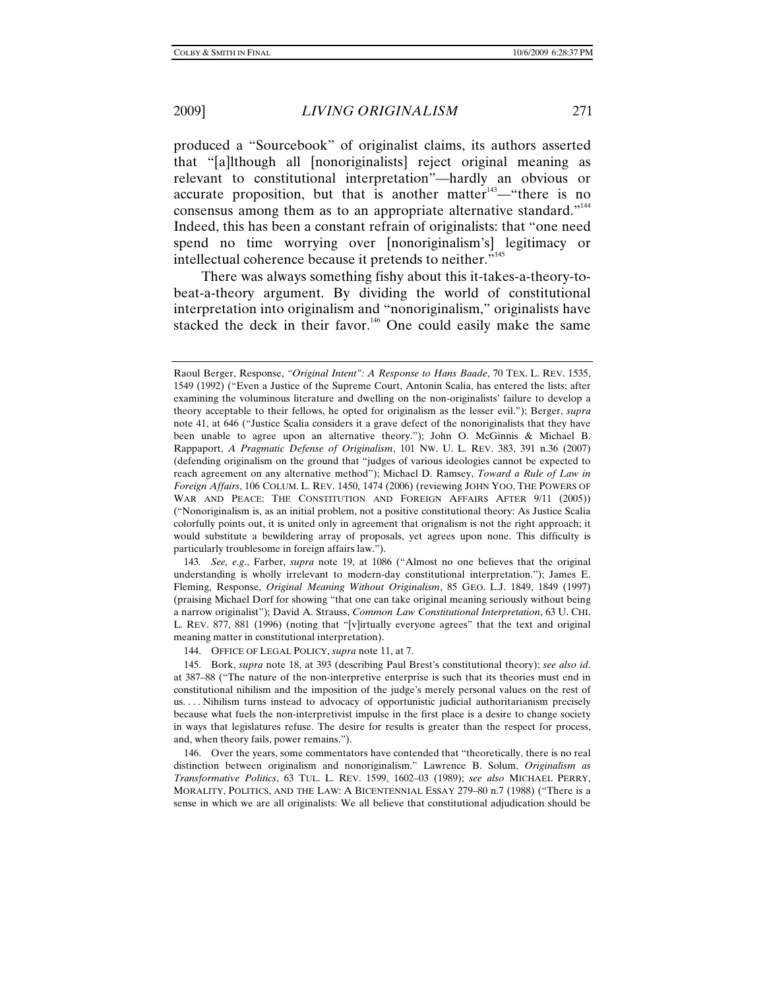produced a "Sourcebook" of originalist claims, its authors asserted that "[a]lthough all [nonoriginalists] reject original meaning as relevant to constitutional interpretation"—hardly an obvious or accurate proposition, but that is another matter $143$ —"there is no consensus among them as to an appropriate alternative standard."<sup>144</sup> Indeed, this has been a constant refrain of originalists: that "one need spend no time worrying over [nonoriginalism's] legitimacy or intellectual coherence because it pretends to neither."145

There was always something fishy about this it-takes-a-theory-tobeat-a-theory argument. By dividing the world of constitutional interpretation into originalism and "nonoriginalism," originalists have stacked the deck in their favor.<sup>146</sup> One could easily make the same

143*. See, e.g*., Farber, *supra* note 19, at 1086 ("Almost no one believes that the original understanding is wholly irrelevant to modern-day constitutional interpretation."); James E. Fleming, Response, *Original Meaning Without Originalism*, 85 GEO. L.J. 1849, 1849 (1997) (praising Michael Dorf for showing "that one can take original meaning seriously without being a narrow originalist"); David A. Strauss, *Common Law Constitutional Interpretation*, 63 U. CHI. L. REV. 877, 881 (1996) (noting that "[v]irtually everyone agrees" that the text and original meaning matter in constitutional interpretation).

144. OFFICE OF LEGAL POLICY, *supra* note 11, at 7.

 145. Bork, *supra* note 18, at 393 (describing Paul Brest's constitutional theory); *see also id*. at 387–88 ("The nature of the non-interpretive enterprise is such that its theories must end in constitutional nihilism and the imposition of the judge's merely personal values on the rest of us. . . . Nihilism turns instead to advocacy of opportunistic judicial authoritarianism precisely because what fuels the non-interpretivist impulse in the first place is a desire to change society in ways that legislatures refuse. The desire for results is greater than the respect for process, and, when theory fails, power remains.").

 146. Over the years, some commentators have contended that "theoretically, there is no real distinction between originalism and nonoriginalism." Lawrence B. Solum, *Originalism as Transformative Politics*, 63 TUL. L. REV. 1599, 1602–03 (1989); *see also* MICHAEL PERRY, MORALITY, POLITICS, AND THE LAW: A BICENTENNIAL ESSAY 279–80 n.7 (1988) ("There is a sense in which we are all originalists: We all believe that constitutional adjudication should be

Raoul Berger, Response, *"Original Intent": A Response to Hans Baade*, 70 TEX. L. REV. 1535, 1549 (1992) ("Even a Justice of the Supreme Court, Antonin Scalia, has entered the lists; after examining the voluminous literature and dwelling on the non-originalists' failure to develop a theory acceptable to their fellows, he opted for originalism as the lesser evil."); Berger, *supra* note 41, at 646 ("Justice Scalia considers it a grave defect of the nonoriginalists that they have been unable to agree upon an alternative theory."); John O. McGinnis & Michael B. Rappaport, *A Pragmatic Defense of Originalism*, 101 NW. U. L. REV. 383, 391 n.36 (2007) (defending originalism on the ground that "judges of various ideologies cannot be expected to reach agreement on any alternative method"); Michael D. Ramsey, *Toward a Rule of Law in Foreign Affairs*, 106 COLUM. L. REV. 1450, 1474 (2006) (reviewing JOHN YOO, THE POWERS OF WAR AND PEACE: THE CONSTITUTION AND FOREIGN AFFAIRS AFTER 9/11 (2005)) ("Nonoriginalism is, as an initial problem, not a positive constitutional theory: As Justice Scalia colorfully points out, it is united only in agreement that orignalism is not the right approach; it would substitute a bewildering array of proposals, yet agrees upon none. This difficulty is particularly troublesome in foreign affairs law.").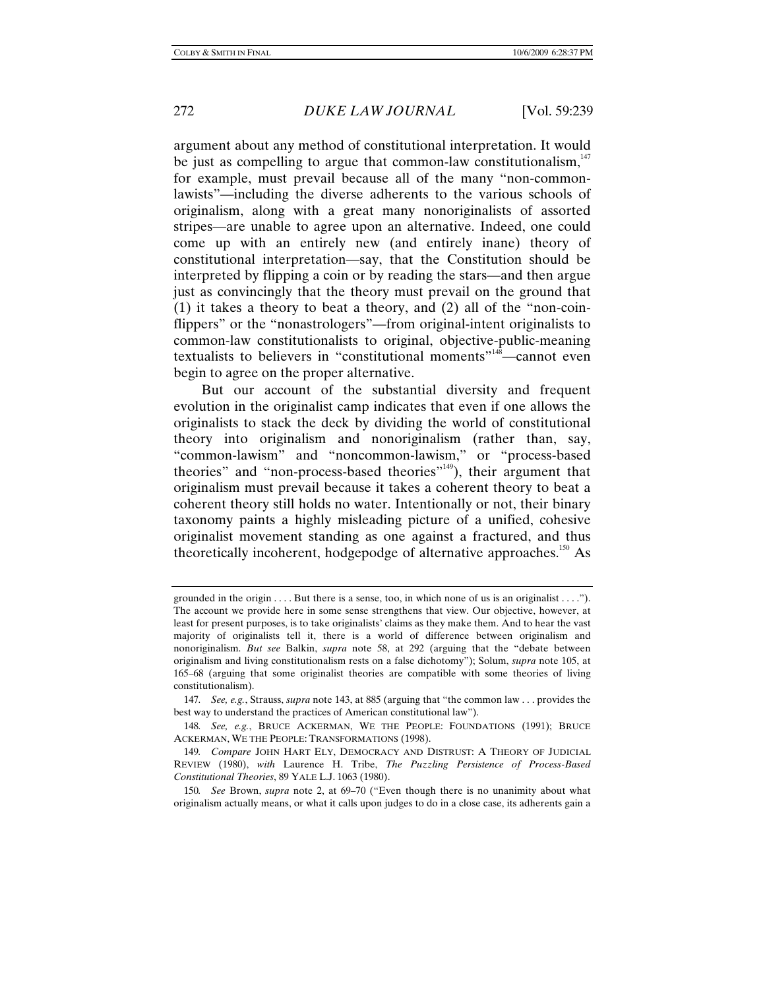argument about any method of constitutional interpretation. It would be just as compelling to argue that common-law constitutionalism, $147$ for example, must prevail because all of the many "non-commonlawists"—including the diverse adherents to the various schools of originalism, along with a great many nonoriginalists of assorted stripes—are unable to agree upon an alternative. Indeed, one could come up with an entirely new (and entirely inane) theory of constitutional interpretation—say, that the Constitution should be interpreted by flipping a coin or by reading the stars—and then argue just as convincingly that the theory must prevail on the ground that (1) it takes a theory to beat a theory, and (2) all of the "non-coinflippers" or the "nonastrologers"—from original-intent originalists to common-law constitutionalists to original, objective-public-meaning textualists to believers in "constitutional moments"<sup>148</sup>—cannot even begin to agree on the proper alternative.

But our account of the substantial diversity and frequent evolution in the originalist camp indicates that even if one allows the originalists to stack the deck by dividing the world of constitutional theory into originalism and nonoriginalism (rather than, say, "common-lawism" and "noncommon-lawism," or "process-based theories" and "non-process-based theories"<sup>149</sup>), their argument that originalism must prevail because it takes a coherent theory to beat a coherent theory still holds no water. Intentionally or not, their binary taxonomy paints a highly misleading picture of a unified, cohesive originalist movement standing as one against a fractured, and thus theoretically incoherent, hodgepodge of alternative approaches.<sup>150</sup> As

grounded in the origin . . . . But there is a sense, too, in which none of us is an originalist . . . ."). The account we provide here in some sense strengthens that view. Our objective, however, at least for present purposes, is to take originalists' claims as they make them. And to hear the vast majority of originalists tell it, there is a world of difference between originalism and nonoriginalism. *But see* Balkin, *supra* note 58, at 292 (arguing that the "debate between originalism and living constitutionalism rests on a false dichotomy"); Solum, *supra* note 105, at 165–68 (arguing that some originalist theories are compatible with some theories of living constitutionalism).

<sup>147</sup>*. See, e.g.*, Strauss, *supra* note 143, at 885 (arguing that "the common law . . . provides the best way to understand the practices of American constitutional law").

<sup>148</sup>*. See, e.g.*, BRUCE ACKERMAN, WE THE PEOPLE: FOUNDATIONS (1991); BRUCE ACKERMAN, WE THE PEOPLE: TRANSFORMATIONS (1998).

<sup>149</sup>*. Compare* JOHN HART ELY, DEMOCRACY AND DISTRUST: A THEORY OF JUDICIAL REVIEW (1980), *with* Laurence H. Tribe, *The Puzzling Persistence of Process-Based Constitutional Theories*, 89 YALE L.J. 1063 (1980).

<sup>150</sup>*. See* Brown, *supra* note 2, at 69–70 ("Even though there is no unanimity about what originalism actually means, or what it calls upon judges to do in a close case, its adherents gain a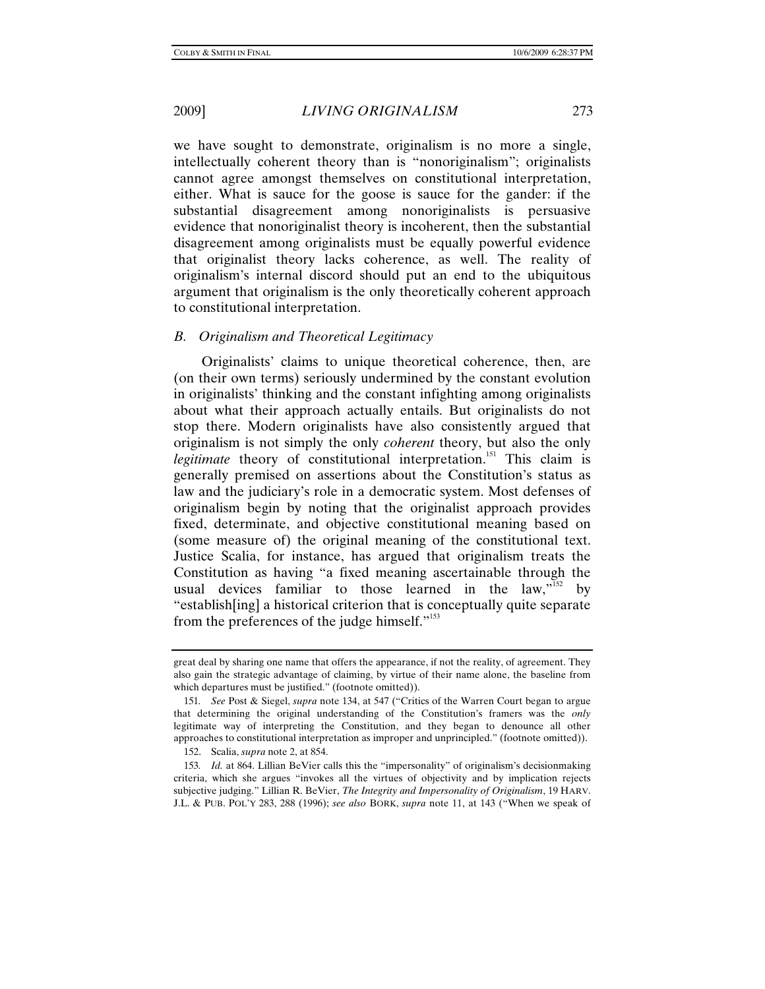we have sought to demonstrate, originalism is no more a single, intellectually coherent theory than is "nonoriginalism"; originalists cannot agree amongst themselves on constitutional interpretation, either. What is sauce for the goose is sauce for the gander: if the substantial disagreement among nonoriginalists is persuasive evidence that nonoriginalist theory is incoherent, then the substantial disagreement among originalists must be equally powerful evidence that originalist theory lacks coherence, as well. The reality of originalism's internal discord should put an end to the ubiquitous argument that originalism is the only theoretically coherent approach to constitutional interpretation.

### *B. Originalism and Theoretical Legitimacy*

Originalists' claims to unique theoretical coherence, then, are (on their own terms) seriously undermined by the constant evolution in originalists' thinking and the constant infighting among originalists about what their approach actually entails. But originalists do not stop there. Modern originalists have also consistently argued that originalism is not simply the only *coherent* theory, but also the only *legitimate* theory of constitutional interpretation.<sup>151</sup> This claim is generally premised on assertions about the Constitution's status as law and the judiciary's role in a democratic system. Most defenses of originalism begin by noting that the originalist approach provides fixed, determinate, and objective constitutional meaning based on (some measure of) the original meaning of the constitutional text. Justice Scalia, for instance, has argued that originalism treats the Constitution as having "a fixed meaning ascertainable through the usual devices familiar to those learned in the law,  $\frac{1}{152}$  by "establish[ing] a historical criterion that is conceptually quite separate from the preferences of the judge himself. $"153"$ 

great deal by sharing one name that offers the appearance, if not the reality, of agreement. They also gain the strategic advantage of claiming, by virtue of their name alone, the baseline from which departures must be justified." (footnote omitted)).

<sup>151</sup>*. See* Post & Siegel, *supra* note 134, at 547 ("Critics of the Warren Court began to argue that determining the original understanding of the Constitution's framers was the *only* legitimate way of interpreting the Constitution, and they began to denounce all other approaches to constitutional interpretation as improper and unprincipled." (footnote omitted)).

 <sup>152.</sup> Scalia, *supra* note 2, at 854.

<sup>153</sup>*. Id.* at 864. Lillian BeVier calls this the "impersonality" of originalism's decisionmaking criteria, which she argues "invokes all the virtues of objectivity and by implication rejects subjective judging." Lillian R. BeVier, *The Integrity and Impersonality of Originalism*, 19 HARV. J.L. & PUB. POL'Y 283, 288 (1996); *see also* BORK, *supra* note 11, at 143 ("When we speak of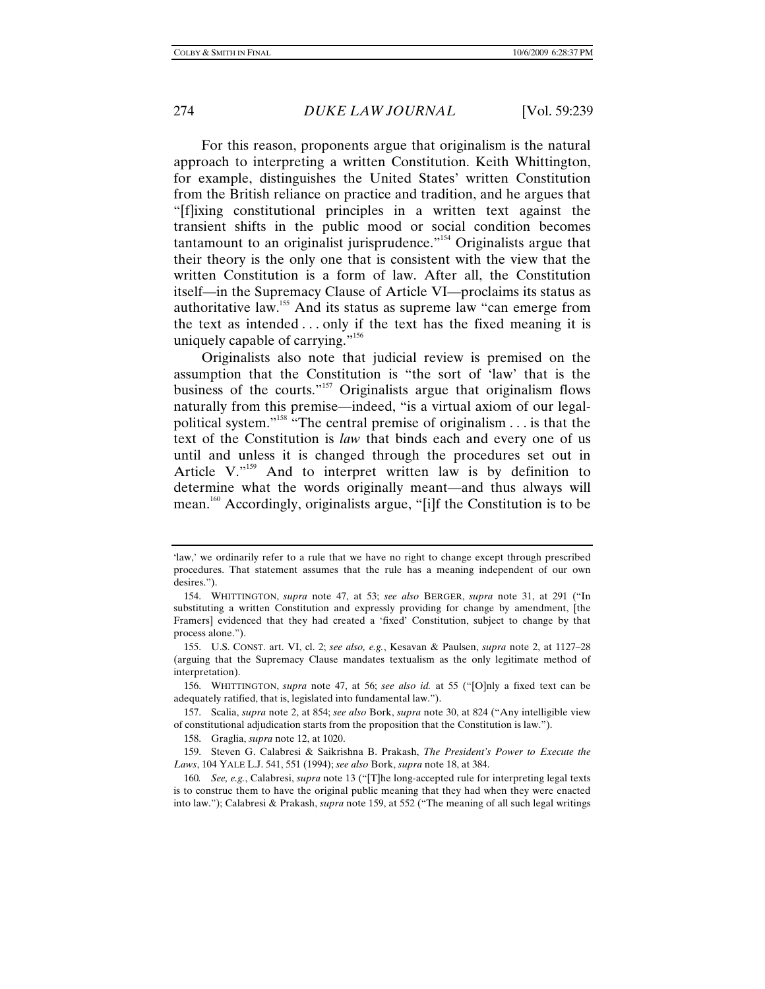For this reason, proponents argue that originalism is the natural approach to interpreting a written Constitution. Keith Whittington, for example, distinguishes the United States' written Constitution from the British reliance on practice and tradition, and he argues that "[f]ixing constitutional principles in a written text against the transient shifts in the public mood or social condition becomes tantamount to an originalist jurisprudence."154 Originalists argue that their theory is the only one that is consistent with the view that the written Constitution is a form of law. After all, the Constitution itself—in the Supremacy Clause of Article VI—proclaims its status as authoritative law.155 And its status as supreme law "can emerge from the text as intended . . . only if the text has the fixed meaning it is uniquely capable of carrying."<sup>156</sup>

Originalists also note that judicial review is premised on the assumption that the Constitution is "the sort of 'law' that is the business of the courts."157 Originalists argue that originalism flows naturally from this premise—indeed, "is a virtual axiom of our legalpolitical system."158 "The central premise of originalism . . . is that the text of the Constitution is *law* that binds each and every one of us until and unless it is changed through the procedures set out in Article V."<sup>159</sup> And to interpret written law is by definition to determine what the words originally meant—and thus always will mean.160 Accordingly, originalists argue, "[i]f the Constitution is to be

<sup>&#</sup>x27;law,' we ordinarily refer to a rule that we have no right to change except through prescribed procedures. That statement assumes that the rule has a meaning independent of our own desires.").

 <sup>154.</sup> WHITTINGTON, *supra* note 47, at 53; *see also* BERGER, *supra* note 31, at 291 ("In substituting a written Constitution and expressly providing for change by amendment, [the Framers] evidenced that they had created a 'fixed' Constitution, subject to change by that process alone.").

 <sup>155.</sup> U.S. CONST. art. VI, cl. 2; *see also, e.g.*, Kesavan & Paulsen, *supra* note 2, at 1127–28 (arguing that the Supremacy Clause mandates textualism as the only legitimate method of interpretation).

 <sup>156.</sup> WHITTINGTON, *supra* note 47, at 56; *see also id.* at 55 ("[O]nly a fixed text can be adequately ratified, that is, legislated into fundamental law.").

 <sup>157.</sup> Scalia, *supra* note 2, at 854; *see also* Bork, *supra* note 30, at 824 ("Any intelligible view of constitutional adjudication starts from the proposition that the Constitution is law.").

 <sup>158.</sup> Graglia, *supra* note 12, at 1020.

 <sup>159.</sup> Steven G. Calabresi & Saikrishna B. Prakash, *The President's Power to Execute the Laws*, 104 YALE L.J. 541, 551 (1994); *see also* Bork, *supra* note 18, at 384.

<sup>160</sup>*. See, e.g.*, Calabresi, *supra* note 13 ("[T]he long-accepted rule for interpreting legal texts is to construe them to have the original public meaning that they had when they were enacted into law."); Calabresi & Prakash, *supra* note 159, at 552 ("The meaning of all such legal writings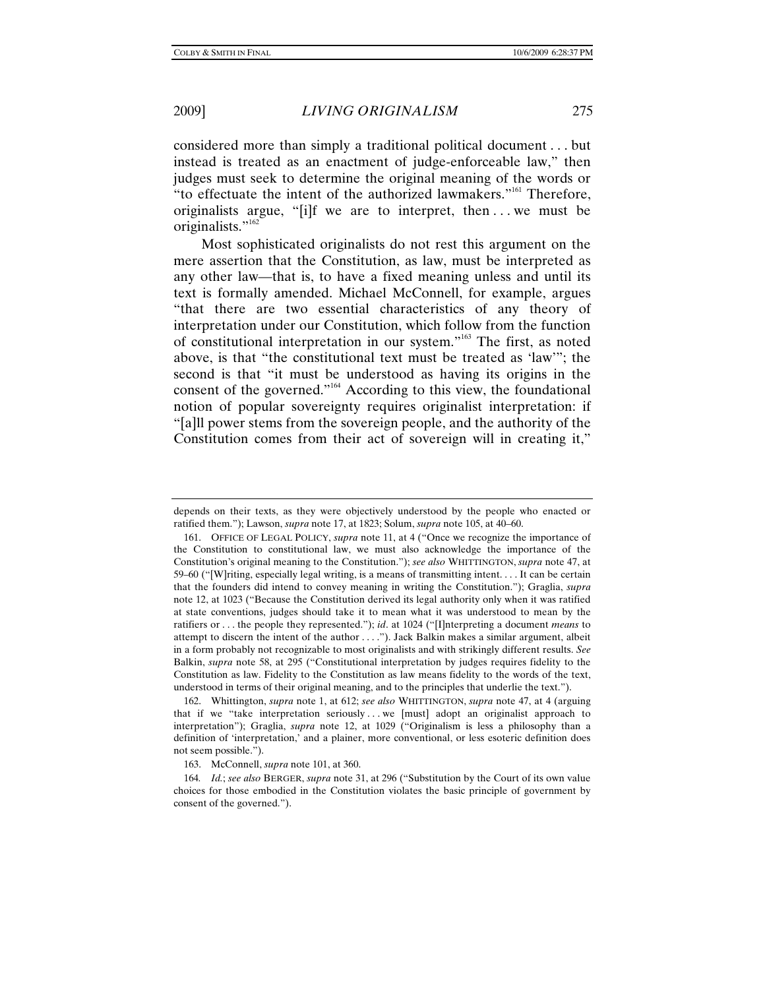considered more than simply a traditional political document . . . but instead is treated as an enactment of judge-enforceable law," then judges must seek to determine the original meaning of the words or "to effectuate the intent of the authorized lawmakers."<sup>161</sup> Therefore, originalists argue, "[i]f we are to interpret, then . . . we must be originalists."<sup>162</sup>

Most sophisticated originalists do not rest this argument on the mere assertion that the Constitution, as law, must be interpreted as any other law—that is, to have a fixed meaning unless and until its text is formally amended. Michael McConnell, for example, argues "that there are two essential characteristics of any theory of interpretation under our Constitution, which follow from the function of constitutional interpretation in our system."163 The first, as noted above, is that "the constitutional text must be treated as 'law'"; the second is that "it must be understood as having its origins in the consent of the governed."164 According to this view, the foundational notion of popular sovereignty requires originalist interpretation: if "[a]ll power stems from the sovereign people, and the authority of the Constitution comes from their act of sovereign will in creating it,"

 162. Whittington, *supra* note 1, at 612; *see also* WHITTINGTON, *supra* note 47, at 4 (arguing that if we "take interpretation seriously...we  $[must]$  adopt an originalist approach to interpretation"); Graglia, *supra* note 12, at 1029 ("Originalism is less a philosophy than a definition of 'interpretation,' and a plainer, more conventional, or less esoteric definition does not seem possible.").

163. McConnell, *supra* note 101, at 360.

depends on their texts, as they were objectively understood by the people who enacted or ratified them."); Lawson, *supra* note 17, at 1823; Solum, *supra* note 105, at 40–60.

 <sup>161.</sup> OFFICE OF LEGAL POLICY, *supra* note 11, at 4 ("Once we recognize the importance of the Constitution to constitutional law, we must also acknowledge the importance of the Constitution's original meaning to the Constitution."); *see also* WHITTINGTON, *supra* note 47, at 59–60 ("[W]riting, especially legal writing, is a means of transmitting intent. . . . It can be certain that the founders did intend to convey meaning in writing the Constitution."); Graglia, *supra*  note 12, at 1023 ("Because the Constitution derived its legal authority only when it was ratified at state conventions, judges should take it to mean what it was understood to mean by the ratifiers or . . . the people they represented."); *id*. at 1024 ("[I]nterpreting a document *means* to attempt to discern the intent of the author . . . ."). Jack Balkin makes a similar argument, albeit in a form probably not recognizable to most originalists and with strikingly different results. *See* Balkin, *supra* note 58, at 295 ("Constitutional interpretation by judges requires fidelity to the Constitution as law. Fidelity to the Constitution as law means fidelity to the words of the text, understood in terms of their original meaning, and to the principles that underlie the text.").

<sup>164</sup>*. Id.*; *see also* BERGER, *supra* note 31, at 296 ("Substitution by the Court of its own value choices for those embodied in the Constitution violates the basic principle of government by consent of the governed.").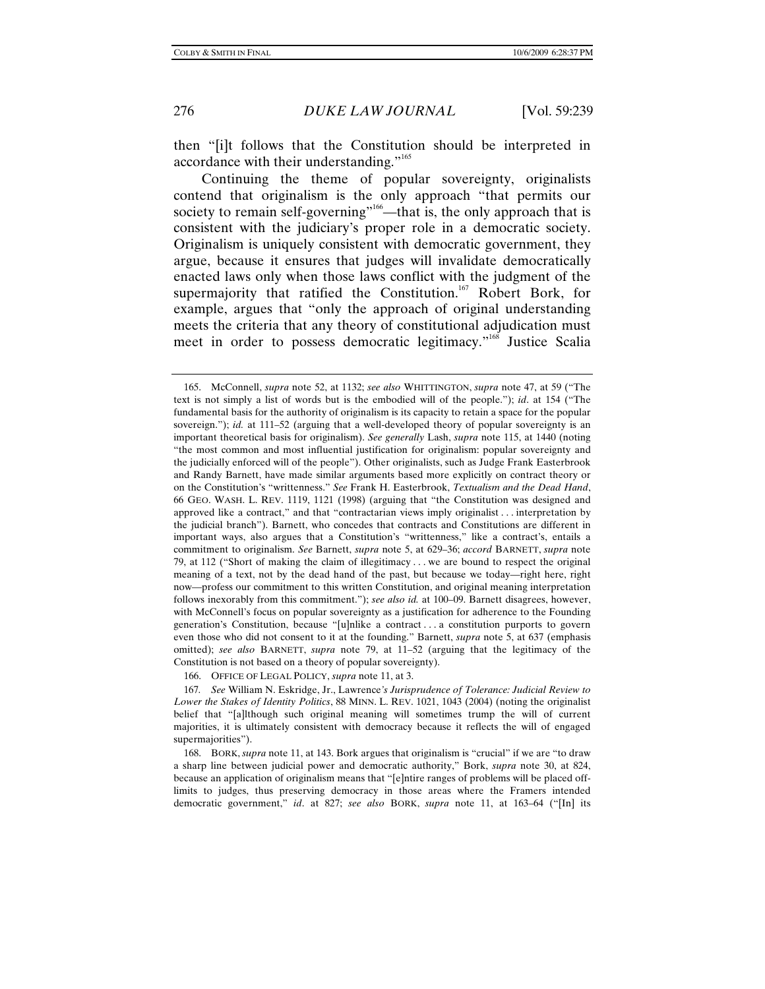then "[i]t follows that the Constitution should be interpreted in accordance with their understanding."<sup>165</sup>

Continuing the theme of popular sovereignty, originalists contend that originalism is the only approach "that permits our society to remain self-governing"<sup>166</sup>—that is, the only approach that is consistent with the judiciary's proper role in a democratic society. Originalism is uniquely consistent with democratic government, they argue, because it ensures that judges will invalidate democratically enacted laws only when those laws conflict with the judgment of the supermajority that ratified the Constitution.<sup>167</sup> Robert Bork, for example, argues that "only the approach of original understanding meets the criteria that any theory of constitutional adjudication must meet in order to possess democratic legitimacy."<sup>168</sup> Justice Scalia

 <sup>165.</sup> McConnell, *supra* note 52, at 1132; *see also* WHITTINGTON, *supra* note 47, at 59 ("The text is not simply a list of words but is the embodied will of the people."); *id*. at 154 ("The fundamental basis for the authority of originalism is its capacity to retain a space for the popular sovereign."); *id.* at 111–52 (arguing that a well-developed theory of popular sovereignty is an important theoretical basis for originalism). *See generally* Lash, *supra* note 115, at 1440 (noting "the most common and most influential justification for originalism: popular sovereignty and the judicially enforced will of the people"). Other originalists, such as Judge Frank Easterbrook and Randy Barnett, have made similar arguments based more explicitly on contract theory or on the Constitution's "writtenness." *See* Frank H. Easterbrook, *Textualism and the Dead Hand*, 66 GEO. WASH. L. REV. 1119, 1121 (1998) (arguing that "the Constitution was designed and approved like a contract," and that "contractarian views imply originalist . . . interpretation by the judicial branch"). Barnett, who concedes that contracts and Constitutions are different in important ways, also argues that a Constitution's "writtenness," like a contract's, entails a commitment to originalism. *See* Barnett, *supra* note 5, at 629–36; *accord* BARNETT, *supra* note 79, at 112 ("Short of making the claim of illegitimacy . . . we are bound to respect the original meaning of a text, not by the dead hand of the past, but because we today—right here, right now—profess our commitment to this written Constitution, and original meaning interpretation follows inexorably from this commitment."); *see also id.* at 100–09. Barnett disagrees, however, with McConnell's focus on popular sovereignty as a justification for adherence to the Founding generation's Constitution, because "[u]nlike a contract . . . a constitution purports to govern even those who did not consent to it at the founding." Barnett, *supra* note 5, at 637 (emphasis omitted); *see also* BARNETT, *supra* note 79, at 11–52 (arguing that the legitimacy of the Constitution is not based on a theory of popular sovereignty).

 <sup>166.</sup> OFFICE OF LEGAL POLICY, *supra* note 11, at 3.

<sup>167</sup>*. See* William N. Eskridge, Jr., Lawrence*'s Jurisprudence of Tolerance: Judicial Review to Lower the Stakes of Identity Politics*, 88 MINN. L. REV. 1021, 1043 (2004) (noting the originalist belief that "[a]lthough such original meaning will sometimes trump the will of current majorities, it is ultimately consistent with democracy because it reflects the will of engaged supermajorities").

 <sup>168.</sup> BORK, *supra* note 11, at 143. Bork argues that originalism is "crucial" if we are "to draw a sharp line between judicial power and democratic authority," Bork, *supra* note 30, at 824, because an application of originalism means that "[e]ntire ranges of problems will be placed offlimits to judges, thus preserving democracy in those areas where the Framers intended democratic government," *id*. at 827; *see also* BORK, *supra* note 11, at 163–64 ("[In] its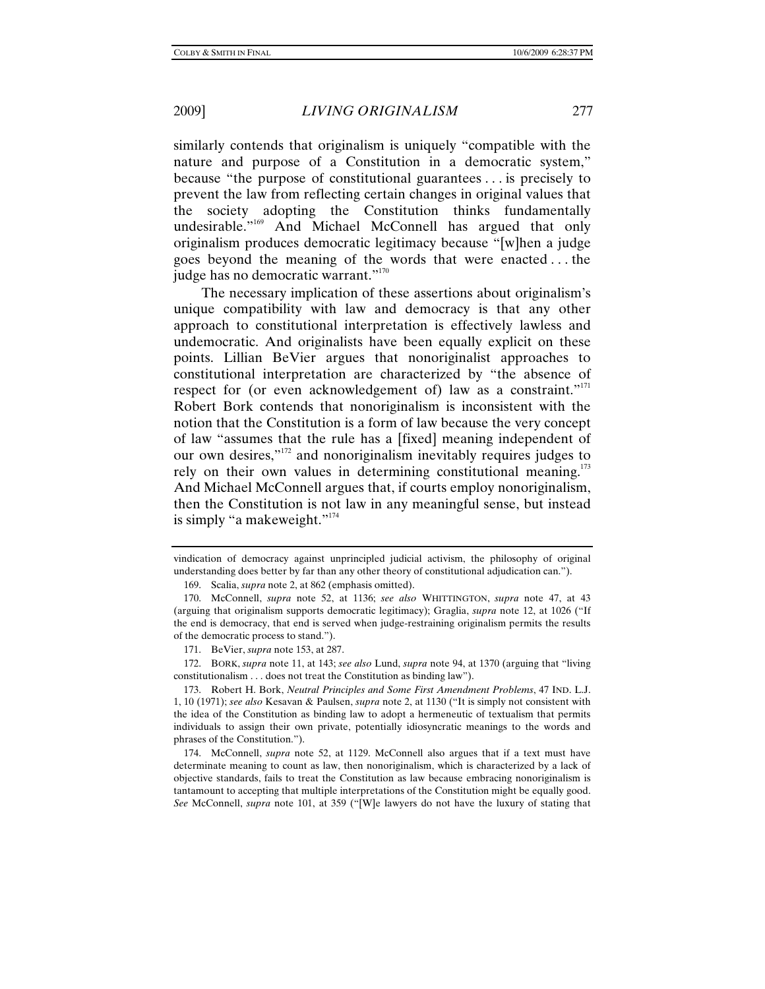similarly contends that originalism is uniquely "compatible with the nature and purpose of a Constitution in a democratic system," because "the purpose of constitutional guarantees . . . is precisely to prevent the law from reflecting certain changes in original values that the society adopting the Constitution thinks fundamentally undesirable."<sup>169</sup> And Michael McConnell has argued that only originalism produces democratic legitimacy because "[w]hen a judge goes beyond the meaning of the words that were enacted . . . the judge has no democratic warrant."<sup>170</sup>

The necessary implication of these assertions about originalism's unique compatibility with law and democracy is that any other approach to constitutional interpretation is effectively lawless and undemocratic. And originalists have been equally explicit on these points. Lillian BeVier argues that nonoriginalist approaches to constitutional interpretation are characterized by "the absence of respect for (or even acknowledgement of) law as a constraint."<sup>171</sup> Robert Bork contends that nonoriginalism is inconsistent with the notion that the Constitution is a form of law because the very concept of law "assumes that the rule has a [fixed] meaning independent of our own desires,"<sup>172</sup> and nonoriginalism inevitably requires judges to rely on their own values in determining constitutional meaning.<sup>173</sup> And Michael McConnell argues that, if courts employ nonoriginalism, then the Constitution is not law in any meaningful sense, but instead is simply "a makeweight."<sup>174</sup>

 172. BORK, *supra* note 11, at 143; *see also* Lund, *supra* note 94, at 1370 (arguing that "living constitutionalism . . . does not treat the Constitution as binding law").

vindication of democracy against unprincipled judicial activism, the philosophy of original understanding does better by far than any other theory of constitutional adjudication can.").

 <sup>169.</sup> Scalia, *supra* note 2, at 862 (emphasis omitted).

 <sup>170.</sup> McConnell, *supra* note 52, at 1136; *see also* WHITTINGTON, *supra* note 47, at 43 (arguing that originalism supports democratic legitimacy); Graglia, *supra* note 12, at 1026 ("If the end is democracy, that end is served when judge-restraining originalism permits the results of the democratic process to stand.").

 <sup>171.</sup> BeVier, *supra* note 153, at 287.

 <sup>173.</sup> Robert H. Bork, *Neutral Principles and Some First Amendment Problems*, 47 IND. L.J. 1, 10 (1971); *see also* Kesavan & Paulsen, *supra* note 2, at 1130 ("It is simply not consistent with the idea of the Constitution as binding law to adopt a hermeneutic of textualism that permits individuals to assign their own private, potentially idiosyncratic meanings to the words and phrases of the Constitution.").

 <sup>174.</sup> McConnell, *supra* note 52, at 1129. McConnell also argues that if a text must have determinate meaning to count as law, then nonoriginalism, which is characterized by a lack of objective standards, fails to treat the Constitution as law because embracing nonoriginalism is tantamount to accepting that multiple interpretations of the Constitution might be equally good. *See* McConnell, *supra* note 101, at 359 ("[W]e lawyers do not have the luxury of stating that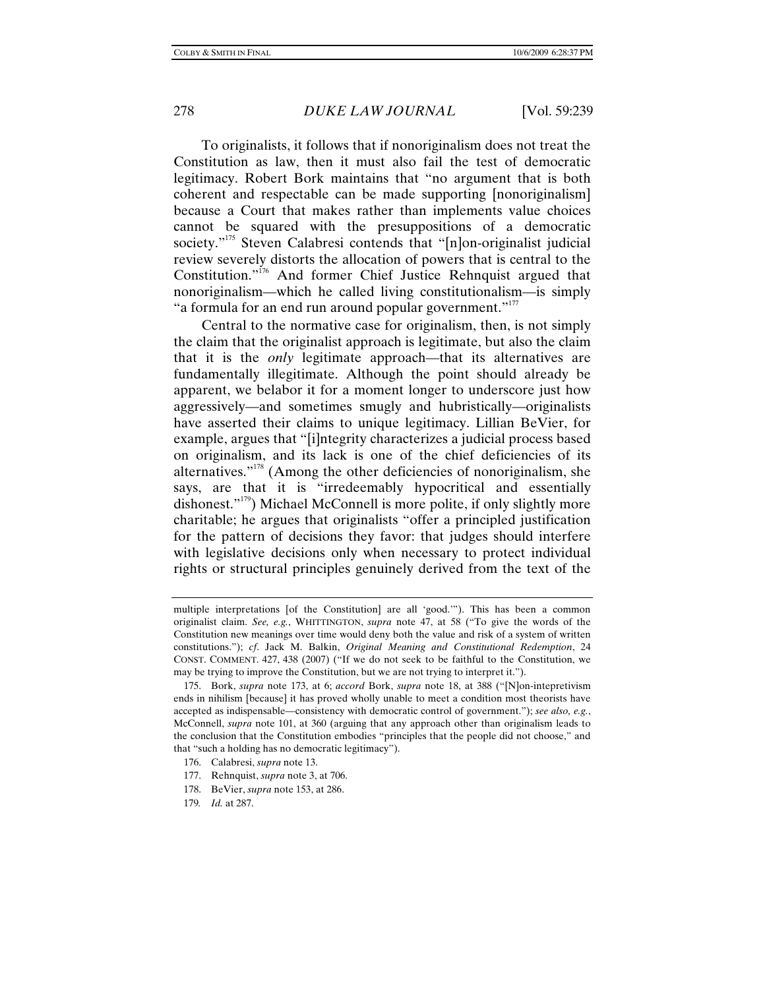To originalists, it follows that if nonoriginalism does not treat the Constitution as law, then it must also fail the test of democratic legitimacy. Robert Bork maintains that "no argument that is both coherent and respectable can be made supporting [nonoriginalism] because a Court that makes rather than implements value choices cannot be squared with the presuppositions of a democratic society."<sup>175</sup> Steven Calabresi contends that "[n]on-originalist judicial review severely distorts the allocation of powers that is central to the Constitution."<sup>176</sup> And former Chief Justice Rehnquist argued that nonoriginalism—which he called living constitutionalism—is simply "a formula for an end run around popular government."<sup>177</sup>

Central to the normative case for originalism, then, is not simply the claim that the originalist approach is legitimate, but also the claim that it is the *only* legitimate approach—that its alternatives are fundamentally illegitimate. Although the point should already be apparent, we belabor it for a moment longer to underscore just how aggressively—and sometimes smugly and hubristically—originalists have asserted their claims to unique legitimacy. Lillian BeVier, for example, argues that "[i]ntegrity characterizes a judicial process based on originalism, and its lack is one of the chief deficiencies of its alternatives. $178$ <sup>178</sup> (Among the other deficiencies of nonoriginalism, she says, are that it is "irredeemably hypocritical and essentially dishonest."179) Michael McConnell is more polite, if only slightly more charitable; he argues that originalists "offer a principled justification for the pattern of decisions they favor: that judges should interfere with legislative decisions only when necessary to protect individual rights or structural principles genuinely derived from the text of the

- 176. Calabresi, *supra* note 13.
- 177. Rehnquist, *supra* note 3, at 706.
- 178. BeVier, *supra* note 153, at 286.
- 179*. Id.* at 287.

multiple interpretations [of the Constitution] are all 'good.'"). This has been a common originalist claim. *See, e.g.*, WHITTINGTON, *supra* note 47, at 58 ("To give the words of the Constitution new meanings over time would deny both the value and risk of a system of written constitutions."); *cf*. Jack M. Balkin, *Original Meaning and Constitutional Redemption*, 24 CONST. COMMENT. 427, 438 (2007) ("If we do not seek to be faithful to the Constitution, we may be trying to improve the Constitution, but we are not trying to interpret it.").

 <sup>175.</sup> Bork, *supra* note 173, at 6; *accord* Bork, *supra* note 18, at 388 ("[N]on-intepretivism ends in nihilism [because] it has proved wholly unable to meet a condition most theorists have accepted as indispensable—consistency with democratic control of government."); *see also, e.g.*, McConnell, *supra* note 101, at 360 (arguing that any approach other than originalism leads to the conclusion that the Constitution embodies "principles that the people did not choose," and that "such a holding has no democratic legitimacy").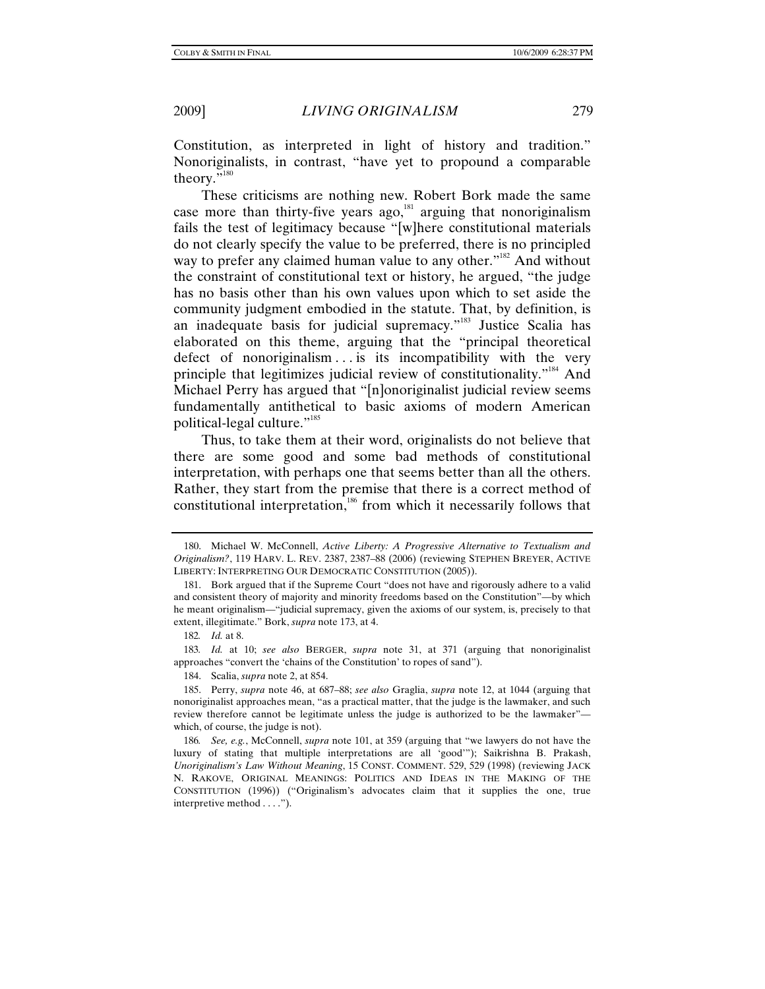Constitution, as interpreted in light of history and tradition." Nonoriginalists, in contrast, "have yet to propound a comparable theory."<sup>180</sup>

These criticisms are nothing new. Robert Bork made the same case more than thirty-five years ago, $181$  arguing that nonoriginalism fails the test of legitimacy because "[w]here constitutional materials do not clearly specify the value to be preferred, there is no principled way to prefer any claimed human value to any other."<sup>182</sup> And without the constraint of constitutional text or history, he argued, "the judge has no basis other than his own values upon which to set aside the community judgment embodied in the statute. That, by definition, is an inadequate basis for judicial supremacy."<sup>183</sup> Justice Scalia has elaborated on this theme, arguing that the "principal theoretical defect of nonoriginalism ... is its incompatibility with the very principle that legitimizes judicial review of constitutionality."<sup>184</sup> And Michael Perry has argued that "[n]onoriginalist judicial review seems fundamentally antithetical to basic axioms of modern American political-legal culture."<sup>185</sup>

Thus, to take them at their word, originalists do not believe that there are some good and some bad methods of constitutional interpretation, with perhaps one that seems better than all the others. Rather, they start from the premise that there is a correct method of constitutional interpretation,<sup>186</sup> from which it necessarily follows that

 <sup>180.</sup> Michael W. McConnell, *Active Liberty: A Progressive Alternative to Textualism and Originalism?*, 119 HARV. L. REV. 2387, 2387–88 (2006) (reviewing STEPHEN BREYER, ACTIVE LIBERTY: INTERPRETING OUR DEMOCRATIC CONSTITUTION (2005)).

 <sup>181.</sup> Bork argued that if the Supreme Court "does not have and rigorously adhere to a valid and consistent theory of majority and minority freedoms based on the Constitution"—by which he meant originalism—"judicial supremacy, given the axioms of our system, is, precisely to that extent, illegitimate." Bork, *supra* note 173, at 4.

<sup>182</sup>*. Id.* at 8.

<sup>183</sup>*. Id.* at 10; *see also* BERGER, *supra* note 31, at 371 (arguing that nonoriginalist approaches "convert the 'chains of the Constitution' to ropes of sand").

 <sup>184.</sup> Scalia, *supra* note 2, at 854.

 <sup>185.</sup> Perry, *supra* note 46, at 687–88; *see also* Graglia, *supra* note 12, at 1044 (arguing that nonoriginalist approaches mean, "as a practical matter, that the judge is the lawmaker, and such review therefore cannot be legitimate unless the judge is authorized to be the lawmaker" which, of course, the judge is not).

<sup>186</sup>*. See, e.g.*, McConnell, *supra* note 101, at 359 (arguing that "we lawyers do not have the luxury of stating that multiple interpretations are all 'good'"); Saikrishna B. Prakash, *Unoriginalism's Law Without Meaning*, 15 CONST. COMMENT. 529, 529 (1998) (reviewing JACK N. RAKOVE, ORIGINAL MEANINGS: POLITICS AND IDEAS IN THE MAKING OF THE CONSTITUTION (1996)) ("Originalism's advocates claim that it supplies the one, true interpretive method . . . .").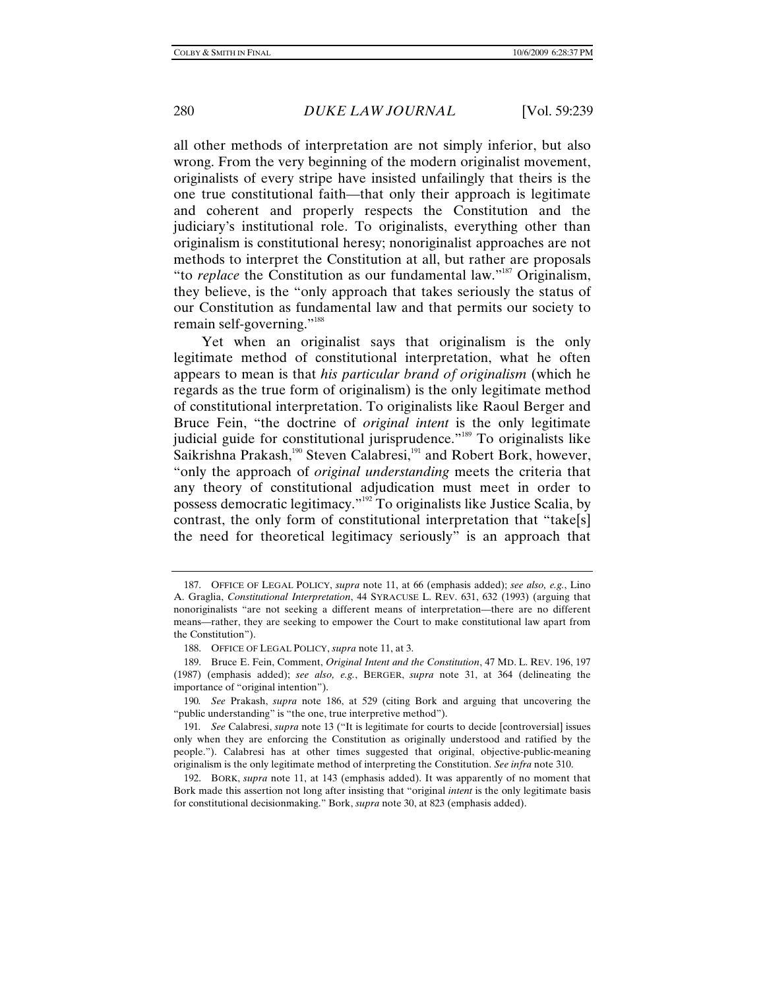all other methods of interpretation are not simply inferior, but also wrong. From the very beginning of the modern originalist movement, originalists of every stripe have insisted unfailingly that theirs is the one true constitutional faith—that only their approach is legitimate and coherent and properly respects the Constitution and the judiciary's institutional role. To originalists, everything other than originalism is constitutional heresy; nonoriginalist approaches are not methods to interpret the Constitution at all, but rather are proposals "to *replace* the Constitution as our fundamental law."187 Originalism, they believe, is the "only approach that takes seriously the status of our Constitution as fundamental law and that permits our society to remain self-governing."<sup>188</sup>

Yet when an originalist says that originalism is the only legitimate method of constitutional interpretation, what he often appears to mean is that *his particular brand of originalism* (which he regards as the true form of originalism) is the only legitimate method of constitutional interpretation. To originalists like Raoul Berger and Bruce Fein, "the doctrine of *original intent* is the only legitimate judicial guide for constitutional jurisprudence."<sup>189</sup> To originalists like Saikrishna Prakash,<sup>190</sup> Steven Calabresi,<sup>191</sup> and Robert Bork, however, "only the approach of *original understanding* meets the criteria that any theory of constitutional adjudication must meet in order to possess democratic legitimacy."192 To originalists like Justice Scalia, by contrast, the only form of constitutional interpretation that "take[s] the need for theoretical legitimacy seriously" is an approach that

 <sup>187.</sup> OFFICE OF LEGAL POLICY, *supra* note 11, at 66 (emphasis added); *see also, e.g.*, Lino A. Graglia, *Constitutional Interpretation*, 44 SYRACUSE L. REV. 631, 632 (1993) (arguing that nonoriginalists "are not seeking a different means of interpretation—there are no different means—rather, they are seeking to empower the Court to make constitutional law apart from the Constitution").

 <sup>188.</sup> OFFICE OF LEGAL POLICY, *supra* note 11, at 3.

 <sup>189.</sup> Bruce E. Fein, Comment, *Original Intent and the Constitution*, 47 MD. L. REV. 196, 197 (1987) (emphasis added); *see also, e.g.*, BERGER, *supra* note 31, at 364 (delineating the importance of "original intention").

<sup>190</sup>*. See* Prakash, *supra* note 186, at 529 (citing Bork and arguing that uncovering the "public understanding" is "the one, true interpretive method").

<sup>191</sup>*. See* Calabresi, *supra* note 13 ("It is legitimate for courts to decide [controversial] issues only when they are enforcing the Constitution as originally understood and ratified by the people."). Calabresi has at other times suggested that original, objective-public-meaning originalism is the only legitimate method of interpreting the Constitution. *See infra* note 310.

 <sup>192.</sup> BORK, *supra* note 11, at 143 (emphasis added). It was apparently of no moment that Bork made this assertion not long after insisting that "original *intent* is the only legitimate basis for constitutional decisionmaking." Bork, *supra* note 30, at 823 (emphasis added).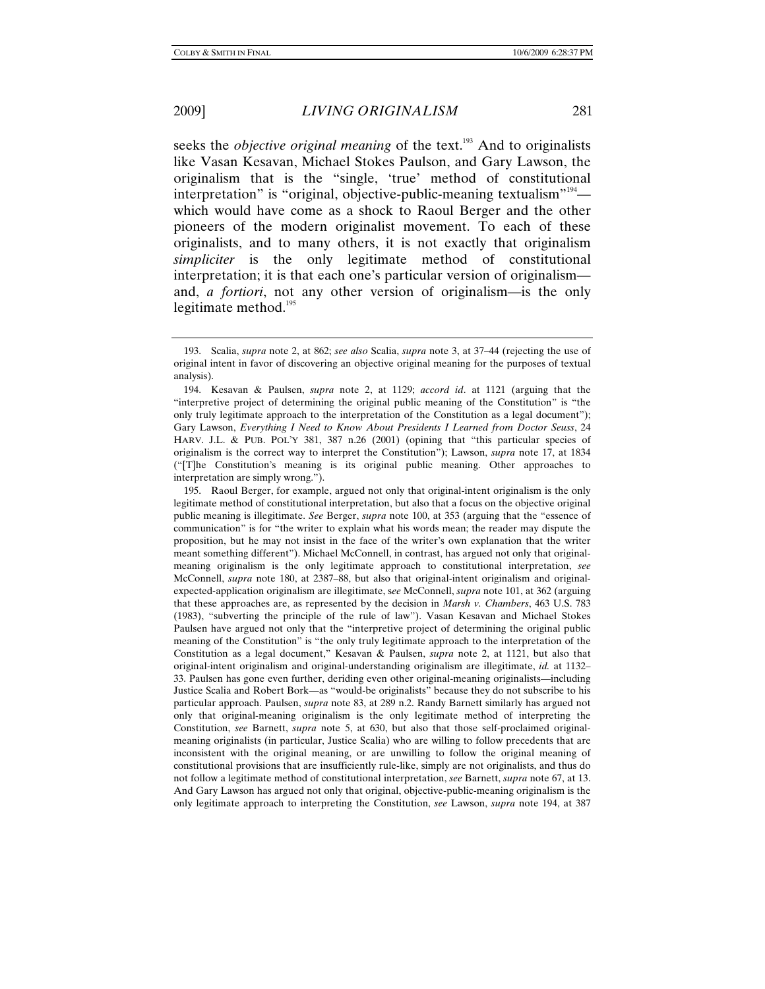seeks the *objective original meaning* of the text.<sup>193</sup> And to originalists like Vasan Kesavan, Michael Stokes Paulson, and Gary Lawson, the originalism that is the "single, 'true' method of constitutional interpretation" is "original, objective-public-meaning textualism"<sup>194</sup> which would have come as a shock to Raoul Berger and the other pioneers of the modern originalist movement. To each of these originalists, and to many others, it is not exactly that originalism *simpliciter* is the only legitimate method of constitutional interpretation; it is that each one's particular version of originalism and, *a fortiori*, not any other version of originalism—is the only legitimate method. $195$ 

 195. Raoul Berger, for example, argued not only that original-intent originalism is the only legitimate method of constitutional interpretation, but also that a focus on the objective original public meaning is illegitimate. *See* Berger, *supra* note 100, at 353 (arguing that the "essence of communication" is for "the writer to explain what his words mean; the reader may dispute the proposition, but he may not insist in the face of the writer's own explanation that the writer meant something different"). Michael McConnell, in contrast, has argued not only that originalmeaning originalism is the only legitimate approach to constitutional interpretation, *see* McConnell, *supra* note 180, at 2387–88, but also that original-intent originalism and originalexpected-application originalism are illegitimate, s*ee* McConnell, *supra* note 101, at 362 (arguing that these approaches are, as represented by the decision in *Marsh v. Chambers*, 463 U.S. 783 (1983), "subverting the principle of the rule of law"). Vasan Kesavan and Michael Stokes Paulsen have argued not only that the "interpretive project of determining the original public meaning of the Constitution" is "the only truly legitimate approach to the interpretation of the Constitution as a legal document," Kesavan & Paulsen, *supra* note 2, at 1121, but also that original-intent originalism and original-understanding originalism are illegitimate, *id.* at 1132– 33. Paulsen has gone even further, deriding even other original-meaning originalists—including Justice Scalia and Robert Bork—as "would-be originalists" because they do not subscribe to his particular approach. Paulsen, *supra* note 83, at 289 n.2. Randy Barnett similarly has argued not only that original-meaning originalism is the only legitimate method of interpreting the Constitution, *see* Barnett, *supra* note 5, at 630, but also that those self-proclaimed originalmeaning originalists (in particular, Justice Scalia) who are willing to follow precedents that are inconsistent with the original meaning, or are unwilling to follow the original meaning of constitutional provisions that are insufficiently rule-like, simply are not originalists, and thus do not follow a legitimate method of constitutional interpretation, *see* Barnett, *supra* note 67, at 13. And Gary Lawson has argued not only that original, objective-public-meaning originalism is the only legitimate approach to interpreting the Constitution, *see* Lawson, *supra* note 194, at 387

 <sup>193.</sup> Scalia, *supra* note 2, at 862; *see also* Scalia, *supra* note 3, at 37–44 (rejecting the use of original intent in favor of discovering an objective original meaning for the purposes of textual analysis).

 <sup>194.</sup> Kesavan & Paulsen, *supra* note 2, at 1129; *accord id*. at 1121 (arguing that the "interpretive project of determining the original public meaning of the Constitution" is "the only truly legitimate approach to the interpretation of the Constitution as a legal document"); Gary Lawson, *Everything I Need to Know About Presidents I Learned from Doctor Seuss*, 24 HARV. J.L. & PUB. POL'Y 381, 387 n.26 (2001) (opining that "this particular species of originalism is the correct way to interpret the Constitution"); Lawson, *supra* note 17, at 1834 ("[T]he Constitution's meaning is its original public meaning. Other approaches to interpretation are simply wrong.").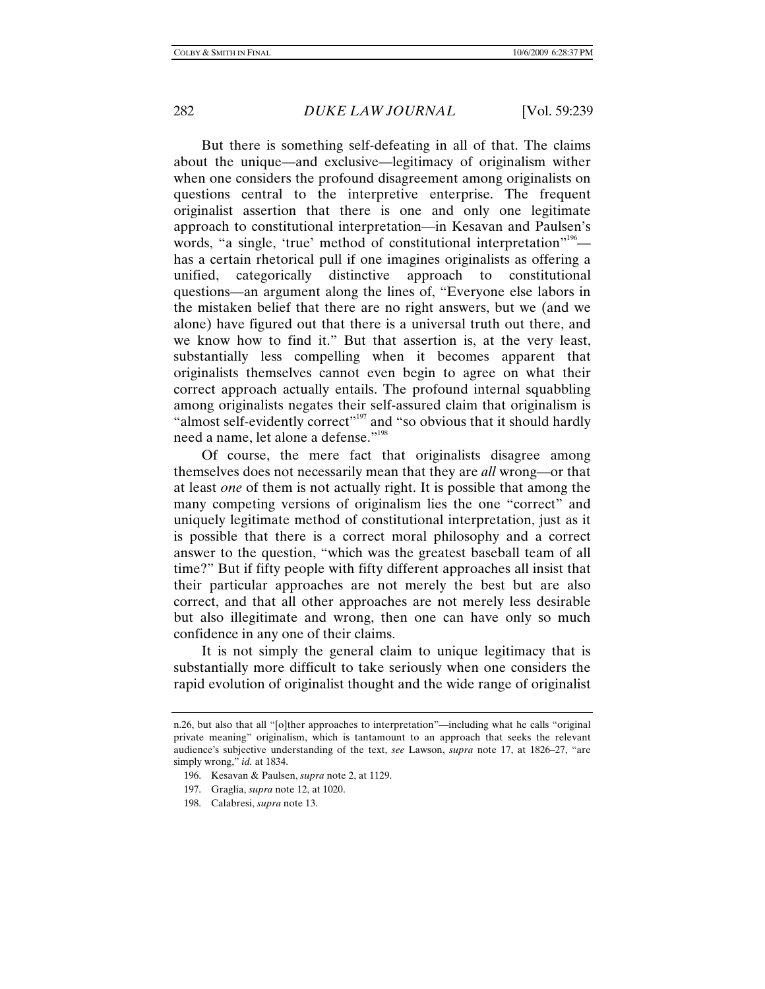But there is something self-defeating in all of that. The claims about the unique—and exclusive—legitimacy of originalism wither when one considers the profound disagreement among originalists on questions central to the interpretive enterprise. The frequent originalist assertion that there is one and only one legitimate approach to constitutional interpretation—in Kesavan and Paulsen's words, "a single, 'true' method of constitutional interpretation"<sup>196</sup> has a certain rhetorical pull if one imagines originalists as offering a unified, categorically distinctive approach to constitutional questions—an argument along the lines of, "Everyone else labors in the mistaken belief that there are no right answers, but we (and we alone) have figured out that there is a universal truth out there, and we know how to find it." But that assertion is, at the very least, substantially less compelling when it becomes apparent that originalists themselves cannot even begin to agree on what their correct approach actually entails. The profound internal squabbling among originalists negates their self-assured claim that originalism is "almost self-evidently correct"<sup>197</sup> and "so obvious that it should hardly need a name, let alone a defense."<sup>198</sup>

Of course, the mere fact that originalists disagree among themselves does not necessarily mean that they are *all* wrong—or that at least *one* of them is not actually right. It is possible that among the many competing versions of originalism lies the one "correct" and uniquely legitimate method of constitutional interpretation, just as it is possible that there is a correct moral philosophy and a correct answer to the question, "which was the greatest baseball team of all time?" But if fifty people with fifty different approaches all insist that their particular approaches are not merely the best but are also correct, and that all other approaches are not merely less desirable but also illegitimate and wrong, then one can have only so much confidence in any one of their claims.

It is not simply the general claim to unique legitimacy that is substantially more difficult to take seriously when one considers the rapid evolution of originalist thought and the wide range of originalist

- 196. Kesavan & Paulsen, *supra* note 2, at 1129.
- 197. Graglia, *supra* note 12, at 1020.
- 198. Calabresi, *supra* note 13.

n.26, but also that all "[o]ther approaches to interpretation"—including what he calls "original private meaning" originalism, which is tantamount to an approach that seeks the relevant audience's subjective understanding of the text, *see* Lawson, *supra* note 17, at 1826–27, "are simply wrong," *id.* at 1834.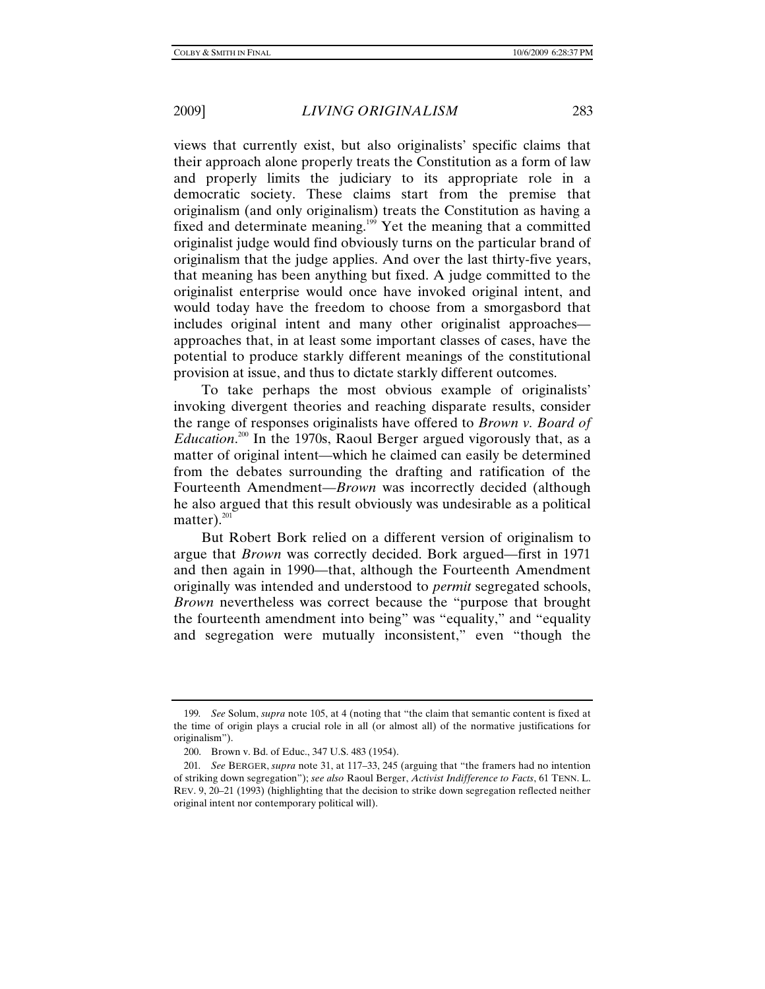views that currently exist, but also originalists' specific claims that their approach alone properly treats the Constitution as a form of law and properly limits the judiciary to its appropriate role in a democratic society. These claims start from the premise that originalism (and only originalism) treats the Constitution as having a fixed and determinate meaning.<sup>199</sup> Yet the meaning that a committed originalist judge would find obviously turns on the particular brand of originalism that the judge applies. And over the last thirty-five years, that meaning has been anything but fixed. A judge committed to the originalist enterprise would once have invoked original intent, and would today have the freedom to choose from a smorgasbord that includes original intent and many other originalist approaches approaches that, in at least some important classes of cases, have the potential to produce starkly different meanings of the constitutional provision at issue, and thus to dictate starkly different outcomes.

To take perhaps the most obvious example of originalists' invoking divergent theories and reaching disparate results, consider the range of responses originalists have offered to *Brown v. Board of Education*. 200 In the 1970s, Raoul Berger argued vigorously that, as a matter of original intent—which he claimed can easily be determined from the debates surrounding the drafting and ratification of the Fourteenth Amendment—*Brown* was incorrectly decided (although he also argued that this result obviously was undesirable as a political matter). $^{201}$ 

But Robert Bork relied on a different version of originalism to argue that *Brown* was correctly decided. Bork argued—first in 1971 and then again in 1990—that, although the Fourteenth Amendment originally was intended and understood to *permit* segregated schools, *Brown* nevertheless was correct because the "purpose that brought the fourteenth amendment into being" was "equality," and "equality and segregation were mutually inconsistent," even "though the

<sup>199</sup>*. See* Solum, *supra* note 105, at 4 (noting that "the claim that semantic content is fixed at the time of origin plays a crucial role in all (or almost all) of the normative justifications for originalism").

 <sup>200.</sup> Brown v. Bd. of Educ., 347 U.S. 483 (1954).

<sup>201</sup>*. See* BERGER, *supra* note 31, at 117–33, 245 (arguing that "the framers had no intention of striking down segregation"); *see also* Raoul Berger, *Activist Indifference to Facts*, 61 TENN. L. REV. 9, 20–21 (1993) (highlighting that the decision to strike down segregation reflected neither original intent nor contemporary political will).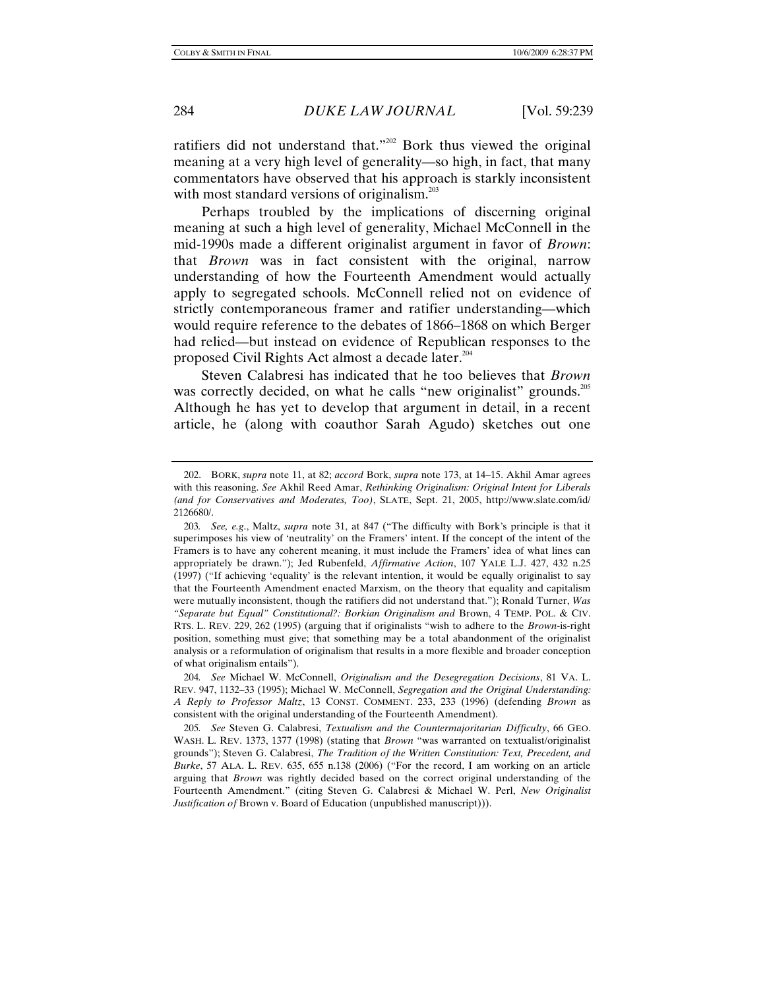ratifiers did not understand that."202 Bork thus viewed the original meaning at a very high level of generality—so high, in fact, that many commentators have observed that his approach is starkly inconsistent with most standard versions of originalism. $^{203}$ 

Perhaps troubled by the implications of discerning original meaning at such a high level of generality, Michael McConnell in the mid-1990s made a different originalist argument in favor of *Brown*: that *Brown* was in fact consistent with the original, narrow understanding of how the Fourteenth Amendment would actually apply to segregated schools. McConnell relied not on evidence of strictly contemporaneous framer and ratifier understanding—which would require reference to the debates of 1866–1868 on which Berger had relied—but instead on evidence of Republican responses to the proposed Civil Rights Act almost a decade later.<sup>204</sup>

Steven Calabresi has indicated that he too believes that *Brown* was correctly decided, on what he calls "new originalist" grounds.<sup>205</sup> Although he has yet to develop that argument in detail, in a recent article, he (along with coauthor Sarah Agudo) sketches out one

 <sup>202.</sup> BORK, *supra* note 11, at 82; *accord* Bork, *supra* note 173, at 14–15. Akhil Amar agrees with this reasoning. *See* Akhil Reed Amar, *Rethinking Originalism: Original Intent for Liberals (and for Conservatives and Moderates, Too)*, SLATE, Sept. 21, 2005, http://www.slate.com/id/ 2126680/.

<sup>203</sup>*. See, e.g*., Maltz, *supra* note 31, at 847 ("The difficulty with Bork's principle is that it superimposes his view of 'neutrality' on the Framers' intent. If the concept of the intent of the Framers is to have any coherent meaning, it must include the Framers' idea of what lines can appropriately be drawn."); Jed Rubenfeld, *Affirmative Action*, 107 YALE L.J. 427, 432 n.25 (1997) ("If achieving 'equality' is the relevant intention, it would be equally originalist to say that the Fourteenth Amendment enacted Marxism, on the theory that equality and capitalism were mutually inconsistent, though the ratifiers did not understand that."); Ronald Turner, *Was "Separate but Equal" Constitutional?: Borkian Originalism and* Brown, 4 TEMP. POL. & CIV. RTS. L. REV. 229, 262 (1995) (arguing that if originalists "wish to adhere to the *Brown*-is-right position, something must give; that something may be a total abandonment of the originalist analysis or a reformulation of originalism that results in a more flexible and broader conception of what originalism entails").

<sup>204</sup>*. See* Michael W. McConnell, *Originalism and the Desegregation Decisions*, 81 VA. L. REV. 947, 1132–33 (1995); Michael W. McConnell, *Segregation and the Original Understanding: A Reply to Professor Maltz*, 13 CONST. COMMENT. 233, 233 (1996) (defending *Brown* as consistent with the original understanding of the Fourteenth Amendment).

<sup>205</sup>*. See* Steven G. Calabresi, *Textualism and the Countermajoritarian Difficulty*, 66 GEO. WASH. L. REV. 1373, 1377 (1998) (stating that *Brown* "was warranted on textualist/originalist grounds"); Steven G. Calabresi, *The Tradition of the Written Constitution: Text, Precedent, and Burke*, 57 ALA. L. REV. 635, 655 n.138 (2006) ("For the record, I am working on an article arguing that *Brown* was rightly decided based on the correct original understanding of the Fourteenth Amendment." (citing Steven G. Calabresi & Michael W. Perl, *New Originalist Justification of* Brown v. Board of Education (unpublished manuscript))).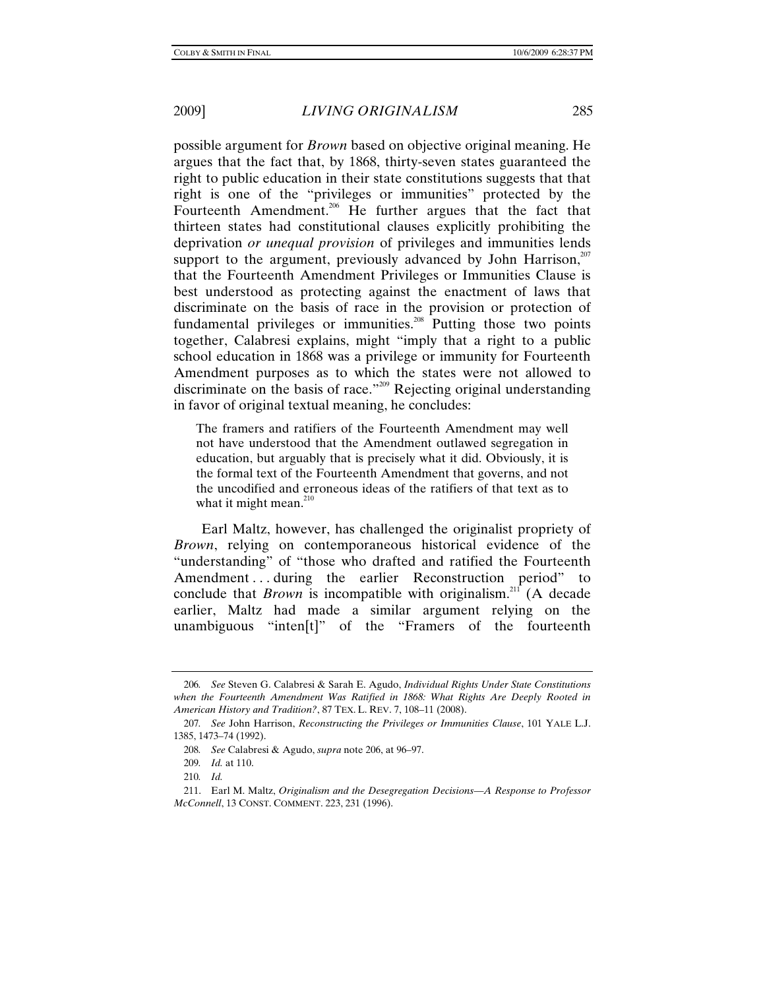possible argument for *Brown* based on objective original meaning. He argues that the fact that, by 1868, thirty-seven states guaranteed the right to public education in their state constitutions suggests that that right is one of the "privileges or immunities" protected by the Fourteenth Amendment.<sup>206</sup> He further argues that the fact that thirteen states had constitutional clauses explicitly prohibiting the deprivation *or unequal provision* of privileges and immunities lends support to the argument, previously advanced by John Harrison, $207$ that the Fourteenth Amendment Privileges or Immunities Clause is best understood as protecting against the enactment of laws that discriminate on the basis of race in the provision or protection of fundamental privileges or immunities.<sup>208</sup> Putting those two points together, Calabresi explains, might "imply that a right to a public school education in 1868 was a privilege or immunity for Fourteenth Amendment purposes as to which the states were not allowed to discriminate on the basis of race."209 Rejecting original understanding in favor of original textual meaning, he concludes:

The framers and ratifiers of the Fourteenth Amendment may well not have understood that the Amendment outlawed segregation in education, but arguably that is precisely what it did. Obviously, it is the formal text of the Fourteenth Amendment that governs, and not the uncodified and erroneous ideas of the ratifiers of that text as to what it might mean. $^{210}$ 

Earl Maltz, however, has challenged the originalist propriety of *Brown*, relying on contemporaneous historical evidence of the "understanding" of "those who drafted and ratified the Fourteenth Amendment ... during the earlier Reconstruction period" to conclude that *Brown* is incompatible with originalism.<sup>211</sup> (A decade earlier, Maltz had made a similar argument relying on the unambiguous "inten[t]" of the "Framers of the fourteenth

<sup>206</sup>*. See* Steven G. Calabresi & Sarah E. Agudo, *Individual Rights Under State Constitutions when the Fourteenth Amendment Was Ratified in 1868: What Rights Are Deeply Rooted in American History and Tradition?*, 87 TEX. L. REV. 7, 108–11 (2008).

<sup>207</sup>*. See* John Harrison, *Reconstructing the Privileges or Immunities Clause*, 101 YALE L.J. 1385, 1473–74 (1992).

<sup>208</sup>*. See* Calabresi & Agudo, *supra* note 206, at 96–97.

<sup>209</sup>*. Id.* at 110.

<sup>210</sup>*. Id.*

 <sup>211.</sup> Earl M. Maltz, *Originalism and the Desegregation Decisions—A Response to Professor McConnell*, 13 CONST. COMMENT. 223, 231 (1996).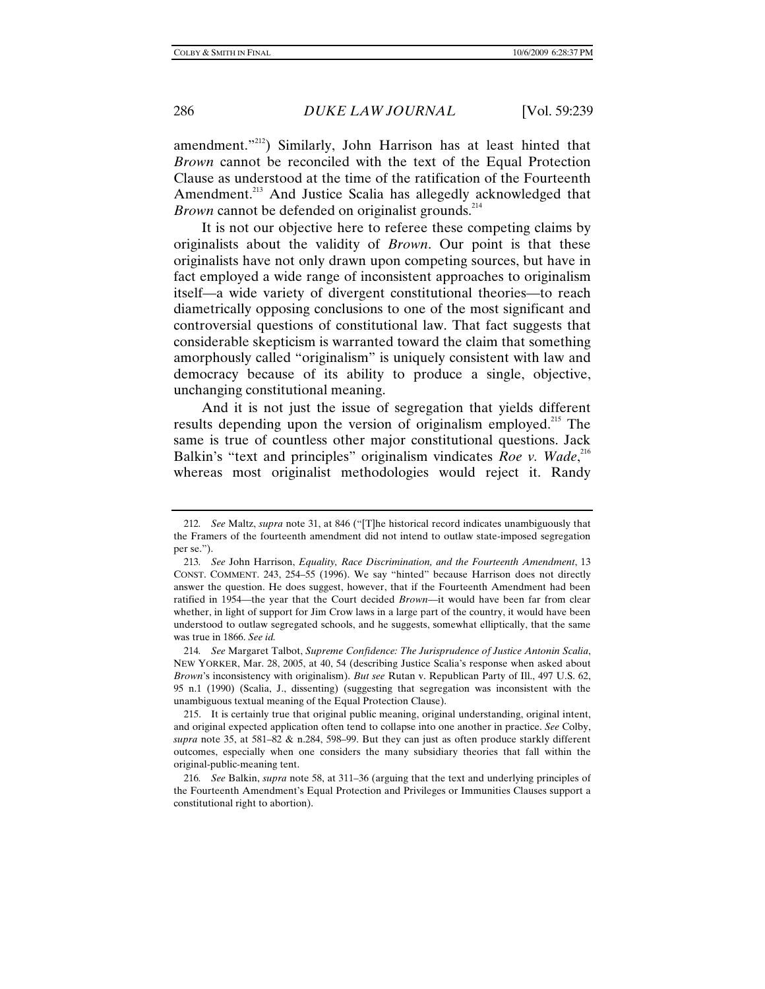amendment."<sup>212</sup>) Similarly, John Harrison has at least hinted that *Brown* cannot be reconciled with the text of the Equal Protection Clause as understood at the time of the ratification of the Fourteenth Amendment.<sup>213</sup> And Justice Scalia has allegedly acknowledged that *Brown* cannot be defended on originalist grounds.<sup>214</sup>

It is not our objective here to referee these competing claims by originalists about the validity of *Brown*. Our point is that these originalists have not only drawn upon competing sources, but have in fact employed a wide range of inconsistent approaches to originalism itself—a wide variety of divergent constitutional theories—to reach diametrically opposing conclusions to one of the most significant and controversial questions of constitutional law. That fact suggests that considerable skepticism is warranted toward the claim that something amorphously called "originalism" is uniquely consistent with law and democracy because of its ability to produce a single, objective, unchanging constitutional meaning.

And it is not just the issue of segregation that yields different results depending upon the version of originalism employed.<sup>215</sup> The same is true of countless other major constitutional questions. Jack Balkin's "text and principles" originalism vindicates *Roe v. Wade*,<sup>216</sup> whereas most originalist methodologies would reject it. Randy

<sup>212</sup>*. See* Maltz, *supra* note 31, at 846 ("[T]he historical record indicates unambiguously that the Framers of the fourteenth amendment did not intend to outlaw state-imposed segregation per se.").

<sup>213</sup>*. See* John Harrison, *Equality, Race Discrimination, and the Fourteenth Amendment*, 13 CONST. COMMENT. 243, 254–55 (1996). We say "hinted" because Harrison does not directly answer the question. He does suggest, however, that if the Fourteenth Amendment had been ratified in 1954—the year that the Court decided *Brown*—it would have been far from clear whether, in light of support for Jim Crow laws in a large part of the country, it would have been understood to outlaw segregated schools, and he suggests, somewhat elliptically, that the same was true in 1866. *See id.*

<sup>214</sup>*. See* Margaret Talbot, *Supreme Confidence: The Jurisprudence of Justice Antonin Scalia*, NEW YORKER, Mar. 28, 2005, at 40, 54 (describing Justice Scalia's response when asked about *Brown*'s inconsistency with originalism). *But see* Rutan v. Republican Party of Ill., 497 U.S. 62, 95 n.1 (1990) (Scalia, J., dissenting) (suggesting that segregation was inconsistent with the unambiguous textual meaning of the Equal Protection Clause).

 <sup>215.</sup> It is certainly true that original public meaning, original understanding, original intent, and original expected application often tend to collapse into one another in practice. *See* Colby, *supra* note 35, at 581–82 & n.284, 598–99. But they can just as often produce starkly different outcomes, especially when one considers the many subsidiary theories that fall within the original-public-meaning tent.

<sup>216</sup>*. See* Balkin, *supra* note 58, at 311–36 (arguing that the text and underlying principles of the Fourteenth Amendment's Equal Protection and Privileges or Immunities Clauses support a constitutional right to abortion).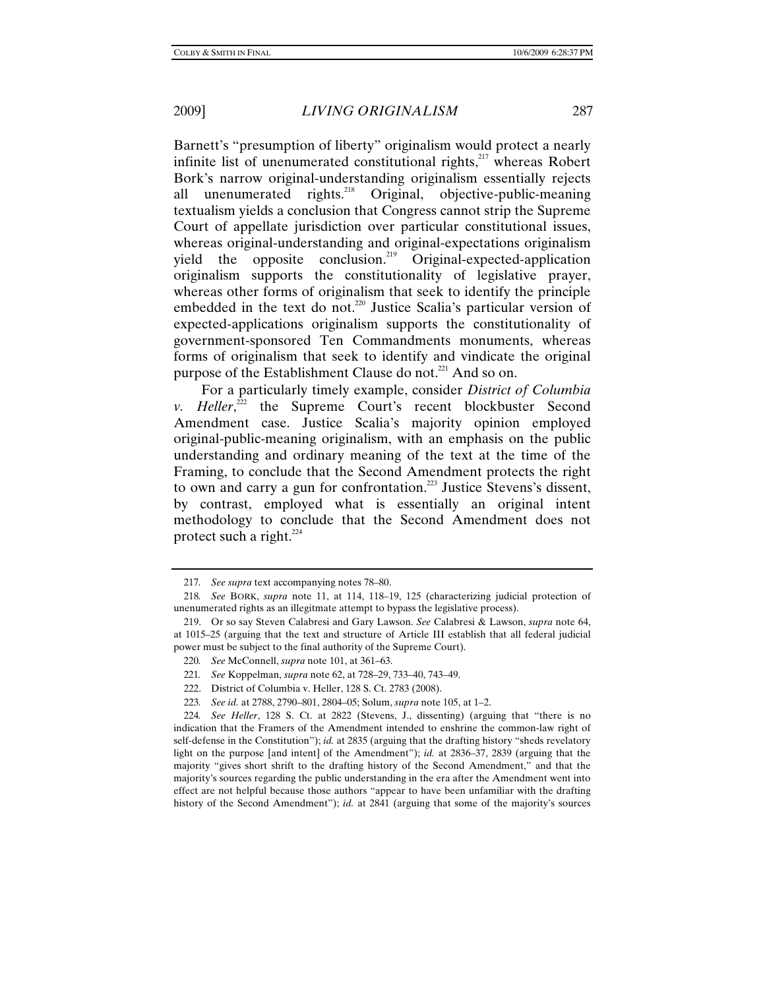Barnett's "presumption of liberty" originalism would protect a nearly infinite list of unenumerated constitutional rights,<sup>217</sup> whereas Robert Bork's narrow original-understanding originalism essentially rejects all unenumerated rights.<sup>218</sup> Original, objective-public-meaning textualism yields a conclusion that Congress cannot strip the Supreme Court of appellate jurisdiction over particular constitutional issues, whereas original-understanding and original-expectations originalism yield the opposite conclusion.<sup>219</sup> Original-expected-application originalism supports the constitutionality of legislative prayer, whereas other forms of originalism that seek to identify the principle embedded in the text do not.<sup>220</sup> Justice Scalia's particular version of expected-applications originalism supports the constitutionality of government-sponsored Ten Commandments monuments, whereas forms of originalism that seek to identify and vindicate the original purpose of the Establishment Clause do not.<sup>221</sup> And so on.

For a particularly timely example, consider *District of Columbia v. Heller*,<sup>222</sup> the Supreme Court's recent blockbuster Second Amendment case. Justice Scalia's majority opinion employed original-public-meaning originalism, with an emphasis on the public understanding and ordinary meaning of the text at the time of the Framing, to conclude that the Second Amendment protects the right to own and carry a gun for confrontation.<sup>223</sup> Justice Stevens's dissent, by contrast, employed what is essentially an original intent methodology to conclude that the Second Amendment does not protect such a right. $^{224}$ 

<sup>217</sup>*. See supra* text accompanying notes 78–80.

<sup>218</sup>*. See* BORK, *supra* note 11, at 114, 118–19, 125 (characterizing judicial protection of unenumerated rights as an illegitmate attempt to bypass the legislative process).

 <sup>219.</sup> Or so say Steven Calabresi and Gary Lawson. *See* Calabresi & Lawson, *supra* note 64, at 1015–25 (arguing that the text and structure of Article III establish that all federal judicial power must be subject to the final authority of the Supreme Court).

<sup>220</sup>*. See* McConnell, *supra* note 101, at 361–63.

<sup>221</sup>*. See* Koppelman, *supra* note 62, at 728–29, 733–40, 743–49.

 <sup>222.</sup> District of Columbia v. Heller, 128 S. Ct. 2783 (2008).

<sup>223</sup>*. See id.* at 2788, 2790–801, 2804–05; Solum, *supra* note 105, at 1–2.

<sup>224</sup>*. See Heller*, 128 S. Ct. at 2822 (Stevens, J., dissenting) (arguing that "there is no indication that the Framers of the Amendment intended to enshrine the common-law right of self-defense in the Constitution"); *id.* at 2835 (arguing that the drafting history "sheds revelatory light on the purpose [and intent] of the Amendment"); *id.* at 2836–37, 2839 (arguing that the majority "gives short shrift to the drafting history of the Second Amendment," and that the majority's sources regarding the public understanding in the era after the Amendment went into effect are not helpful because those authors "appear to have been unfamiliar with the drafting history of the Second Amendment"); *id.* at 2841 (arguing that some of the majority's sources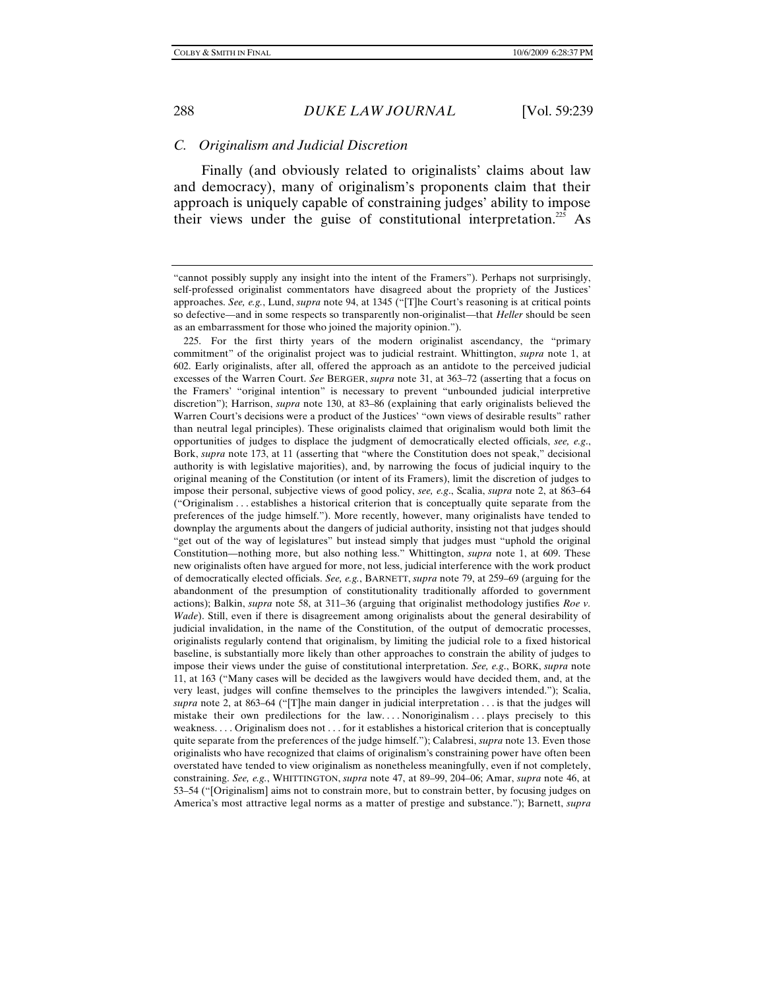## *C. Originalism and Judicial Discretion*

Finally (and obviously related to originalists' claims about law and democracy), many of originalism's proponents claim that their approach is uniquely capable of constraining judges' ability to impose their views under the guise of constitutional interpretation.<sup>225</sup> As

 225. For the first thirty years of the modern originalist ascendancy, the "primary commitment" of the originalist project was to judicial restraint. Whittington, *supra* note 1, at 602. Early originalists, after all, offered the approach as an antidote to the perceived judicial excesses of the Warren Court. *See* BERGER, *supra* note 31, at 363–72 (asserting that a focus on the Framers' "original intention" is necessary to prevent "unbounded judicial interpretive discretion"); Harrison, *supra* note 130, at 83–86 (explaining that early originalists believed the Warren Court's decisions were a product of the Justices' "own views of desirable results" rather than neutral legal principles). These originalists claimed that originalism would both limit the opportunities of judges to displace the judgment of democratically elected officials, *see, e.g*., Bork, *supra* note 173, at 11 (asserting that "where the Constitution does not speak," decisional authority is with legislative majorities), and, by narrowing the focus of judicial inquiry to the original meaning of the Constitution (or intent of its Framers), limit the discretion of judges to impose their personal, subjective views of good policy, *see, e.g*., Scalia, *supra* note 2, at 863–64 ("Originalism . . . establishes a historical criterion that is conceptually quite separate from the preferences of the judge himself."). More recently, however, many originalists have tended to downplay the arguments about the dangers of judicial authority, insisting not that judges should "get out of the way of legislatures" but instead simply that judges must "uphold the original Constitution—nothing more, but also nothing less." Whittington, *supra* note 1, at 609. These new originalists often have argued for more, not less, judicial interference with the work product of democratically elected officials. *See, e.g.*, BARNETT, *supra* note 79, at 259–69 (arguing for the abandonment of the presumption of constitutionality traditionally afforded to government actions); Balkin, *supra* note 58, at 311–36 (arguing that originalist methodology justifies *Roe v. Wade*). Still, even if there is disagreement among originalists about the general desirability of judicial invalidation, in the name of the Constitution, of the output of democratic processes, originalists regularly contend that originalism, by limiting the judicial role to a fixed historical baseline, is substantially more likely than other approaches to constrain the ability of judges to impose their views under the guise of constitutional interpretation. *See, e.g*., BORK, *supra* note 11, at 163 ("Many cases will be decided as the lawgivers would have decided them, and, at the very least, judges will confine themselves to the principles the lawgivers intended."); Scalia, *supra* note 2, at 863–64 ("[T]he main danger in judicial interpretation . . . is that the judges will mistake their own predilections for the law. . . . Nonoriginalism . . . plays precisely to this weakness. . . . Originalism does not . . . for it establishes a historical criterion that is conceptually quite separate from the preferences of the judge himself."); Calabresi, *supra* note 13. Even those originalists who have recognized that claims of originalism's constraining power have often been overstated have tended to view originalism as nonetheless meaningfully, even if not completely, constraining. *See, e.g.*, WHITTINGTON, *supra* note 47, at 89–99, 204–06; Amar, *supra* note 46, at 53–54 ("[Originalism] aims not to constrain more, but to constrain better, by focusing judges on America's most attractive legal norms as a matter of prestige and substance."); Barnett, *supra*

<sup>&</sup>quot;cannot possibly supply any insight into the intent of the Framers"). Perhaps not surprisingly, self-professed originalist commentators have disagreed about the propriety of the Justices' approaches. *See, e.g.*, Lund, *supra* note 94, at 1345 ("[T]he Court's reasoning is at critical points so defective—and in some respects so transparently non-originalist—that *Heller* should be seen as an embarrassment for those who joined the majority opinion.").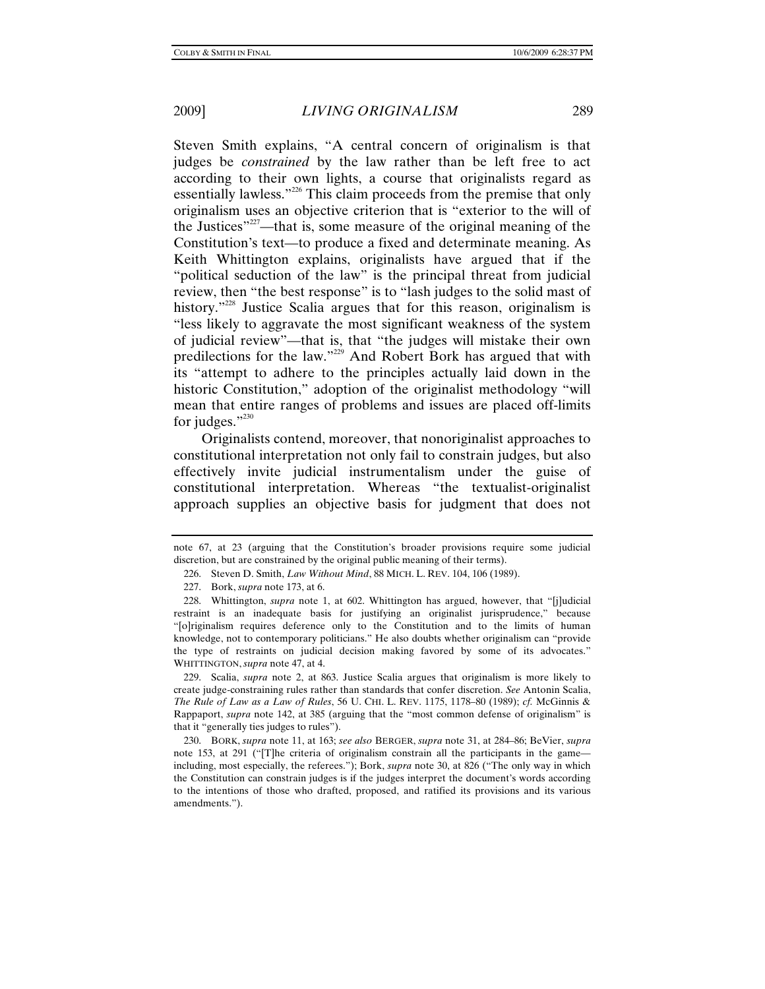Steven Smith explains, "A central concern of originalism is that judges be *constrained* by the law rather than be left free to act according to their own lights, a course that originalists regard as essentially lawless."<sup>226</sup> This claim proceeds from the premise that only originalism uses an objective criterion that is "exterior to the will of the Justices"<sup>227</sup>—that is, some measure of the original meaning of the Constitution's text—to produce a fixed and determinate meaning. As Keith Whittington explains, originalists have argued that if the "political seduction of the law" is the principal threat from judicial review, then "the best response" is to "lash judges to the solid mast of history.<sup>"228</sup> Justice Scalia argues that for this reason, originalism is "less likely to aggravate the most significant weakness of the system of judicial review"—that is, that "the judges will mistake their own predilections for the law."229 And Robert Bork has argued that with its "attempt to adhere to the principles actually laid down in the historic Constitution," adoption of the originalist methodology "will mean that entire ranges of problems and issues are placed off-limits for judges." $230$ 

Originalists contend, moreover, that nonoriginalist approaches to constitutional interpretation not only fail to constrain judges, but also effectively invite judicial instrumentalism under the guise of constitutional interpretation. Whereas "the textualist-originalist approach supplies an objective basis for judgment that does not

 229. Scalia, *supra* note 2, at 863. Justice Scalia argues that originalism is more likely to create judge-constraining rules rather than standards that confer discretion. *See* Antonin Scalia, *The Rule of Law as a Law of Rules*, 56 U. CHI. L. REV. 1175, 1178–80 (1989); *cf.* McGinnis & Rappaport, *supra* note 142, at 385 (arguing that the "most common defense of originalism" is that it "generally ties judges to rules").

 230. BORK, *supra* note 11, at 163; *see also* BERGER, *supra* note 31, at 284–86; BeVier, *supra*  note 153, at 291 ("[T]he criteria of originalism constrain all the participants in the game including, most especially, the referees."); Bork, *supra* note 30, at 826 ("The only way in which the Constitution can constrain judges is if the judges interpret the document's words according to the intentions of those who drafted, proposed, and ratified its provisions and its various amendments.").

note 67, at 23 (arguing that the Constitution's broader provisions require some judicial discretion, but are constrained by the original public meaning of their terms).

 <sup>226.</sup> Steven D. Smith, *Law Without Mind*, 88 MICH. L. REV. 104, 106 (1989).

 <sup>227.</sup> Bork, *supra* note 173, at 6.

 <sup>228.</sup> Whittington, *supra* note 1, at 602. Whittington has argued, however, that "[j]udicial restraint is an inadequate basis for justifying an originalist jurisprudence," because "[o]riginalism requires deference only to the Constitution and to the limits of human knowledge, not to contemporary politicians." He also doubts whether originalism can "provide the type of restraints on judicial decision making favored by some of its advocates." WHITTINGTON, *supra* note 47, at 4.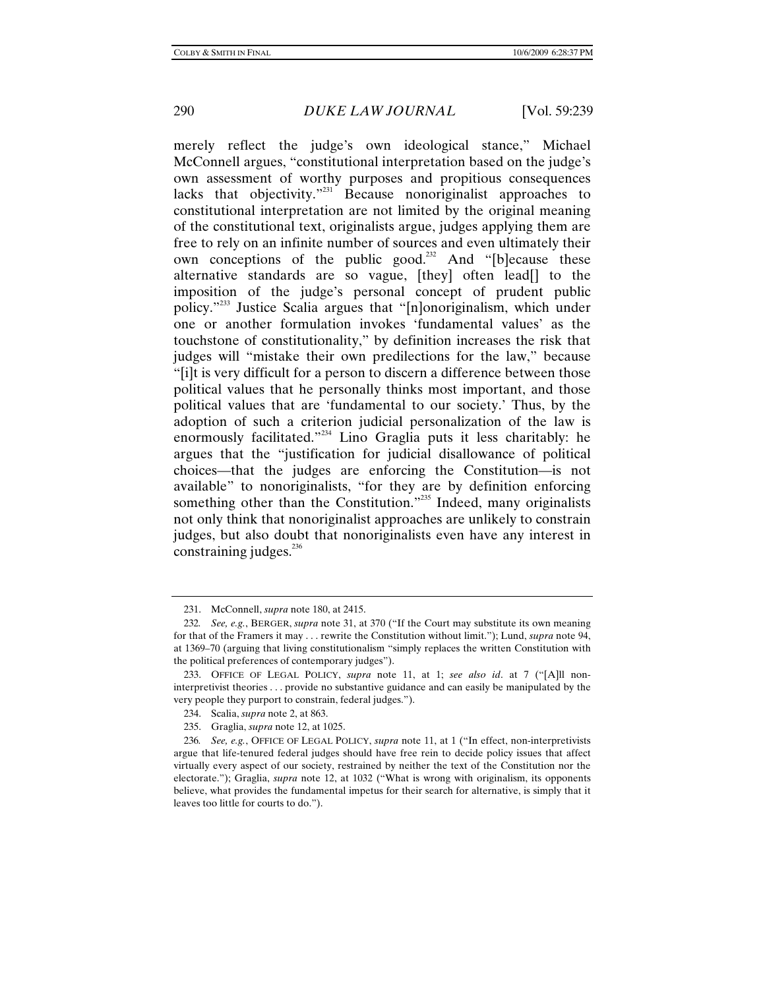merely reflect the judge's own ideological stance," Michael McConnell argues, "constitutional interpretation based on the judge's own assessment of worthy purposes and propitious consequences lacks that objectivity."231 Because nonoriginalist approaches to constitutional interpretation are not limited by the original meaning of the constitutional text, originalists argue, judges applying them are free to rely on an infinite number of sources and even ultimately their own conceptions of the public good.<sup>232</sup> And "[b]ecause these alternative standards are so vague, [they] often lead[] to the imposition of the judge's personal concept of prudent public policy."233 Justice Scalia argues that "[n]onoriginalism, which under one or another formulation invokes 'fundamental values' as the touchstone of constitutionality," by definition increases the risk that judges will "mistake their own predilections for the law," because "[i]t is very difficult for a person to discern a difference between those political values that he personally thinks most important, and those political values that are 'fundamental to our society.' Thus, by the adoption of such a criterion judicial personalization of the law is enormously facilitated."<sup>234</sup> Lino Graglia puts it less charitably: he argues that the "justification for judicial disallowance of political choices—that the judges are enforcing the Constitution—is not available" to nonoriginalists, "for they are by definition enforcing something other than the Constitution."<sup>235</sup> Indeed, many originalists not only think that nonoriginalist approaches are unlikely to constrain judges, but also doubt that nonoriginalists even have any interest in constraining judges.<sup>236</sup>

 <sup>231.</sup> McConnell, *supra* note 180, at 2415.

<sup>232</sup>*. See, e.g.*, BERGER, *supra* note 31, at 370 ("If the Court may substitute its own meaning for that of the Framers it may . . . rewrite the Constitution without limit."); Lund, *supra* note 94, at 1369–70 (arguing that living constitutionalism "simply replaces the written Constitution with the political preferences of contemporary judges").

 <sup>233.</sup> OFFICE OF LEGAL POLICY, *supra* note 11, at 1; *see also id*. at 7 ("[A]ll noninterpretivist theories . . . provide no substantive guidance and can easily be manipulated by the very people they purport to constrain, federal judges.").

 <sup>234.</sup> Scalia, *supra* note 2, at 863.

 <sup>235.</sup> Graglia, *supra* note 12, at 1025.

<sup>236</sup>*. See, e.g.*, OFFICE OF LEGAL POLICY, *supra* note 11, at 1 ("In effect, non-interpretivists argue that life-tenured federal judges should have free rein to decide policy issues that affect virtually every aspect of our society, restrained by neither the text of the Constitution nor the electorate."); Graglia, *supra* note 12, at 1032 ("What is wrong with originalism, its opponents believe, what provides the fundamental impetus for their search for alternative, is simply that it leaves too little for courts to do.").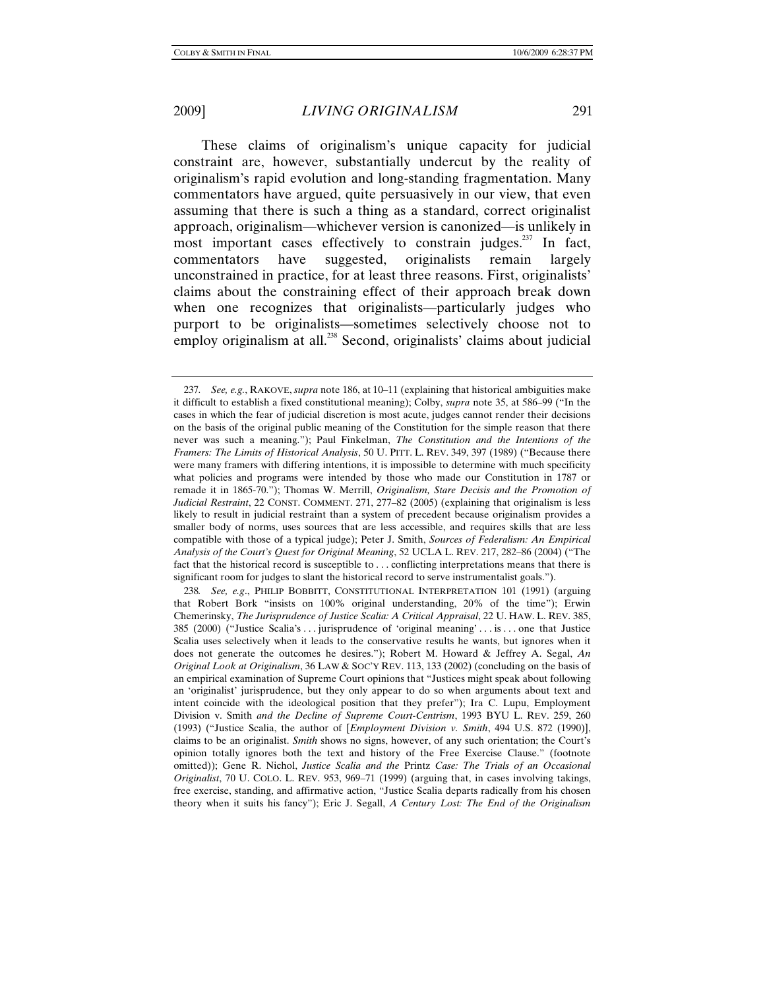These claims of originalism's unique capacity for judicial constraint are, however, substantially undercut by the reality of originalism's rapid evolution and long-standing fragmentation. Many commentators have argued, quite persuasively in our view, that even assuming that there is such a thing as a standard, correct originalist approach, originalism—whichever version is canonized—is unlikely in most important cases effectively to constrain judges.<sup>237</sup> In fact, commentators have suggested, originalists remain largely unconstrained in practice, for at least three reasons. First, originalists' claims about the constraining effect of their approach break down when one recognizes that originalists—particularly judges who purport to be originalists—sometimes selectively choose not to employ originalism at all.<sup>238</sup> Second, originalists' claims about judicial

<sup>237</sup>*. See, e.g.*, RAKOVE, *supra* note 186, at 10–11 (explaining that historical ambiguities make it difficult to establish a fixed constitutional meaning); Colby, *supra* note 35, at 586–99 ("In the cases in which the fear of judicial discretion is most acute, judges cannot render their decisions on the basis of the original public meaning of the Constitution for the simple reason that there never was such a meaning."); Paul Finkelman, *The Constitution and the Intentions of the Framers: The Limits of Historical Analysis*, 50 U. PITT. L. REV. 349, 397 (1989) ("Because there were many framers with differing intentions, it is impossible to determine with much specificity what policies and programs were intended by those who made our Constitution in 1787 or remade it in 1865-70."); Thomas W. Merrill, *Originalism, Stare Decisis and the Promotion of Judicial Restraint*, 22 CONST. COMMENT. 271, 277–82 (2005) (explaining that originalism is less likely to result in judicial restraint than a system of precedent because originalism provides a smaller body of norms, uses sources that are less accessible, and requires skills that are less compatible with those of a typical judge); Peter J. Smith, *Sources of Federalism: An Empirical Analysis of the Court's Quest for Original Meaning*, 52 UCLA L. REV. 217, 282–86 (2004) ("The fact that the historical record is susceptible to . . . conflicting interpretations means that there is significant room for judges to slant the historical record to serve instrumentalist goals.").

<sup>238</sup>*. See, e.g*., PHILIP BOBBITT, CONSTITUTIONAL INTERPRETATION 101 (1991) (arguing that Robert Bork "insists on 100% original understanding, 20% of the time"); Erwin Chemerinsky, *The Jurisprudence of Justice Scalia: A Critical Appraisal*, 22 U. HAW. L. REV. 385, 385 (2000) ("Justice Scalia's . . . jurisprudence of 'original meaning' . . . is . . . one that Justice Scalia uses selectively when it leads to the conservative results he wants, but ignores when it does not generate the outcomes he desires."); Robert M. Howard & Jeffrey A. Segal, *An Original Look at Originalism*, 36 LAW & SOC'Y REV. 113, 133 (2002) (concluding on the basis of an empirical examination of Supreme Court opinions that "Justices might speak about following an 'originalist' jurisprudence, but they only appear to do so when arguments about text and intent coincide with the ideological position that they prefer"); Ira C. Lupu, Employment Division v. Smith *and the Decline of Supreme Court-Centrism*, 1993 BYU L. REV. 259, 260 (1993) ("Justice Scalia, the author of [*Employment Division v. Smith*, 494 U.S. 872 (1990)], claims to be an originalist. *Smith* shows no signs, however, of any such orientation; the Court's opinion totally ignores both the text and history of the Free Exercise Clause." (footnote omitted)); Gene R. Nichol, *Justice Scalia and the* Printz *Case: The Trials of an Occasional Originalist*, 70 U. COLO. L. REV. 953, 969–71 (1999) (arguing that, in cases involving takings, free exercise, standing, and affirmative action, "Justice Scalia departs radically from his chosen theory when it suits his fancy"); Eric J. Segall, *A Century Lost: The End of the Originalism*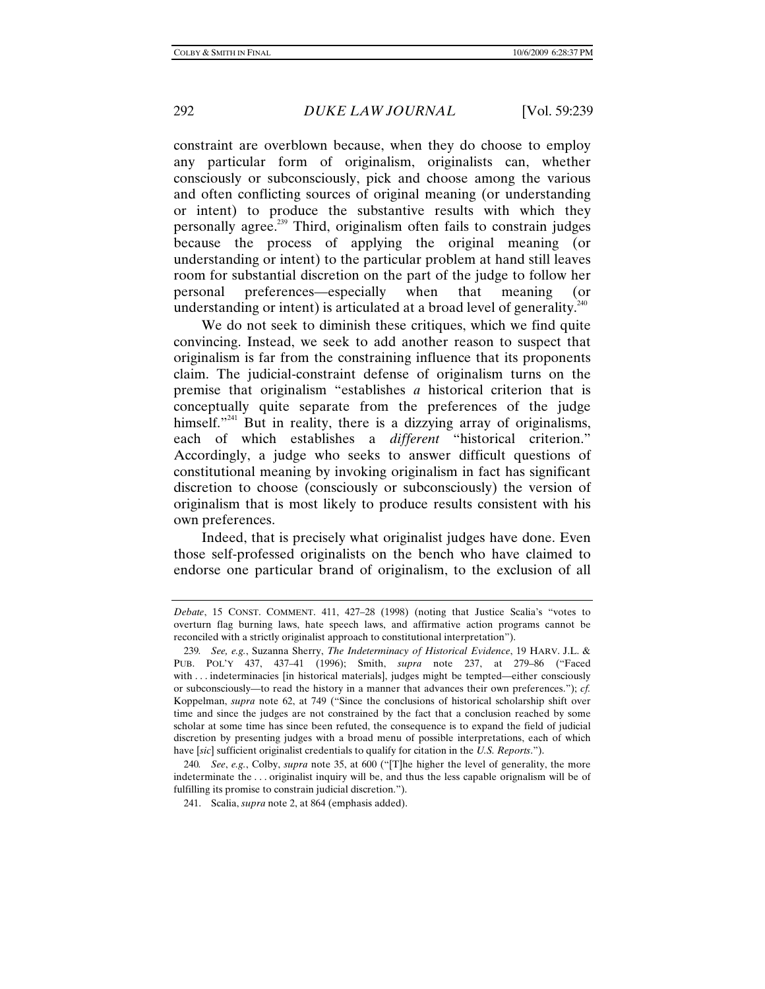constraint are overblown because, when they do choose to employ any particular form of originalism, originalists can, whether consciously or subconsciously, pick and choose among the various and often conflicting sources of original meaning (or understanding or intent) to produce the substantive results with which they personally agree.<sup>239</sup> Third, originalism often fails to constrain judges because the process of applying the original meaning (or understanding or intent) to the particular problem at hand still leaves room for substantial discretion on the part of the judge to follow her personal preferences—especially when that meaning (or understanding or intent) is articulated at a broad level of generality.<sup>240</sup>

We do not seek to diminish these critiques, which we find quite convincing. Instead, we seek to add another reason to suspect that originalism is far from the constraining influence that its proponents claim. The judicial-constraint defense of originalism turns on the premise that originalism "establishes *a* historical criterion that is conceptually quite separate from the preferences of the judge himself."<sup>241</sup> But in reality, there is a dizzying array of originalisms, each of which establishes a *different* "historical criterion." Accordingly, a judge who seeks to answer difficult questions of constitutional meaning by invoking originalism in fact has significant discretion to choose (consciously or subconsciously) the version of originalism that is most likely to produce results consistent with his own preferences.

Indeed, that is precisely what originalist judges have done. Even those self-professed originalists on the bench who have claimed to endorse one particular brand of originalism, to the exclusion of all

*Debate*, 15 CONST. COMMENT. 411, 427–28 (1998) (noting that Justice Scalia's "votes to overturn flag burning laws, hate speech laws, and affirmative action programs cannot be reconciled with a strictly originalist approach to constitutional interpretation").

<sup>239</sup>*. See, e.g.*, Suzanna Sherry, *The Indeterminacy of Historical Evidence*, 19 HARV. J.L. & PUB. POL'Y 437, 437–41 (1996); Smith, *supra* note 237, at 279–86 ("Faced with . . . indeterminacies [in historical materials], judges might be tempted—either consciously or subconsciously—to read the history in a manner that advances their own preferences."); *cf.*  Koppelman, *supra* note 62, at 749 ("Since the conclusions of historical scholarship shift over time and since the judges are not constrained by the fact that a conclusion reached by some scholar at some time has since been refuted, the consequence is to expand the field of judicial discretion by presenting judges with a broad menu of possible interpretations, each of which have [*sic*] sufficient originalist credentials to qualify for citation in the *U.S. Reports*.").

<sup>240</sup>*. See*, *e.g.*, Colby, *supra* note 35, at 600 ("[T]he higher the level of generality, the more indeterminate the . . . originalist inquiry will be, and thus the less capable orignalism will be of fulfilling its promise to constrain judicial discretion.").

 <sup>241.</sup> Scalia, *supra* note 2, at 864 (emphasis added).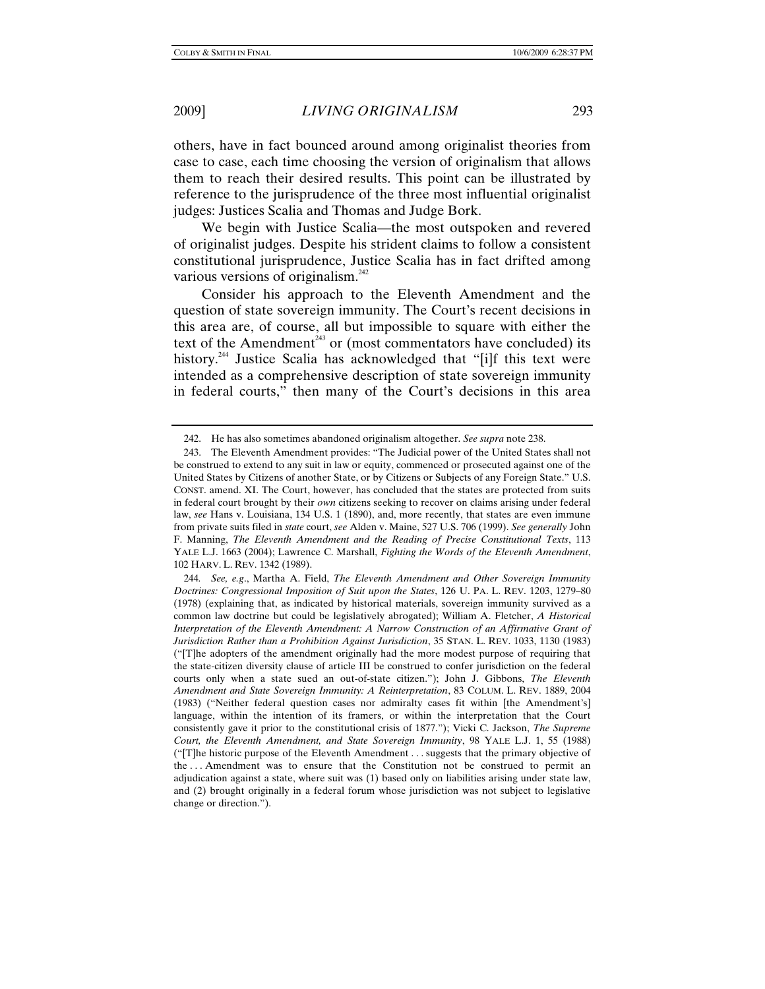others, have in fact bounced around among originalist theories from case to case, each time choosing the version of originalism that allows them to reach their desired results. This point can be illustrated by reference to the jurisprudence of the three most influential originalist judges: Justices Scalia and Thomas and Judge Bork.

We begin with Justice Scalia—the most outspoken and revered of originalist judges. Despite his strident claims to follow a consistent constitutional jurisprudence, Justice Scalia has in fact drifted among various versions of originalism. $^{242}$ 

Consider his approach to the Eleventh Amendment and the question of state sovereign immunity. The Court's recent decisions in this area are, of course, all but impossible to square with either the text of the Amendment<sup> $243$ </sup> or (most commentators have concluded) its history.<sup>244</sup> Justice Scalia has acknowledged that "[i]f this text were intended as a comprehensive description of state sovereign immunity in federal courts," then many of the Court's decisions in this area

 <sup>242.</sup> He has also sometimes abandoned originalism altogether. *See supra* note 238.

 <sup>243.</sup> The Eleventh Amendment provides: "The Judicial power of the United States shall not be construed to extend to any suit in law or equity, commenced or prosecuted against one of the United States by Citizens of another State, or by Citizens or Subjects of any Foreign State." U.S. CONST. amend. XI. The Court, however, has concluded that the states are protected from suits in federal court brought by their *own* citizens seeking to recover on claims arising under federal law, *see* Hans v. Louisiana, 134 U.S. 1 (1890), and, more recently, that states are even immune from private suits filed in *state* court, *see* Alden v. Maine, 527 U.S. 706 (1999). *See generally* John F. Manning, *The Eleventh Amendment and the Reading of Precise Constitutional Texts*, 113 YALE L.J. 1663 (2004); Lawrence C. Marshall, *Fighting the Words of the Eleventh Amendment*, 102 HARV. L. REV. 1342 (1989).

<sup>244</sup>*. See, e.g*., Martha A. Field, *The Eleventh Amendment and Other Sovereign Immunity Doctrines: Congressional Imposition of Suit upon the States*, 126 U. PA. L. REV. 1203, 1279–80 (1978) (explaining that, as indicated by historical materials, sovereign immunity survived as a common law doctrine but could be legislatively abrogated); William A. Fletcher, *A Historical Interpretation of the Eleventh Amendment: A Narrow Construction of an Affirmative Grant of Jurisdiction Rather than a Prohibition Against Jurisdiction*, 35 STAN. L. REV. 1033, 1130 (1983) ("[T]he adopters of the amendment originally had the more modest purpose of requiring that the state-citizen diversity clause of article III be construed to confer jurisdiction on the federal courts only when a state sued an out-of-state citizen."); John J. Gibbons, *The Eleventh Amendment and State Sovereign Immunity: A Reinterpretation*, 83 COLUM. L. REV. 1889, 2004 (1983) ("Neither federal question cases nor admiralty cases fit within [the Amendment's] language, within the intention of its framers, or within the interpretation that the Court consistently gave it prior to the constitutional crisis of 1877."); Vicki C. Jackson, *The Supreme Court, the Eleventh Amendment, and State Sovereign Immunity*, 98 YALE L.J. 1, 55 (1988) ("[T]he historic purpose of the Eleventh Amendment . . . suggests that the primary objective of the . . . Amendment was to ensure that the Constitution not be construed to permit an adjudication against a state, where suit was (1) based only on liabilities arising under state law, and (2) brought originally in a federal forum whose jurisdiction was not subject to legislative change or direction.").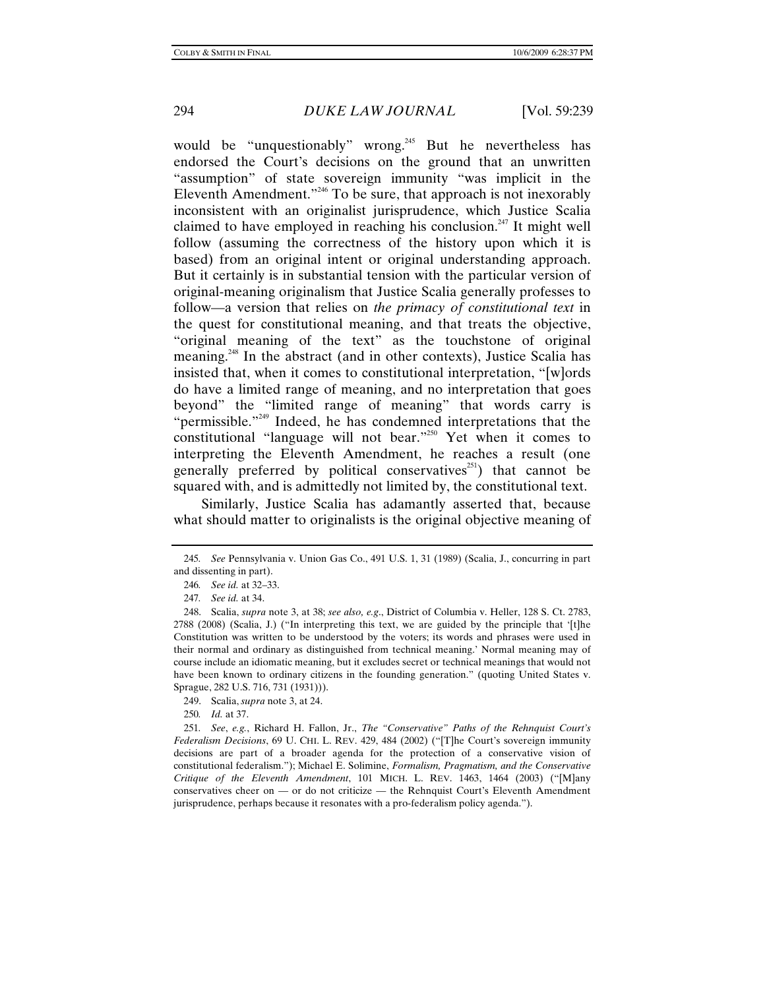would be "unquestionably" wrong.<sup>245</sup> But he nevertheless has endorsed the Court's decisions on the ground that an unwritten "assumption" of state sovereign immunity "was implicit in the Eleventh Amendment."<sup>246</sup> To be sure, that approach is not inexorably inconsistent with an originalist jurisprudence, which Justice Scalia claimed to have employed in reaching his conclusion.<sup>247</sup> It might well follow (assuming the correctness of the history upon which it is based) from an original intent or original understanding approach. But it certainly is in substantial tension with the particular version of original-meaning originalism that Justice Scalia generally professes to follow—a version that relies on *the primacy of constitutional text* in the quest for constitutional meaning, and that treats the objective, "original meaning of the text" as the touchstone of original meaning.<sup>248</sup> In the abstract (and in other contexts), Justice Scalia has insisted that, when it comes to constitutional interpretation, "[w]ords do have a limited range of meaning, and no interpretation that goes beyond" the "limited range of meaning" that words carry is "permissible."<sup>249</sup> Indeed, he has condemned interpretations that the constitutional "language will not bear."<sup>250</sup> Yet when it comes to interpreting the Eleventh Amendment, he reaches a result (one generally preferred by political conservatives<sup>251</sup>) that cannot be squared with, and is admittedly not limited by, the constitutional text.

Similarly, Justice Scalia has adamantly asserted that, because what should matter to originalists is the original objective meaning of

<sup>245</sup>*. See* Pennsylvania v. Union Gas Co., 491 U.S. 1, 31 (1989) (Scalia, J., concurring in part and dissenting in part).

<sup>246</sup>*. See id.* at 32–33.

<sup>247</sup>*. See id.* at 34.

 <sup>248.</sup> Scalia, *supra* note 3, at 38; *see also, e.g*., District of Columbia v. Heller, 128 S. Ct. 2783, 2788 (2008) (Scalia, J.) ("In interpreting this text, we are guided by the principle that '[t]he Constitution was written to be understood by the voters; its words and phrases were used in their normal and ordinary as distinguished from technical meaning.' Normal meaning may of course include an idiomatic meaning, but it excludes secret or technical meanings that would not have been known to ordinary citizens in the founding generation." (quoting United States v. Sprague, 282 U.S. 716, 731 (1931))).

 <sup>249.</sup> Scalia, *supra* note 3, at 24.

<sup>250</sup>*. Id.* at 37.

<sup>251</sup>*. See*, *e.g.*, Richard H. Fallon, Jr., *The "Conservative" Paths of the Rehnquist Court's Federalism Decisions*, 69 U. CHI. L. REV. 429, 484 (2002) ("[T]he Court's sovereign immunity decisions are part of a broader agenda for the protection of a conservative vision of constitutional federalism."); Michael E. Solimine, *Formalism, Pragmatism, and the Conservative Critique of the Eleventh Amendment*, 101 MICH. L. REV. 1463, 1464 (2003) ("[M]any conservatives cheer on — or do not criticize — the Rehnquist Court's Eleventh Amendment jurisprudence, perhaps because it resonates with a pro-federalism policy agenda.").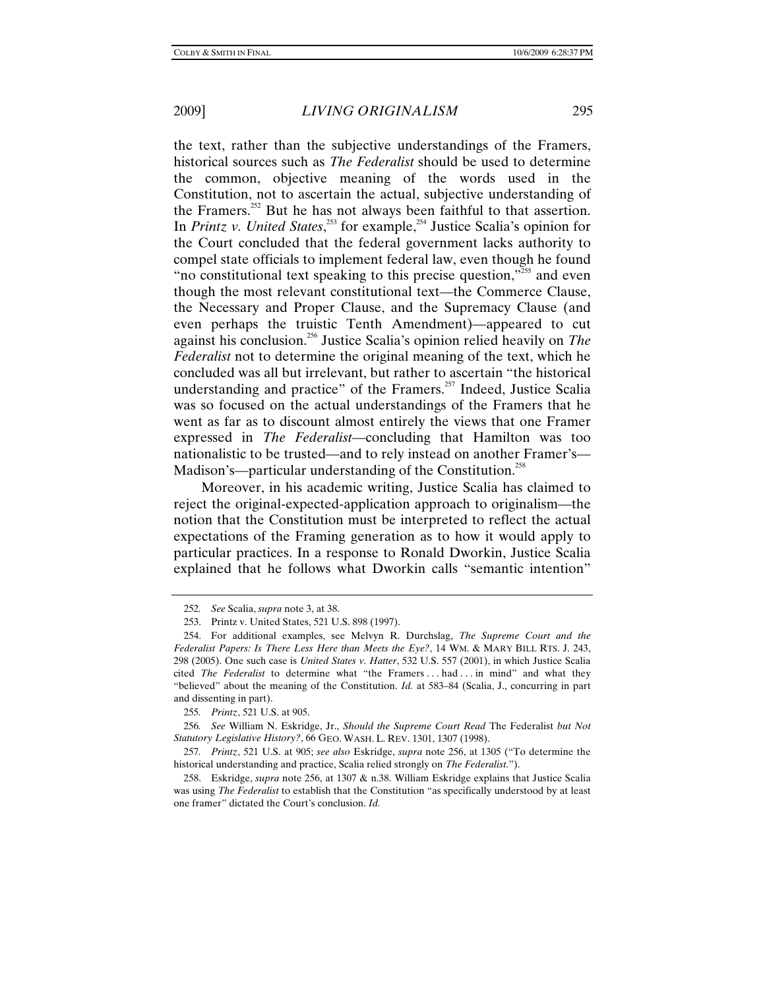the text, rather than the subjective understandings of the Framers, historical sources such as *The Federalist* should be used to determine the common, objective meaning of the words used in the Constitution, not to ascertain the actual, subjective understanding of the Framers.<sup>252</sup> But he has not always been faithful to that assertion. In *Printz v. United States*,<sup>253</sup> for example,<sup>254</sup> Justice Scalia's opinion for the Court concluded that the federal government lacks authority to compel state officials to implement federal law, even though he found "no constitutional text speaking to this precise question,"<sup>255</sup> and even though the most relevant constitutional text—the Commerce Clause, the Necessary and Proper Clause, and the Supremacy Clause (and even perhaps the truistic Tenth Amendment)—appeared to cut against his conclusion.256 Justice Scalia's opinion relied heavily on *The Federalist* not to determine the original meaning of the text, which he concluded was all but irrelevant, but rather to ascertain "the historical understanding and practice" of the Framers.<sup>257</sup> Indeed, Justice Scalia was so focused on the actual understandings of the Framers that he went as far as to discount almost entirely the views that one Framer expressed in *The Federalist*—concluding that Hamilton was too nationalistic to be trusted—and to rely instead on another Framer's— Madison's—particular understanding of the Constitution.<sup>258</sup>

Moreover, in his academic writing, Justice Scalia has claimed to reject the original-expected-application approach to originalism—the notion that the Constitution must be interpreted to reflect the actual expectations of the Framing generation as to how it would apply to particular practices. In a response to Ronald Dworkin, Justice Scalia explained that he follows what Dworkin calls "semantic intention"

<sup>252</sup>*. See* Scalia, *supra* note 3, at 38.

 <sup>253.</sup> Printz v. United States, 521 U.S. 898 (1997).

 <sup>254.</sup> For additional examples, see Melvyn R. Durchslag, *The Supreme Court and the Federalist Papers: Is There Less Here than Meets the Eye?*, 14 WM. & MARY BILL RTS. J. 243, 298 (2005). One such case is *United States v. Hatter*, 532 U.S. 557 (2001), in which Justice Scalia cited *The Federalist* to determine what "the Framers . . . had . . . in mind" and what they "believed" about the meaning of the Constitution. *Id.* at 583–84 (Scalia, J., concurring in part and dissenting in part).

<sup>255</sup>*. Printz*, 521 U.S. at 905.

<sup>256</sup>*. See* William N. Eskridge, Jr., *Should the Supreme Court Read* The Federalist *but Not Statutory Legislative History?*, 66 GEO. WASH. L. REV. 1301, 1307 (1998).

<sup>257</sup>*. Printz*, 521 U.S. at 905; *see also* Eskridge, *supra* note 256, at 1305 ("To determine the historical understanding and practice, Scalia relied strongly on *The Federalist*.").

 <sup>258.</sup> Eskridge, *supra* note 256, at 1307 & n.38. William Eskridge explains that Justice Scalia was using *The Federalist* to establish that the Constitution "as specifically understood by at least one framer" dictated the Court's conclusion. *Id.*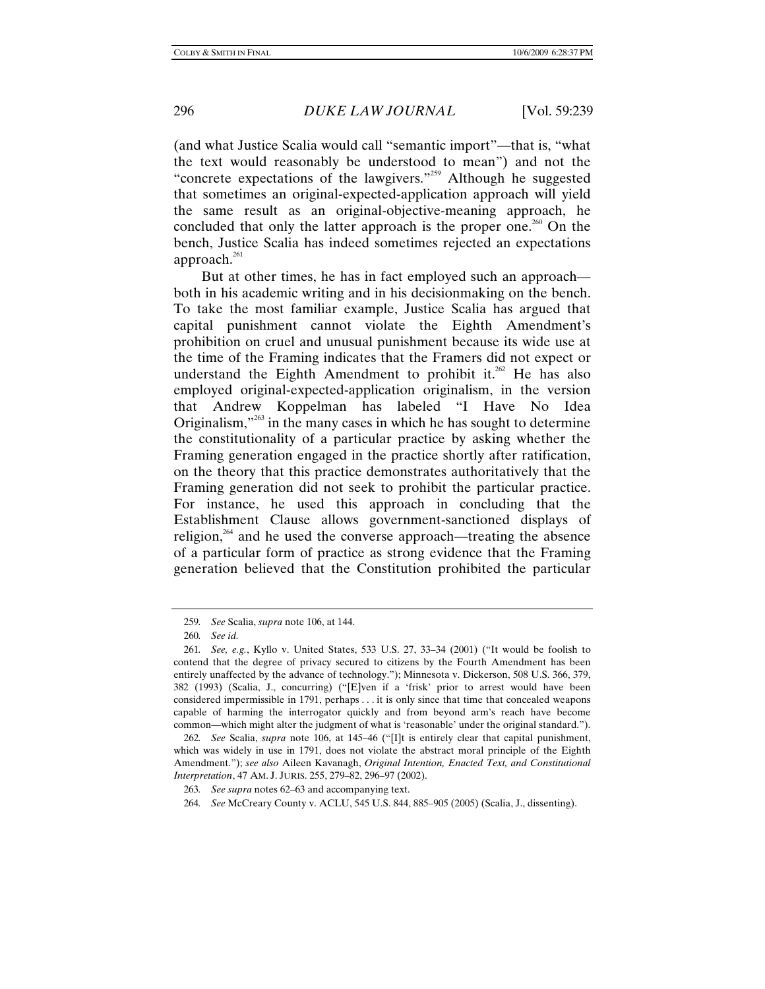(and what Justice Scalia would call "semantic import"—that is, "what the text would reasonably be understood to mean") and not the "concrete expectations of the lawgivers."<sup>259</sup> Although he suggested that sometimes an original-expected-application approach will yield the same result as an original-objective-meaning approach, he concluded that only the latter approach is the proper one.<sup>260</sup> On the bench, Justice Scalia has indeed sometimes rejected an expectations approach. $^{261}$ 

But at other times, he has in fact employed such an approach both in his academic writing and in his decisionmaking on the bench. To take the most familiar example, Justice Scalia has argued that capital punishment cannot violate the Eighth Amendment's prohibition on cruel and unusual punishment because its wide use at the time of the Framing indicates that the Framers did not expect or understand the Eighth Amendment to prohibit it.<sup>262</sup> He has also employed original-expected-application originalism, in the version that Andrew Koppelman has labeled "I Have No Idea Originalism, $\frac{1}{263}$  in the many cases in which he has sought to determine the constitutionality of a particular practice by asking whether the Framing generation engaged in the practice shortly after ratification, on the theory that this practice demonstrates authoritatively that the Framing generation did not seek to prohibit the particular practice. For instance, he used this approach in concluding that the Establishment Clause allows government-sanctioned displays of religion, $264$  and he used the converse approach—treating the absence of a particular form of practice as strong evidence that the Framing generation believed that the Constitution prohibited the particular

<sup>259</sup>*. See* Scalia, *supra* note 106, at 144.

<sup>260</sup>*. See id.*

<sup>261</sup>*. See, e.g.*, Kyllo v. United States, 533 U.S. 27, 33–34 (2001) ("It would be foolish to contend that the degree of privacy secured to citizens by the Fourth Amendment has been entirely unaffected by the advance of technology."); Minnesota v. Dickerson, 508 U.S. 366, 379, 382 (1993) (Scalia, J., concurring) ("[E]ven if a 'frisk' prior to arrest would have been considered impermissible in 1791, perhaps . . . it is only since that time that concealed weapons capable of harming the interrogator quickly and from beyond arm's reach have become common—which might alter the judgment of what is 'reasonable' under the original standard.").

<sup>262</sup>*. See* Scalia, *supra* note 106, at 145–46 ("[I]t is entirely clear that capital punishment, which was widely in use in 1791, does not violate the abstract moral principle of the Eighth Amendment."); *see also* Aileen Kavanagh, *Original Intention, Enacted Text, and Constitutional Interpretation*, 47 AM. J. JURIS. 255, 279–82, 296–97 (2002).

<sup>263</sup>*. See supra* notes 62–63 and accompanying text.

<sup>264</sup>*. See* McCreary County v. ACLU, 545 U.S. 844, 885–905 (2005) (Scalia, J., dissenting).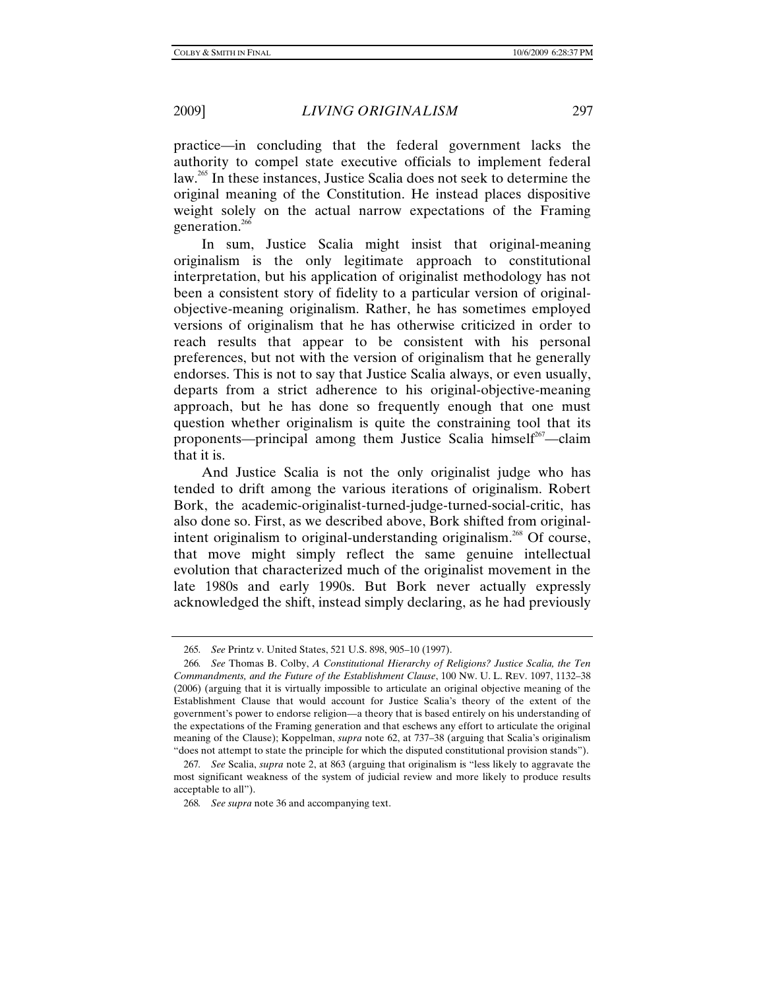practice—in concluding that the federal government lacks the authority to compel state executive officials to implement federal law.<sup>265</sup> In these instances, Justice Scalia does not seek to determine the original meaning of the Constitution. He instead places dispositive weight solely on the actual narrow expectations of the Framing generation. $266$ 

In sum, Justice Scalia might insist that original-meaning originalism is the only legitimate approach to constitutional interpretation, but his application of originalist methodology has not been a consistent story of fidelity to a particular version of originalobjective-meaning originalism. Rather, he has sometimes employed versions of originalism that he has otherwise criticized in order to reach results that appear to be consistent with his personal preferences, but not with the version of originalism that he generally endorses. This is not to say that Justice Scalia always, or even usually, departs from a strict adherence to his original-objective-meaning approach, but he has done so frequently enough that one must question whether originalism is quite the constraining tool that its proponents—principal among them Justice Scalia himself<sup>267</sup>—claim that it is.

And Justice Scalia is not the only originalist judge who has tended to drift among the various iterations of originalism. Robert Bork, the academic-originalist-turned-judge-turned-social-critic, has also done so. First, as we described above, Bork shifted from originalintent originalism to original-understanding originalism.<sup>268</sup> Of course, that move might simply reflect the same genuine intellectual evolution that characterized much of the originalist movement in the late 1980s and early 1990s. But Bork never actually expressly acknowledged the shift, instead simply declaring, as he had previously

<sup>265</sup>*. See* Printz v. United States, 521 U.S. 898, 905–10 (1997).

<sup>266</sup>*. See* Thomas B. Colby, *A Constitutional Hierarchy of Religions? Justice Scalia, the Ten Commandments, and the Future of the Establishment Clause*, 100 NW. U. L. REV. 1097, 1132–38 (2006) (arguing that it is virtually impossible to articulate an original objective meaning of the Establishment Clause that would account for Justice Scalia's theory of the extent of the government's power to endorse religion—a theory that is based entirely on his understanding of the expectations of the Framing generation and that eschews any effort to articulate the original meaning of the Clause); Koppelman, *supra* note 62, at 737–38 (arguing that Scalia's originalism "does not attempt to state the principle for which the disputed constitutional provision stands").

<sup>267</sup>*. See* Scalia, *supra* note 2, at 863 (arguing that originalism is "less likely to aggravate the most significant weakness of the system of judicial review and more likely to produce results acceptable to all").

<sup>268</sup>*. See supra* note 36 and accompanying text.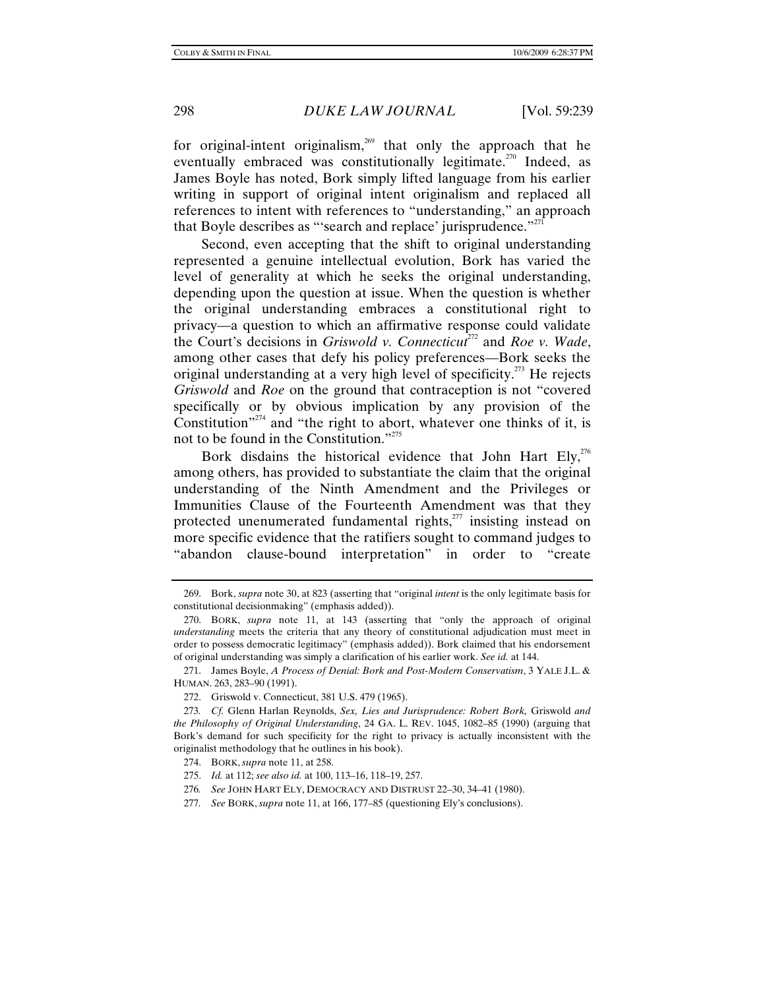for original-intent originalism, $269$  that only the approach that he eventually embraced was constitutionally legitimate.<sup>270</sup> Indeed, as James Boyle has noted, Bork simply lifted language from his earlier writing in support of original intent originalism and replaced all references to intent with references to "understanding," an approach that Boyle describes as "'search and replace' jurisprudence."<sup> $271$ </sup>

Second, even accepting that the shift to original understanding represented a genuine intellectual evolution, Bork has varied the level of generality at which he seeks the original understanding, depending upon the question at issue. When the question is whether the original understanding embraces a constitutional right to privacy—a question to which an affirmative response could validate the Court's decisions in *Griswold v. Connecticut<sup>272</sup>* and *Roe v. Wade*, among other cases that defy his policy preferences—Bork seeks the original understanding at a very high level of specificity.<sup>273</sup> He rejects *Griswold* and *Roe* on the ground that contraception is not "covered specifically or by obvious implication by any provision of the Constitution<sup> $274$ </sup> and "the right to abort, whatever one thinks of it, is not to be found in the Constitution."<sup>275</sup>

Bork disdains the historical evidence that John Hart Ely,  $276$ among others, has provided to substantiate the claim that the original understanding of the Ninth Amendment and the Privileges or Immunities Clause of the Fourteenth Amendment was that they protected unenumerated fundamental rights, $^{277}$  insisting instead on more specific evidence that the ratifiers sought to command judges to "abandon clause-bound interpretation" in order to "create

 <sup>269.</sup> Bork, *supra* note 30, at 823 (asserting that "original *intent* is the only legitimate basis for constitutional decisionmaking" (emphasis added)).

 <sup>270.</sup> BORK, *supra* note 11, at 143 (asserting that "only the approach of original *understanding* meets the criteria that any theory of constitutional adjudication must meet in order to possess democratic legitimacy" (emphasis added)). Bork claimed that his endorsement of original understanding was simply a clarification of his earlier work. *See id.* at 144.

 <sup>271.</sup> James Boyle, *A Process of Denial: Bork and Post-Modern Conservatism*, 3 YALE J.L. & HUMAN. 263, 283–90 (1991).

 <sup>272.</sup> Griswold v. Connecticut, 381 U.S. 479 (1965).

<sup>273</sup>*. Cf.* Glenn Harlan Reynolds, *Sex, Lies and Jurisprudence: Robert Bork,* Griswold *and the Philosophy of Original Understanding*, 24 GA. L. REV. 1045, 1082–85 (1990) (arguing that Bork's demand for such specificity for the right to privacy is actually inconsistent with the originalist methodology that he outlines in his book).

 <sup>274.</sup> BORK, *supra* note 11, at 258.

 <sup>275.</sup> *Id.* at 112; *see also id.* at 100, 113–16, 118–19, 257.

<sup>276</sup>*. See* JOHN HART ELY, DEMOCRACY AND DISTRUST 22–30, 34–41 (1980).

<sup>277</sup>*. See* BORK, *supra* note 11, at 166, 177–85 (questioning Ely's conclusions).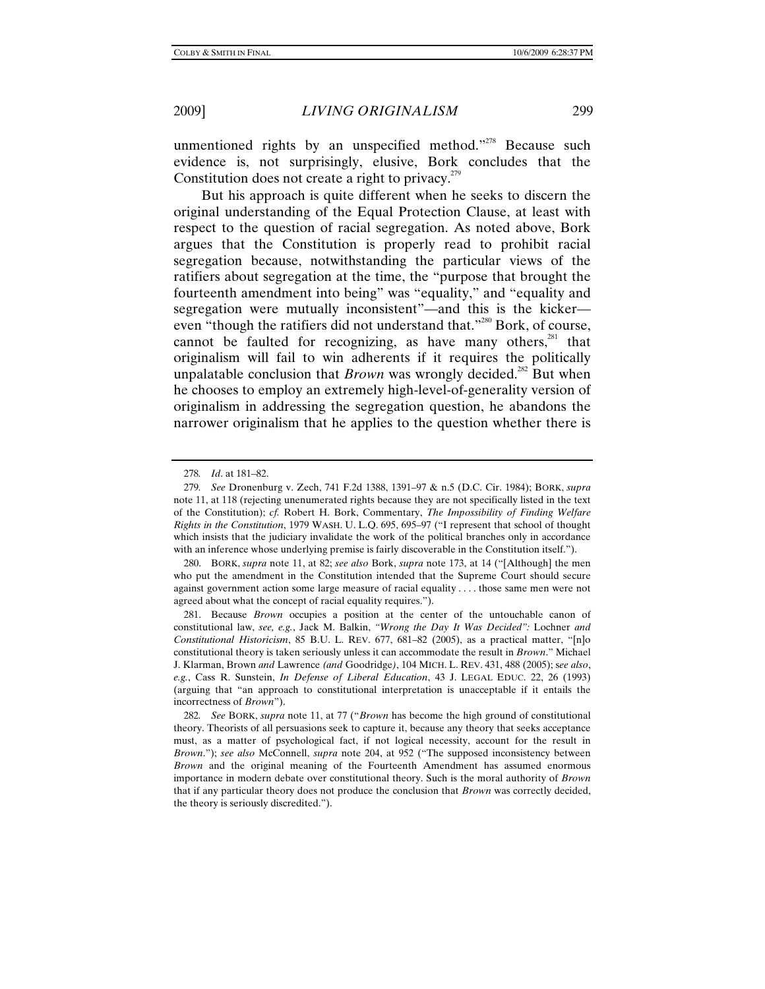unmentioned rights by an unspecified method."<sup>278</sup> Because such evidence is, not surprisingly, elusive, Bork concludes that the Constitution does not create a right to privacy.<sup> $279$ </sup>

But his approach is quite different when he seeks to discern the original understanding of the Equal Protection Clause, at least with respect to the question of racial segregation. As noted above, Bork argues that the Constitution is properly read to prohibit racial segregation because, notwithstanding the particular views of the ratifiers about segregation at the time, the "purpose that brought the fourteenth amendment into being" was "equality," and "equality and segregation were mutually inconsistent"—and this is the kicker even "though the ratifiers did not understand that."<sup>280</sup> Bork, of course, cannot be faulted for recognizing, as have many others, $281$  that originalism will fail to win adherents if it requires the politically unpalatable conclusion that *Brown* was wrongly decided.<sup>282</sup> But when he chooses to employ an extremely high-level-of-generality version of originalism in addressing the segregation question, he abandons the narrower originalism that he applies to the question whether there is

 280. BORK, *supra* note 11, at 82; *see also* Bork, *supra* note 173, at 14 ("[Although] the men who put the amendment in the Constitution intended that the Supreme Court should secure against government action some large measure of racial equality . . . . those same men were not agreed about what the concept of racial equality requires.").

<sup>278</sup>*. Id*. at 181–82.

<sup>279</sup>*. See* Dronenburg v. Zech, 741 F.2d 1388, 1391–97 & n.5 (D.C. Cir. 1984); BORK, *supra* note 11, at 118 (rejecting unenumerated rights because they are not specifically listed in the text of the Constitution); *cf.* Robert H. Bork, Commentary, *The Impossibility of Finding Welfare Rights in the Constitution*, 1979 WASH. U. L.Q. 695, 695–97 ("I represent that school of thought which insists that the judiciary invalidate the work of the political branches only in accordance with an inference whose underlying premise is fairly discoverable in the Constitution itself.").

 <sup>281.</sup> Because *Brown* occupies a position at the center of the untouchable canon of constitutional law, *see, e.g.*, Jack M. Balkin, *"Wrong the Day It Was Decided":* Lochner *and Constitutional Historicism*, 85 B.U. L. REV. 677, 681–82 (2005), as a practical matter, "[n]o constitutional theory is taken seriously unless it can accommodate the result in *Brown*." Michael J. Klarman, Brown *and* Lawrence *(and* Goodridge*)*, 104 MICH. L. REV. 431, 488 (2005); s*ee also*, *e.g.*, Cass R. Sunstein, *In Defense of Liberal Education*, 43 J. LEGAL EDUC. 22, 26 (1993) (arguing that "an approach to constitutional interpretation is unacceptable if it entails the incorrectness of *Brown*").

<sup>282</sup>*. See* BORK, *supra* note 11, at 77 ("*Brown* has become the high ground of constitutional theory. Theorists of all persuasions seek to capture it, because any theory that seeks acceptance must, as a matter of psychological fact, if not logical necessity, account for the result in *Brown*."); *see also* McConnell, *supra* note 204, at 952 ("The supposed inconsistency between *Brown* and the original meaning of the Fourteenth Amendment has assumed enormous importance in modern debate over constitutional theory. Such is the moral authority of *Brown* that if any particular theory does not produce the conclusion that *Brown* was correctly decided, the theory is seriously discredited.").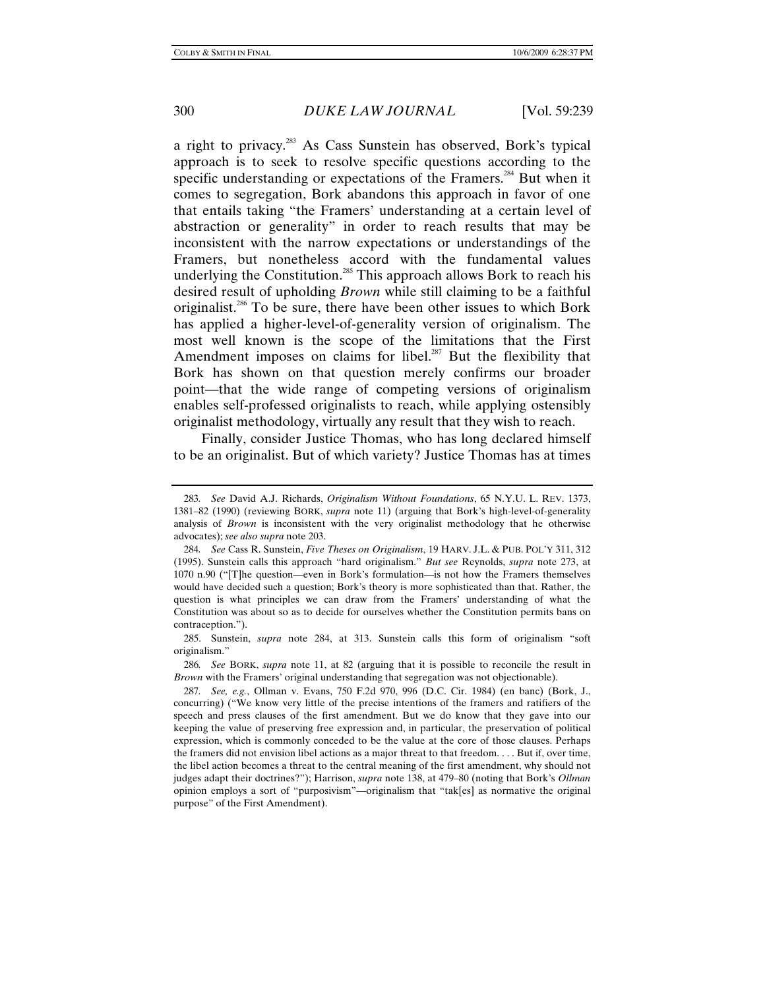a right to privacy.283 As Cass Sunstein has observed, Bork's typical approach is to seek to resolve specific questions according to the specific understanding or expectations of the Framers.<sup>284</sup> But when it comes to segregation, Bork abandons this approach in favor of one that entails taking "the Framers' understanding at a certain level of abstraction or generality" in order to reach results that may be inconsistent with the narrow expectations or understandings of the Framers, but nonetheless accord with the fundamental values underlying the Constitution.<sup>285</sup> This approach allows Bork to reach his desired result of upholding *Brown* while still claiming to be a faithful originalist.<sup>286</sup> To be sure, there have been other issues to which Bork has applied a higher-level-of-generality version of originalism. The most well known is the scope of the limitations that the First Amendment imposes on claims for libel.<sup>287</sup> But the flexibility that Bork has shown on that question merely confirms our broader point—that the wide range of competing versions of originalism enables self-professed originalists to reach, while applying ostensibly originalist methodology, virtually any result that they wish to reach.

Finally, consider Justice Thomas, who has long declared himself to be an originalist. But of which variety? Justice Thomas has at times

<sup>283</sup>*. See* David A.J. Richards, *Originalism Without Foundations*, 65 N.Y.U. L. REV. 1373, 1381–82 (1990) (reviewing BORK, *supra* note 11) (arguing that Bork's high-level-of-generality analysis of *Brown* is inconsistent with the very originalist methodology that he otherwise advocates); *see also supra* note 203.

<sup>284</sup>*. See* Cass R. Sunstein, *Five Theses on Originalism*, 19 HARV. J.L. & PUB. POL'Y 311, 312 (1995). Sunstein calls this approach "hard originalism." *But see* Reynolds, *supra* note 273, at 1070 n.90 ("[T]he question—even in Bork's formulation—is not how the Framers themselves would have decided such a question; Bork's theory is more sophisticated than that. Rather, the question is what principles we can draw from the Framers' understanding of what the Constitution was about so as to decide for ourselves whether the Constitution permits bans on contraception.").

 <sup>285.</sup> Sunstein, *supra* note 284, at 313. Sunstein calls this form of originalism "soft originalism."

<sup>286</sup>*. See* BORK, *supra* note 11, at 82 (arguing that it is possible to reconcile the result in *Brown* with the Framers' original understanding that segregation was not objectionable).

<sup>287</sup>*. See, e.g.*, Ollman v. Evans, 750 F.2d 970, 996 (D.C. Cir. 1984) (en banc) (Bork, J., concurring) ("We know very little of the precise intentions of the framers and ratifiers of the speech and press clauses of the first amendment. But we do know that they gave into our keeping the value of preserving free expression and, in particular, the preservation of political expression, which is commonly conceded to be the value at the core of those clauses. Perhaps the framers did not envision libel actions as a major threat to that freedom. . . . But if, over time, the libel action becomes a threat to the central meaning of the first amendment, why should not judges adapt their doctrines?"); Harrison, *supra* note 138, at 479–80 (noting that Bork's *Ollman* opinion employs a sort of "purposivism"—originalism that "tak[es] as normative the original purpose" of the First Amendment).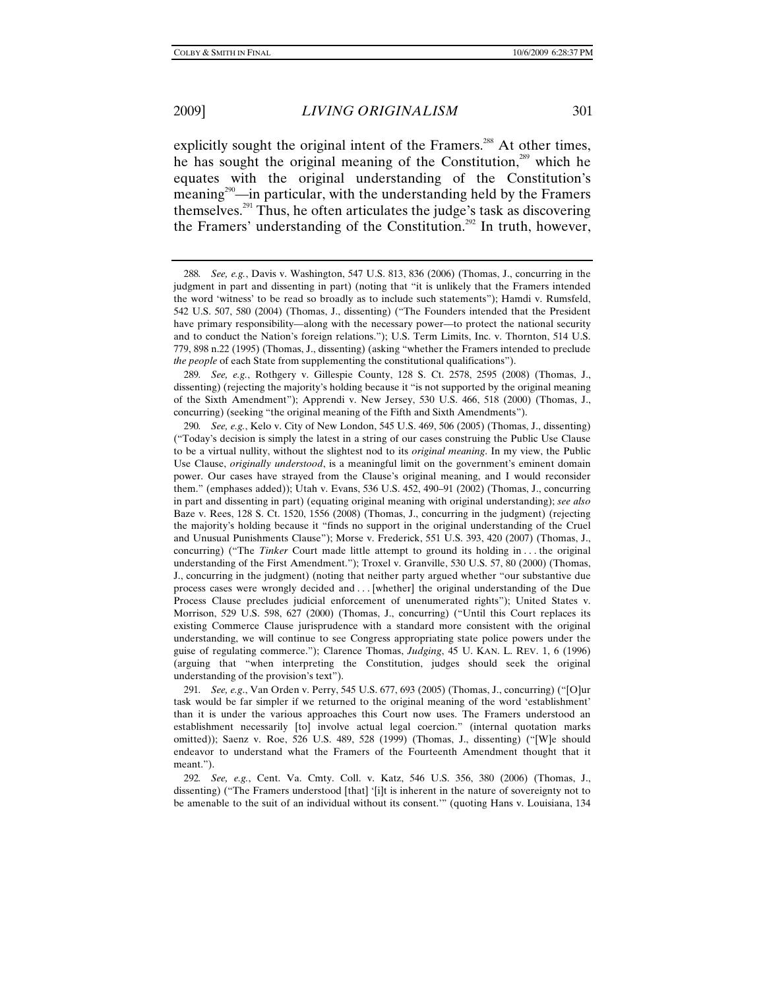explicitly sought the original intent of the Framers.<sup>288</sup> At other times, he has sought the original meaning of the Constitution,<sup>289</sup> which he equates with the original understanding of the Constitution's meaning<sup>290</sup>—in particular, with the understanding held by the Framers themselves.291 Thus, he often articulates the judge's task as discovering the Framers' understanding of the Constitution.<sup>292</sup> In truth, however,

289*. See, e.g.*, Rothgery v. Gillespie County, 128 S. Ct. 2578, 2595 (2008) (Thomas, J., dissenting) (rejecting the majority's holding because it "is not supported by the original meaning of the Sixth Amendment"); Apprendi v. New Jersey, 530 U.S. 466, 518 (2000) (Thomas, J., concurring) (seeking "the original meaning of the Fifth and Sixth Amendments").

290*. See, e.g.*, Kelo v. City of New London, 545 U.S. 469, 506 (2005) (Thomas, J., dissenting) ("Today's decision is simply the latest in a string of our cases construing the Public Use Clause to be a virtual nullity, without the slightest nod to its *original meaning*. In my view, the Public Use Clause, *originally understood*, is a meaningful limit on the government's eminent domain power. Our cases have strayed from the Clause's original meaning, and I would reconsider them." (emphases added)); Utah v. Evans, 536 U.S. 452, 490–91 (2002) (Thomas, J., concurring in part and dissenting in part) (equating original meaning with original understanding); *see also* Baze v. Rees, 128 S. Ct. 1520, 1556 (2008) (Thomas, J., concurring in the judgment) (rejecting the majority's holding because it "finds no support in the original understanding of the Cruel and Unusual Punishments Clause"); Morse v. Frederick, 551 U.S. 393, 420 (2007) (Thomas, J., concurring) ("The *Tinker* Court made little attempt to ground its holding in . . . the original understanding of the First Amendment."); Troxel v. Granville, 530 U.S. 57, 80 (2000) (Thomas, J., concurring in the judgment) (noting that neither party argued whether "our substantive due process cases were wrongly decided and . . . [whether] the original understanding of the Due Process Clause precludes judicial enforcement of unenumerated rights"); United States v. Morrison, 529 U.S. 598, 627 (2000) (Thomas, J., concurring) ("Until this Court replaces its existing Commerce Clause jurisprudence with a standard more consistent with the original understanding, we will continue to see Congress appropriating state police powers under the guise of regulating commerce."); Clarence Thomas, *Judging*, 45 U. KAN. L. REV. 1, 6 (1996) (arguing that "when interpreting the Constitution, judges should seek the original understanding of the provision's text").

291*. See, e.g*., Van Orden v. Perry, 545 U.S. 677, 693 (2005) (Thomas, J., concurring) ("[O]ur task would be far simpler if we returned to the original meaning of the word 'establishment' than it is under the various approaches this Court now uses. The Framers understood an establishment necessarily [to] involve actual legal coercion." (internal quotation marks omitted)); Saenz v. Roe, 526 U.S. 489, 528 (1999) (Thomas, J., dissenting) ("[W]e should endeavor to understand what the Framers of the Fourteenth Amendment thought that it meant.").

292*. See, e.g.*, Cent. Va. Cmty. Coll. v. Katz, 546 U.S. 356, 380 (2006) (Thomas, J., dissenting) ("The Framers understood [that] '[i]t is inherent in the nature of sovereignty not to be amenable to the suit of an individual without its consent.'" (quoting Hans v. Louisiana, 134

<sup>288</sup>*. See, e.g.*, Davis v. Washington, 547 U.S. 813, 836 (2006) (Thomas, J., concurring in the judgment in part and dissenting in part) (noting that "it is unlikely that the Framers intended the word 'witness' to be read so broadly as to include such statements"); Hamdi v. Rumsfeld, 542 U.S. 507, 580 (2004) (Thomas, J., dissenting) ("The Founders intended that the President have primary responsibility—along with the necessary power—to protect the national security and to conduct the Nation's foreign relations."); U.S. Term Limits, Inc. v. Thornton, 514 U.S. 779, 898 n.22 (1995) (Thomas, J., dissenting) (asking "whether the Framers intended to preclude *the people* of each State from supplementing the constitutional qualifications").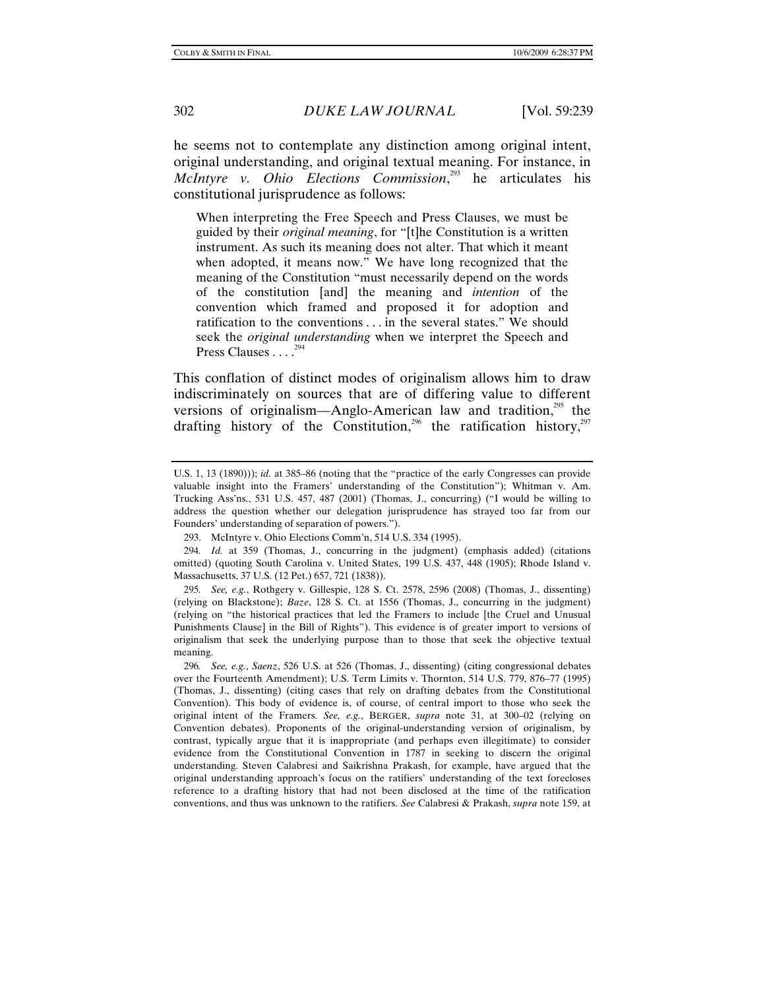he seems not to contemplate any distinction among original intent, original understanding, and original textual meaning. For instance, in *McIntyre v. Ohio Elections Commission*, 293 he articulates his constitutional jurisprudence as follows:

When interpreting the Free Speech and Press Clauses, we must be guided by their *original meaning*, for "[t]he Constitution is a written instrument. As such its meaning does not alter. That which it meant when adopted, it means now." We have long recognized that the meaning of the Constitution "must necessarily depend on the words of the constitution [and] the meaning and *intention* of the convention which framed and proposed it for adoption and ratification to the conventions . . . in the several states." We should seek the *original understanding* when we interpret the Speech and Press Clauses  $\ldots$ <sup>2</sup>

This conflation of distinct modes of originalism allows him to draw indiscriminately on sources that are of differing value to different versions of originalism—Anglo-American law and tradition, $^{295}$  the drafting history of the Constitution,<sup>296</sup> the ratification history,<sup>297</sup>

U.S. 1, 13 (1890))); *id.* at 385–86 (noting that the "practice of the early Congresses can provide valuable insight into the Framers' understanding of the Constitution"); Whitman v. Am. Trucking Ass'ns., 531 U.S. 457, 487 (2001) (Thomas, J., concurring) ("I would be willing to address the question whether our delegation jurisprudence has strayed too far from our Founders' understanding of separation of powers.").

 <sup>293.</sup> McIntyre v. Ohio Elections Comm'n, 514 U.S. 334 (1995).

<sup>294</sup>*. Id.* at 359 (Thomas, J., concurring in the judgment) (emphasis added) (citations omitted) (quoting South Carolina v. United States, 199 U.S. 437, 448 (1905); Rhode Island v. Massachusetts, 37 U.S. (12 Pet.) 657, 721 (1838)).

<sup>295</sup>*. See, e.g.*, Rothgery v. Gillespie, 128 S. Ct. 2578, 2596 (2008) (Thomas, J., dissenting) (relying on Blackstone); *Baze*, 128 S. Ct. at 1556 (Thomas, J., concurring in the judgment) (relying on "the historical practices that led the Framers to include [the Cruel and Unusual Punishments Clause] in the Bill of Rights"). This evidence is of greater import to versions of originalism that seek the underlying purpose than to those that seek the objective textual meaning.

<sup>296</sup>*. See, e.g.*, *Saenz*, 526 U.S. at 526 (Thomas, J., dissenting) (citing congressional debates over the Fourteenth Amendment); U.S. Term Limits v. Thornton, 514 U.S. 779, 876–77 (1995) (Thomas, J., dissenting) (citing cases that rely on drafting debates from the Constitutional Convention). This body of evidence is, of course, of central import to those who seek the original intent of the Framers. *See, e.g.*, BERGER, *supra* note 31, at 300–02 (relying on Convention debates). Proponents of the original-understanding version of originalism, by contrast, typically argue that it is inappropriate (and perhaps even illegitimate) to consider evidence from the Constitutional Convention in 1787 in seeking to discern the original understanding. Steven Calabresi and Saikrishna Prakash, for example, have argued that the original understanding approach's focus on the ratifiers' understanding of the text forecloses reference to a drafting history that had not been disclosed at the time of the ratification conventions, and thus was unknown to the ratifiers. *See* Calabresi & Prakash, *supra* note 159, at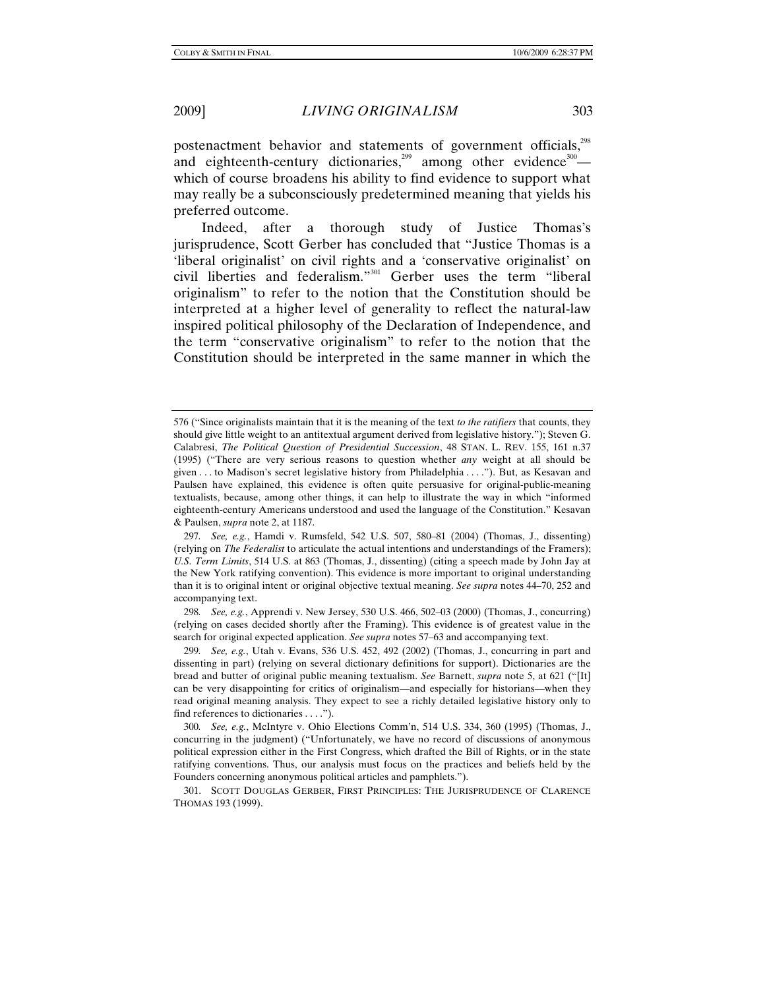postenactment behavior and statements of government officials,<sup>298</sup> and eighteenth-century dictionaries,<sup>299</sup> among other evidence<sup>300</sup> which of course broadens his ability to find evidence to support what may really be a subconsciously predetermined meaning that yields his preferred outcome.

Indeed, after a thorough study of Justice Thomas's jurisprudence, Scott Gerber has concluded that "Justice Thomas is a 'liberal originalist' on civil rights and a 'conservative originalist' on civil liberties and federalism."301 Gerber uses the term "liberal originalism" to refer to the notion that the Constitution should be interpreted at a higher level of generality to reflect the natural-law inspired political philosophy of the Declaration of Independence, and the term "conservative originalism" to refer to the notion that the Constitution should be interpreted in the same manner in which the

298*. See, e.g.*, Apprendi v. New Jersey, 530 U.S. 466, 502–03 (2000) (Thomas, J., concurring) (relying on cases decided shortly after the Framing). This evidence is of greatest value in the search for original expected application. *See supra* notes 57–63 and accompanying text.

<sup>576 (&</sup>quot;Since originalists maintain that it is the meaning of the text *to the ratifiers* that counts, they should give little weight to an antitextual argument derived from legislative history."); Steven G. Calabresi, *The Political Question of Presidential Succession*, 48 STAN. L. REV. 155, 161 n.37 (1995) ("There are very serious reasons to question whether *any* weight at all should be given . . . to Madison's secret legislative history from Philadelphia . . . ."). But, as Kesavan and Paulsen have explained, this evidence is often quite persuasive for original-public-meaning textualists, because, among other things, it can help to illustrate the way in which "informed eighteenth-century Americans understood and used the language of the Constitution." Kesavan & Paulsen, *supra* note 2, at 1187.

<sup>297</sup>*. See, e.g.*, Hamdi v. Rumsfeld, 542 U.S. 507, 580–81 (2004) (Thomas, J., dissenting) (relying on *The Federalist* to articulate the actual intentions and understandings of the Framers); *U.S. Term Limits*, 514 U.S. at 863 (Thomas, J., dissenting) (citing a speech made by John Jay at the New York ratifying convention). This evidence is more important to original understanding than it is to original intent or original objective textual meaning. *See supra* notes 44–70, 252 and accompanying text.

<sup>299</sup>*. See, e.g.*, Utah v. Evans, 536 U.S. 452, 492 (2002) (Thomas, J., concurring in part and dissenting in part) (relying on several dictionary definitions for support). Dictionaries are the bread and butter of original public meaning textualism. *See* Barnett, *supra* note 5, at 621 ("[It] can be very disappointing for critics of originalism—and especially for historians—when they read original meaning analysis. They expect to see a richly detailed legislative history only to find references to dictionaries . . . .").

<sup>300</sup>*. See, e.g.*, McIntyre v. Ohio Elections Comm'n, 514 U.S. 334, 360 (1995) (Thomas, J., concurring in the judgment) ("Unfortunately, we have no record of discussions of anonymous political expression either in the First Congress, which drafted the Bill of Rights, or in the state ratifying conventions. Thus, our analysis must focus on the practices and beliefs held by the Founders concerning anonymous political articles and pamphlets.").

 <sup>301.</sup> SCOTT DOUGLAS GERBER, FIRST PRINCIPLES: THE JURISPRUDENCE OF CLARENCE THOMAS 193 (1999).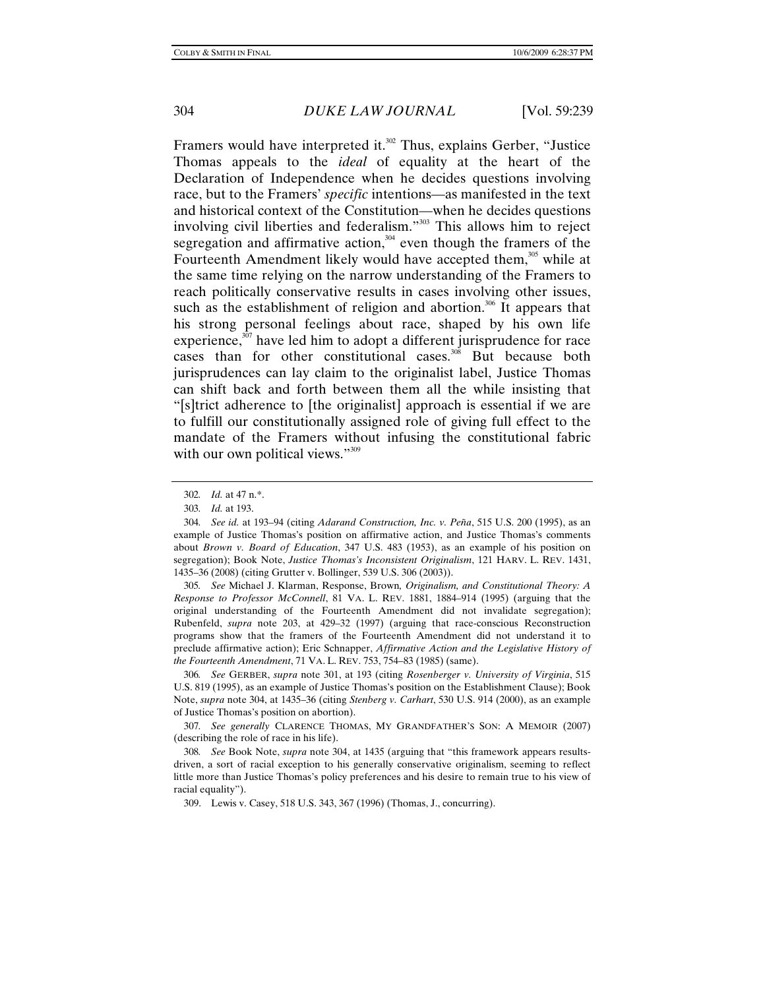Framers would have interpreted it.<sup>302</sup> Thus, explains Gerber, "Justice" Thomas appeals to the *ideal* of equality at the heart of the Declaration of Independence when he decides questions involving race, but to the Framers' *specific* intentions—as manifested in the text and historical context of the Constitution—when he decides questions involving civil liberties and federalism."<sup>303</sup> This allows him to reject segregation and affirmative action,<sup>304</sup> even though the framers of the Fourteenth Amendment likely would have accepted them,<sup>305</sup> while at the same time relying on the narrow understanding of the Framers to reach politically conservative results in cases involving other issues, such as the establishment of religion and abortion.<sup>306</sup> It appears that his strong personal feelings about race, shaped by his own life experience, $307$  have led him to adopt a different jurisprudence for race cases than for other constitutional cases.<sup>308</sup> But because both jurisprudences can lay claim to the originalist label, Justice Thomas can shift back and forth between them all the while insisting that "[s]trict adherence to [the originalist] approach is essential if we are to fulfill our constitutionally assigned role of giving full effect to the mandate of the Framers without infusing the constitutional fabric with our own political views."<sup>309</sup>

305*. See* Michael J. Klarman, Response, Brown*, Originalism, and Constitutional Theory: A Response to Professor McConnell*, 81 VA. L. REV. 1881, 1884–914 (1995) (arguing that the original understanding of the Fourteenth Amendment did not invalidate segregation); Rubenfeld, *supra* note 203, at 429–32 (1997) (arguing that race-conscious Reconstruction programs show that the framers of the Fourteenth Amendment did not understand it to preclude affirmative action); Eric Schnapper, *Affirmative Action and the Legislative History of the Fourteenth Amendment*, 71 VA. L. REV. 753, 754–83 (1985) (same).

306*. See* GERBER, *supra* note 301, at 193 (citing *Rosenberger v. University of Virginia*, 515 U.S. 819 (1995), as an example of Justice Thomas's position on the Establishment Clause); Book Note, *supra* note 304, at 1435–36 (citing *Stenberg v. Carhart*, 530 U.S. 914 (2000), as an example of Justice Thomas's position on abortion).

307*. See generally* CLARENCE THOMAS, MY GRANDFATHER'S SON: A MEMOIR (2007) (describing the role of race in his life).

308*. See* Book Note, *supra* note 304, at 1435 (arguing that "this framework appears resultsdriven, a sort of racial exception to his generally conservative originalism, seeming to reflect little more than Justice Thomas's policy preferences and his desire to remain true to his view of racial equality").

309. Lewis v. Casey, 518 U.S. 343, 367 (1996) (Thomas, J., concurring).

<sup>302</sup>*. Id.* at 47 n.\*.

<sup>303</sup>*. Id.* at 193.

<sup>304</sup>*. See id.* at 193–94 (citing *Adarand Construction, Inc. v. Peña*, 515 U.S. 200 (1995), as an example of Justice Thomas's position on affirmative action, and Justice Thomas's comments about *Brown v. Board of Education*, 347 U.S. 483 (1953), as an example of his position on segregation); Book Note, *Justice Thomas's Inconsistent Originalism*, 121 HARV. L. REV. 1431, 1435–36 (2008) (citing Grutter v. Bollinger, 539 U.S. 306 (2003)).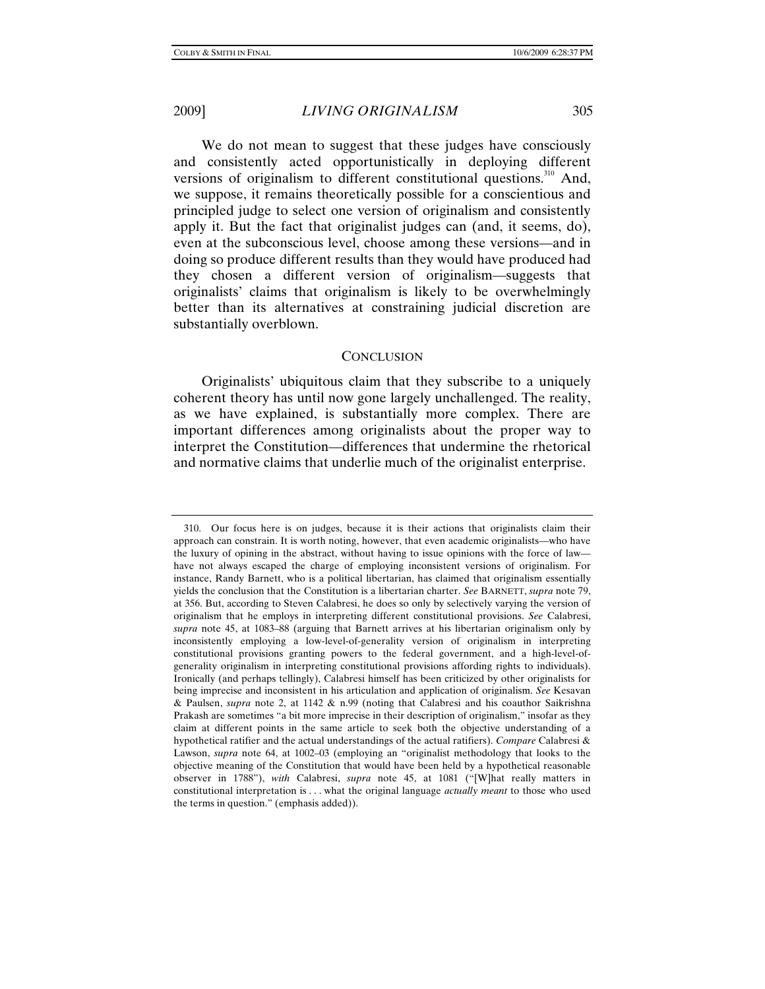We do not mean to suggest that these judges have consciously and consistently acted opportunistically in deploying different versions of originalism to different constitutional questions.<sup>310</sup> And, we suppose, it remains theoretically possible for a conscientious and principled judge to select one version of originalism and consistently apply it. But the fact that originalist judges can (and, it seems, do), even at the subconscious level, choose among these versions—and in doing so produce different results than they would have produced had they chosen a different version of originalism—suggests that originalists' claims that originalism is likely to be overwhelmingly better than its alternatives at constraining judicial discretion are substantially overblown.

#### **CONCLUSION**

Originalists' ubiquitous claim that they subscribe to a uniquely coherent theory has until now gone largely unchallenged. The reality, as we have explained, is substantially more complex. There are important differences among originalists about the proper way to interpret the Constitution—differences that undermine the rhetorical and normative claims that underlie much of the originalist enterprise.

 <sup>310.</sup> Our focus here is on judges, because it is their actions that originalists claim their approach can constrain. It is worth noting, however, that even academic originalists—who have the luxury of opining in the abstract, without having to issue opinions with the force of law have not always escaped the charge of employing inconsistent versions of originalism. For instance, Randy Barnett, who is a political libertarian, has claimed that originalism essentially yields the conclusion that the Constitution is a libertarian charter. *See* BARNETT, *supra* note 79, at 356. But, according to Steven Calabresi, he does so only by selectively varying the version of originalism that he employs in interpreting different constitutional provisions. *See* Calabresi, *supra* note 45, at 1083–88 (arguing that Barnett arrives at his libertarian originalism only by inconsistently employing a low-level-of-generality version of originalism in interpreting constitutional provisions granting powers to the federal government, and a high-level-ofgenerality originalism in interpreting constitutional provisions affording rights to individuals). Ironically (and perhaps tellingly), Calabresi himself has been criticized by other originalists for being imprecise and inconsistent in his articulation and application of originalism. *See* Kesavan & Paulsen, *supra* note 2, at 1142 & n.99 (noting that Calabresi and his coauthor Saikrishna Prakash are sometimes "a bit more imprecise in their description of originalism," insofar as they claim at different points in the same article to seek both the objective understanding of a hypothetical ratifier and the actual understandings of the actual ratifiers). *Compare* Calabresi & Lawson, *supra* note 64, at 1002–03 (employing an "originalist methodology that looks to the objective meaning of the Constitution that would have been held by a hypothetical reasonable observer in 1788"), *with* Calabresi, *supra* note 45, at 1081 ("[W]hat really matters in constitutional interpretation is . . . what the original language *actually meant* to those who used the terms in question." (emphasis added)).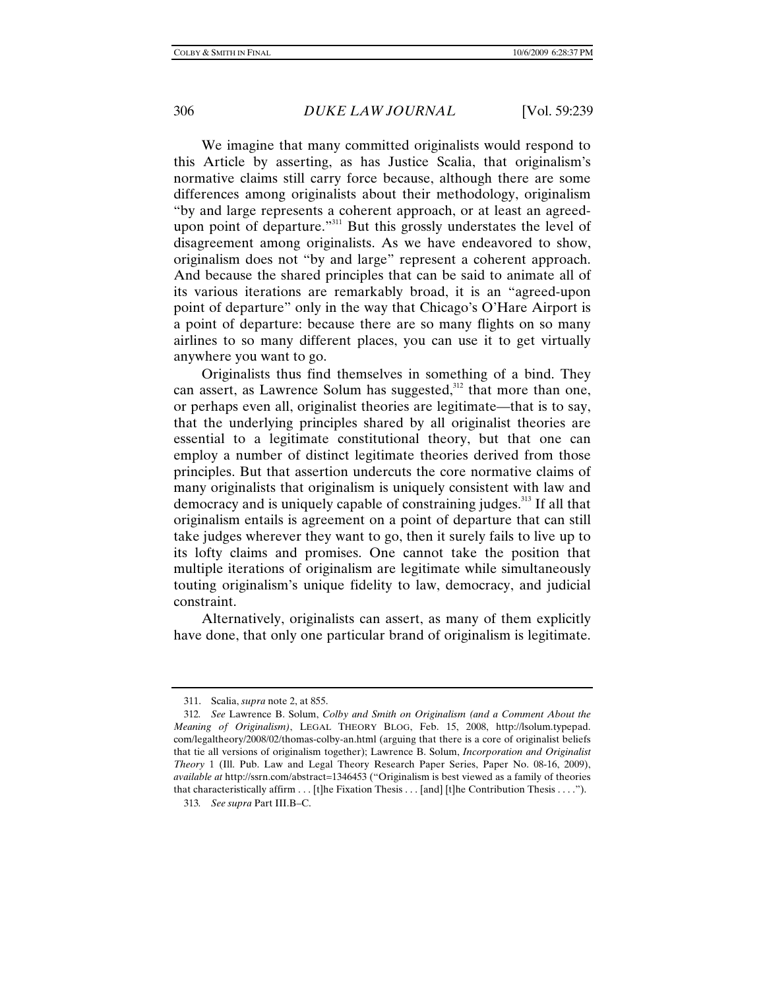We imagine that many committed originalists would respond to this Article by asserting, as has Justice Scalia, that originalism's normative claims still carry force because, although there are some differences among originalists about their methodology, originalism "by and large represents a coherent approach, or at least an agreedupon point of departure."<sup>311</sup> But this grossly understates the level of disagreement among originalists. As we have endeavored to show, originalism does not "by and large" represent a coherent approach. And because the shared principles that can be said to animate all of its various iterations are remarkably broad, it is an "agreed-upon point of departure" only in the way that Chicago's O'Hare Airport is a point of departure: because there are so many flights on so many airlines to so many different places, you can use it to get virtually anywhere you want to go.

Originalists thus find themselves in something of a bind. They can assert, as Lawrence Solum has suggested, $312$  that more than one, or perhaps even all, originalist theories are legitimate—that is to say, that the underlying principles shared by all originalist theories are essential to a legitimate constitutional theory, but that one can employ a number of distinct legitimate theories derived from those principles. But that assertion undercuts the core normative claims of many originalists that originalism is uniquely consistent with law and democracy and is uniquely capable of constraining judges.<sup>313</sup> If all that originalism entails is agreement on a point of departure that can still take judges wherever they want to go, then it surely fails to live up to its lofty claims and promises. One cannot take the position that multiple iterations of originalism are legitimate while simultaneously touting originalism's unique fidelity to law, democracy, and judicial constraint.

Alternatively, originalists can assert, as many of them explicitly have done, that only one particular brand of originalism is legitimate.

 <sup>311.</sup> Scalia, *supra* note 2, at 855.

<sup>312</sup>*. See* Lawrence B. Solum, *Colby and Smith on Originalism (and a Comment About the Meaning of Originalism)*, LEGAL THEORY BLOG, Feb. 15, 2008, http://lsolum.typepad. com/legaltheory/2008/02/thomas-colby-an.html (arguing that there is a core of originalist beliefs that tie all versions of originalism together); Lawrence B. Solum, *Incorporation and Originalist Theory* 1 (Ill. Pub. Law and Legal Theory Research Paper Series, Paper No. 08-16, 2009), *available at* http://ssrn.com/abstract=1346453 ("Originalism is best viewed as a family of theories that characteristically affirm . . . [t]he Fixation Thesis . . . [and] [t]he Contribution Thesis . . . .").

<sup>313</sup>*. See supra* Part III.B–C.